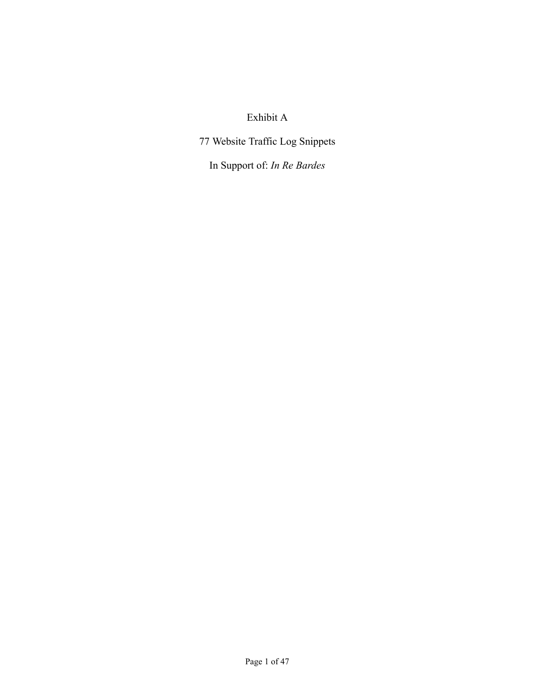# Exhibit A

77 Website Traffic Log Snippets

In Support of: *In Re Bardes*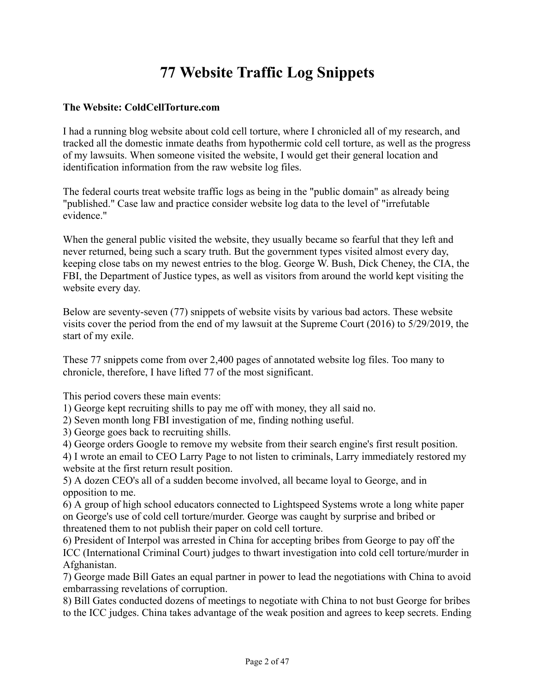# **77 Website Traffic Log Snippets**

#### **The Website: ColdCellTorture.com**

I had a running blog website about cold cell torture, where I chronicled all of my research, and tracked all the domestic inmate deaths from hypothermic cold cell torture, as well as the progress of my lawsuits. When someone visited the website, I would get their general location and identification information from the raw website log files.

The federal courts treat website traffic logs as being in the "public domain" as already being "published." Case law and practice consider website log data to the level of "irrefutable evidence."

When the general public visited the website, they usually became so fearful that they left and never returned, being such a scary truth. But the government types visited almost every day, keeping close tabs on my newest entries to the blog. George W. Bush, Dick Cheney, the CIA, the FBI, the Department of Justice types, as well as visitors from around the world kept visiting the website every day.

Below are seventy-seven (77) snippets of website visits by various bad actors. These website visits cover the period from the end of my lawsuit at the Supreme Court (2016) to 5/29/2019, the start of my exile.

These 77 snippets come from over 2,400 pages of annotated website log files. Too many to chronicle, therefore, I have lifted 77 of the most significant.

This period covers these main events:

1) George kept recruiting shills to pay me off with money, they all said no.

2) Seven month long FBI investigation of me, finding nothing useful.

3) George goes back to recruiting shills.

4) George orders Google to remove my website from their search engine's first result position.

4) I wrote an email to CEO Larry Page to not listen to criminals, Larry immediately restored my website at the first return result position.

5) A dozen CEO's all of a sudden become involved, all became loyal to George, and in opposition to me.

6) A group of high school educators connected to Lightspeed Systems wrote a long white paper on George's use of cold cell torture/murder. George was caught by surprise and bribed or threatened them to not publish their paper on cold cell torture.

6) President of Interpol was arrested in China for accepting bribes from George to pay off the ICC (International Criminal Court) judges to thwart investigation into cold cell torture/murder in Afghanistan.

7) George made Bill Gates an equal partner in power to lead the negotiations with China to avoid embarrassing revelations of corruption.

8) Bill Gates conducted dozens of meetings to negotiate with China to not bust George for bribes to the ICC judges. China takes advantage of the weak position and agrees to keep secrets. Ending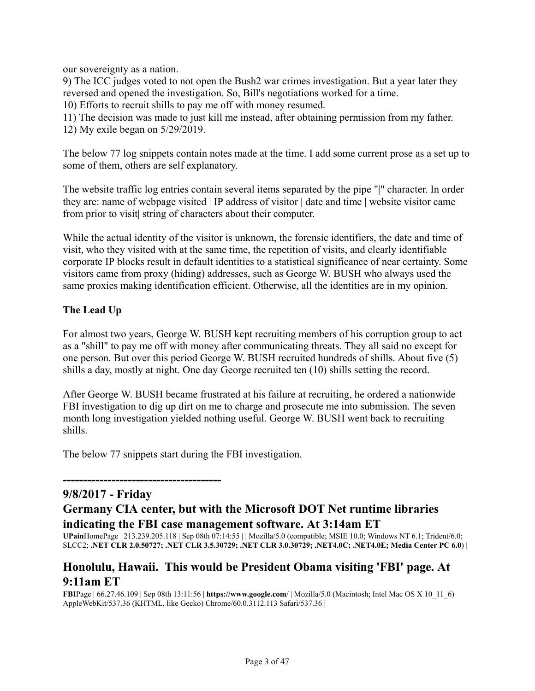our sovereignty as a nation.

9) The ICC judges voted to not open the Bush2 war crimes investigation. But a year later they reversed and opened the investigation. So, Bill's negotiations worked for a time.

10) Efforts to recruit shills to pay me off with money resumed.

11) The decision was made to just kill me instead, after obtaining permission from my father.

12) My exile began on 5/29/2019.

The below 77 log snippets contain notes made at the time. I add some current prose as a set up to some of them, others are self explanatory.

The website traffic log entries contain several items separated by the pipe "|" character. In order they are: name of webpage visited | IP address of visitor | date and time | website visitor came from prior to visit string of characters about their computer.

While the actual identity of the visitor is unknown, the forensic identifiers, the date and time of visit, who they visited with at the same time, the repetition of visits, and clearly identifiable corporate IP blocks result in default identities to a statistical significance of near certainty. Some visitors came from proxy (hiding) addresses, such as George W. BUSH who always used the same proxies making identification efficient. Otherwise, all the identities are in my opinion.

### **The Lead Up**

For almost two years, George W. BUSH kept recruiting members of his corruption group to act as a "shill" to pay me off with money after communicating threats. They all said no except for one person. But over this period George W. BUSH recruited hundreds of shills. About five (5) shills a day, mostly at night. One day George recruited ten (10) shills setting the record.

After George W. BUSH became frustrated at his failure at recruiting, he ordered a nationwide FBI investigation to dig up dirt on me to charge and prosecute me into submission. The seven month long investigation yielded nothing useful. George W. BUSH went back to recruiting shills.

The below 77 snippets start during the FBI investigation.

# **9/8/2017 - Friday**

*---------------------------------------*

# **Germany CIA center, but with the Microsoft DOT Net runtime libraries indicating the FBI case management software. At 3:14am ET**

**UPain**HomePage | 213.239.205.118 | Sep 08th 07:14:55 | | Mozilla/5.0 (compatible; MSIE 10.0; Windows NT 6.1; Trident/6.0; SLCC2; **.NET CLR 2.0.50727; .NET CLR 3.5.30729; .NET CLR 3.0.30729; .NET4.0C; .NET4.0E; Media Center PC 6.0**) |

# **Honolulu, Hawaii. This would be President Obama visiting 'FBI' page. At 9:11am ET**

**FBI**Page | 66.27.46.109 | Sep 08th 13:11:56 | **https://www.google.com**/ | Mozilla/5.0 (Macintosh; Intel Mac OS X 10\_11\_6) AppleWebKit/537.36 (KHTML, like Gecko) Chrome/60.0.3112.113 Safari/537.36 |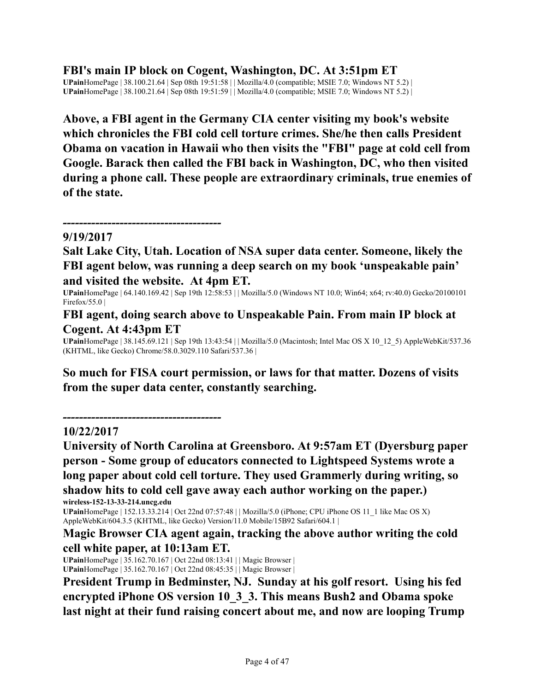**FBI's main IP block on Cogent, Washington, DC. At 3:51pm ET**

**UPain**HomePage | 38.100.21.64 | Sep 08th 19:51:58 | | Mozilla/4.0 (compatible; MSIE 7.0; Windows NT 5.2) | **UPain**HomePage | 38.100.21.64 | Sep 08th 19:51:59 | | Mozilla/4.0 (compatible; MSIE 7.0; Windows NT 5.2) |

**Above, a FBI agent in the Germany CIA center visiting my book's website which chronicles the FBI cold cell torture crimes. She/he then calls President Obama on vacation in Hawaii who then visits the "FBI" page at cold cell from Google. Barack then called the FBI back in Washington, DC, who then visited during a phone call. These people are extraordinary criminals, true enemies of of the state.**

*---------------------------------------* **9/19/2017**

**Salt Lake City, Utah. Location of NSA super data center. Someone, likely the FBI agent below, was running a deep search on my book 'unspeakable pain' and visited the website. At 4pm ET.**

**UPain**HomePage | 64.140.169.42 | Sep 19th 12:58:53 | | Mozilla/5.0 (Windows NT 10.0; Win64; x64; rv:40.0) Gecko/20100101 Firefox/55.0  $\vert$ 

**FBI agent, doing search above to Unspeakable Pain. From main IP block at Cogent. At 4:43pm ET**

**UPain**HomePage | 38.145.69.121 | Sep 19th 13:43:54 | | Mozilla/5.0 (Macintosh; Intel Mac OS X 10\_12\_5) AppleWebKit/537.36 (KHTML, like Gecko) Chrome/58.0.3029.110 Safari/537.36 |

**So much for FISA court permission, or laws for that matter. Dozens of visits from the super data center, constantly searching.**

### **10/22/2017**

*---------------------------------------*

**University of North Carolina at Greensboro. At 9:57am ET (Dyersburg paper person - Some group of educators connected to Lightspeed Systems wrote a long paper about cold cell torture. They used Grammerly during writing, so shadow hits to cold cell gave away each author working on the paper.) wireless-152-13-33-214.uncg.edu**

**UPain**HomePage | 152.13.33.214 | Oct 22nd 07:57:48 | | Mozilla/5.0 (iPhone; CPU iPhone OS 11\_1 like Mac OS X) AppleWebKit/604.3.5 (KHTML, like Gecko) Version/11.0 Mobile/15B92 Safari/604.1 |

**Magic Browser CIA agent again, tracking the above author writing the cold cell white paper, at 10:13am ET.**

**UPain**HomePage | 35.162.70.167 | Oct 22nd 08:13:41 | | Magic Browser | **UPain**HomePage | 35.162.70.167 | Oct 22nd 08:45:35 | | Magic Browser |

**President Trump in Bedminster, NJ. Sunday at his golf resort. Using his fed encrypted iPhone OS version 10\_3\_3. This means Bush2 and Obama spoke last night at their fund raising concert about me, and now are looping Trump**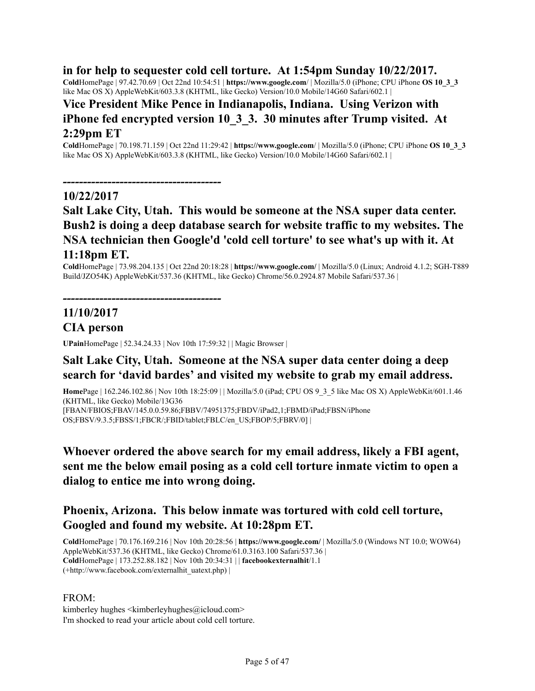### **in for help to sequester cold cell torture. At 1:54pm Sunday 10/22/2017.**

**Cold**HomePage | 97.42.70.69 | Oct 22nd 10:54:51 | **https://www.google.com**/ | Mozilla/5.0 (iPhone; CPU iPhone **OS 10\_3\_3** like Mac OS X) AppleWebKit/603.3.8 (KHTML, like Gecko) Version/10.0 Mobile/14G60 Safari/602.1 |

# **Vice President Mike Pence in Indianapolis, Indiana. Using Verizon with iPhone fed encrypted version 10\_3\_3. 30 minutes after Trump visited. At 2:29pm ET**

**Cold**HomePage | 70.198.71.159 | Oct 22nd 11:29:42 | **https://www.google.com**/ | Mozilla/5.0 (iPhone; CPU iPhone **OS 10\_3\_3** like Mac OS X) AppleWebKit/603.3.8 (KHTML, like Gecko) Version/10.0 Mobile/14G60 Safari/602.1 |

*---------------------------------------*

#### **10/22/2017**

# **Salt Lake City, Utah. This would be someone at the NSA super data center. Bush2 is doing a deep database search for website traffic to my websites. The NSA technician then Google'd 'cold cell torture' to see what's up with it. At 11:18pm ET.**

**Cold**HomePage | 73.98.204.135 | Oct 22nd 20:18:28 | **https://www.google.com/** | Mozilla/5.0 (Linux; Android 4.1.2; SGH-T889 Build/JZO54K) AppleWebKit/537.36 (KHTML, like Gecko) Chrome/56.0.2924.87 Mobile Safari/537.36 |

*---------------------------------------*

# **11/10/2017 CIA person**

**UPain**HomePage | 52.34.24.33 | Nov 10th 17:59:32 | | Magic Browser |

# **Salt Lake City, Utah. Someone at the NSA super data center doing a deep search for 'david bardes' and visited my website to grab my email address.**

**Home**Page | 162.246.102.86 | Nov 10th 18:25:09 | | Mozilla/5.0 (iPad; CPU OS 9\_3\_5 like Mac OS X) AppleWebKit/601.1.46 (KHTML, like Gecko) Mobile/13G36

[FBAN/FBIOS;FBAV/145.0.0.59.86;FBBV/74951375;FBDV/iPad2,1;FBMD/iPad;FBSN/iPhone OS;FBSV/9.3.5;FBSS/1;FBCR/;FBID/tablet;FBLC/en\_US;FBOP/5;FBRV/0] |

# **Whoever ordered the above search for my email address, likely a FBI agent, sent me the below email posing as a cold cell torture inmate victim to open a dialog to entice me into wrong doing.**

# **Phoenix, Arizona. This below inmate was tortured with cold cell torture, Googled and found my website. At 10:28pm ET.**

**Cold**HomePage | 70.176.169.216 | Nov 10th 20:28:56 | **https://www.google.com/** | Mozilla/5.0 (Windows NT 10.0; WOW64) AppleWebKit/537.36 (KHTML, like Gecko) Chrome/61.0.3163.100 Safari/537.36 | **Cold**HomePage | 173.252.88.182 | Nov 10th 20:34:31 | | **facebookexternalhit**/1.1 (+http://www.facebook.com/externalhit\_uatext.php) |

#### FROM:

kimberley hughes  $\langle$ kimberleyhughes $\langle$ @icloud.com> I'm shocked to read your article about cold cell torture.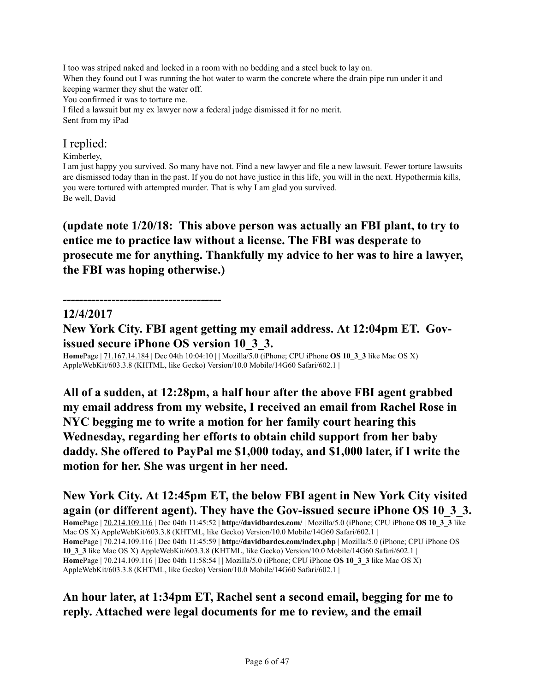I too was striped naked and locked in a room with no bedding and a steel buck to lay on. When they found out I was running the hot water to warm the concrete where the drain pipe run under it and keeping warmer they shut the water off. You confirmed it was to torture me. I filed a lawsuit but my ex lawyer now a federal judge dismissed it for no merit. Sent from my iPad

### I replied:

#### Kimberley,

I am just happy you survived. So many have not. Find a new lawyer and file a new lawsuit. Fewer torture lawsuits are dismissed today than in the past. If you do not have justice in this life, you will in the next. Hypothermia kills, you were tortured with attempted murder. That is why I am glad you survived. Be well, David

**(update note 1/20/18: This above person was actually an FBI plant, to try to entice me to practice law without a license. The FBI was desperate to prosecute me for anything. Thankfully my advice to her was to hire a lawyer, the FBI was hoping otherwise.)**

*---------------------------------------*

### **12/4/2017**

**New York City. FBI agent getting my email address. At 12:04pm ET. Govissued secure iPhone OS version 10\_3\_3.**

**Home**Page | 71.167.14.184 | Dec 04th 10:04:10 | | Mozilla/5.0 (iPhone; CPU iPhone **OS 10\_3\_3** like Mac OS X) AppleWebKit/603.3.8 (KHTML, like Gecko) Version/10.0 Mobile/14G60 Safari/602.1 |

**All of a sudden, at 12:28pm, a half hour after the above FBI agent grabbed my email address from my website, I received an email from Rachel Rose in NYC begging me to write a motion for her family court hearing this Wednesday, regarding her efforts to obtain child support from her baby daddy. She offered to PayPal me \$1,000 today, and \$1,000 later, if I write the motion for her. She was urgent in her need.**

**New York City. At 12:45pm ET, the below FBI agent in New York City visited again (or different agent). They have the Gov-issued secure iPhone OS 10\_3\_3. Home**Page | 70.214.109.116 | Dec 04th 11:45:52 | **http://davidbardes.com/** | Mozilla/5.0 (iPhone; CPU iPhone **OS 10\_3\_3** like Mac OS X) AppleWebKit/603.3.8 (KHTML, like Gecko) Version/10.0 Mobile/14G60 Safari/602.1 | **Home**Page | 70.214.109.116 | Dec 04th 11:45:59 | **http://davidbardes.com/index.php** | Mozilla/5.0 (iPhone; CPU iPhone OS **10\_3\_3** like Mac OS X) AppleWebKit/603.3.8 (KHTML, like Gecko) Version/10.0 Mobile/14G60 Safari/602.1 | **Home**Page | 70.214.109.116 | Dec 04th 11:58:54 | | Mozilla/5.0 (iPhone; CPU iPhone **OS 10\_3\_3** like Mac OS X) AppleWebKit/603.3.8 (KHTML, like Gecko) Version/10.0 Mobile/14G60 Safari/602.1 |

# **An hour later, at 1:34pm ET, Rachel sent a second email, begging for me to reply. Attached were legal documents for me to review, and the email**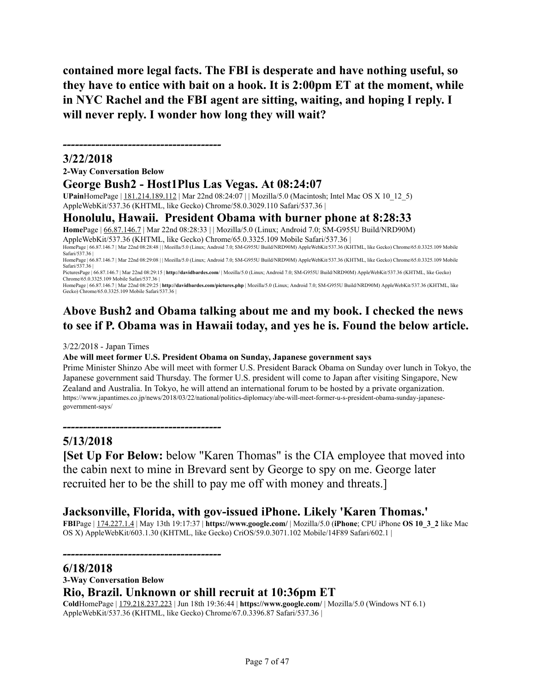**contained more legal facts. The FBI is desperate and have nothing useful, so they have to entice with bait on a hook. It is 2:00pm ET at the moment, while in NYC Rachel and the FBI agent are sitting, waiting, and hoping I reply. I will never reply. I wonder how long they will wait?**

#### **3/22/2018**

**2-Way Conversation Below**

*---------------------------------------*

#### **George Bush2 - Host1Plus Las Vegas. At 08:24:07**

**UPain**HomePage | 181.214.189.112 | Mar 22nd 08:24:07 | | Mozilla/5.0 (Macintosh; Intel Mac OS X 10\_12\_5) AppleWebKit/537.36 (KHTML, like Gecko) Chrome/58.0.3029.110 Safari/537.36 |

#### **Honolulu, Hawaii. President Obama with burner phone at 8:28:33**

**Home**Page | 66.87.146.7 | Mar 22nd 08:28:33 | | Mozilla/5.0 (Linux; Android 7.0; SM-G955U Build/NRD90M) AppleWebKit/537.36 (KHTML, like Gecko) Chrome/65.0.3325.109 Mobile Safari/537.36 |

HomePage | 66.87.146.7 | Mar 22nd 08:28:48 | | Mozilla/5.0 (Linux; Android 7.0; SM-G955U Build/NRD90M) AppleWebKit/537.36 (KHTML, like Gecko) Chrome/65.0.3325.109 Mobile Safari/537.36 |

HomePage | 66.87.146.7 | Mar 22nd 08:29:08 | | Mozilla/5.0 (Linux; Android 7.0; SM-G955U Build/NRD90M) AppleWebKit/537.36 (KHTML, like Gecko) Chrome/65.0.3325.109 Mobile Safari/537.36 |

PicturesPage | 66.87.146.7 | Mar 22nd 08:29:15 | **http://davidbardes.com**/ | Mozilla/5.0 (Linux; Android 7.0; SM-G955U Build/NRD90M) AppleWebKit/537.36 (KHTML, like Gecko) Chrome/65.0.3325.109 Mobile Safari/537.36 |

HomePage | 66.87.146.7 | Mar 22nd 08:29:25 | **http://davidbardes.com/pictures.php** | Mozilla/5.0 (Linux; Android 7.0; SM-G955U Build/NRD90M) AppleWebKit/537.36 (KHTML, like Gecko) Chrome/65.0.3325.109 Mobile Safari/537.36 |

# **Above Bush2 and Obama talking about me and my book. I checked the news to see if P. Obama was in Hawaii today, and yes he is. Found the below article.**

#### 3/22/2018 - Japan Times

#### **Abe will meet former U.S. President Obama on Sunday, Japanese government says**

Prime Minister Shinzo Abe will meet with former U.S. President Barack Obama on Sunday over lunch in Tokyo, the Japanese government said Thursday. The former U.S. president will come to Japan after visiting Singapore, New Zealand and Australia. In Tokyo, he will attend an international forum to be hosted by a private organization. https://www.japantimes.co.jp/news/2018/03/22/national/politics-diplomacy/abe-will-meet-former-u-s-president-obama-sunday-japanesegovernment-says/

*---------------------------------------*

*---------------------------------------*

### **5/13/2018**

**[Set Up For Below:** below "Karen Thomas" is the CIA employee that moved into the cabin next to mine in Brevard sent by George to spy on me. George later recruited her to be the shill to pay me off with money and threats.]

### **Jacksonville, Florida, with gov-issued iPhone. Likely 'Karen Thomas.'**

**FBI**Page | 174.227.1.4 | May 13th 19:17:37 | **https://www.google.com/** | Mozilla/5.0 (**iPhone**; CPU iPhone **OS 10\_3\_2** like Mac OS X) AppleWebKit/603.1.30 (KHTML, like Gecko) CriOS/59.0.3071.102 Mobile/14F89 Safari/602.1 |

#### **6/18/2018**

# **3-Way Conversation Below Rio, Brazil. Unknown or shill recruit at 10:36pm ET**

**Cold**HomePage | 179.218.237.223 | Jun 18th 19:36:44 | **https://www.google.com/** | Mozilla/5.0 (Windows NT 6.1) AppleWebKit/537.36 (KHTML, like Gecko) Chrome/67.0.3396.87 Safari/537.36 |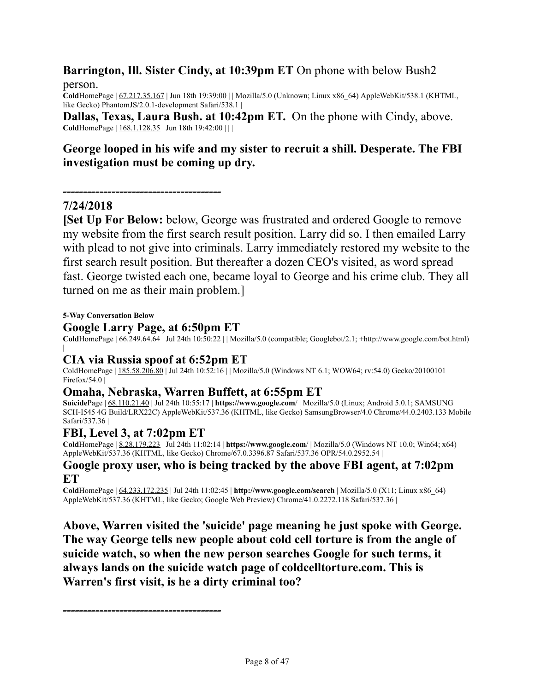# **Barrington, Ill. Sister Cindy, at 10:39pm ET** On phone with below Bush2 person.

**Cold**HomePage | 67.217.35.167 | Jun 18th 19:39:00 | | Mozilla/5.0 (Unknown; Linux x86\_64) AppleWebKit/538.1 (KHTML, like Gecko) PhantomJS/2.0.1-development Safari/538.1 |

**Dallas, Texas, Laura Bush. at 10:42pm ET.** On the phone with Cindy, above. **Cold**HomePage | 168.1.128.35 | Jun 18th 19:42:00 | | |

# **George looped in his wife and my sister to recruit a shill. Desperate. The FBI investigation must be coming up dry.**

*---------------------------------------*

### **7/24/2018**

**[Set Up For Below:** below, George was frustrated and ordered Google to remove my website from the first search result position. Larry did so. I then emailed Larry with plead to not give into criminals. Larry immediately restored my website to the first search result position. But thereafter a dozen CEO's visited, as word spread fast. George twisted each one, became loyal to George and his crime club. They all turned on me as their main problem.]

**5-Way Conversation Below**

#### **Google Larry Page, at 6:50pm ET**

**Cold**HomePage | 66.249.64.64 | Jul 24th 10:50:22 | | Mozilla/5.0 (compatible; Googlebot/2.1; +http://www.google.com/bot.html)

### **CIA via Russia spoof at 6:52pm ET**

ColdHomePage | 185.58.206.80 | Jul 24th 10:52:16 | | Mozilla/5.0 (Windows NT 6.1; WOW64; rv:54.0) Gecko/20100101 Firefox/54.0 |

### **Omaha, Nebraska, Warren Buffett, at 6:55pm ET**

**Suicide**Page | 68.110.21.40 | Jul 24th 10:55:17 | **https://www.google.com**/ | Mozilla/5.0 (Linux; Android 5.0.1; SAMSUNG SCH-I545 4G Build/LRX22C) AppleWebKit/537.36 (KHTML, like Gecko) SamsungBrowser/4.0 Chrome/44.0.2403.133 Mobile Safari/537.36 |

### **FBI, Level 3, at 7:02pm ET**

**Cold**HomePage | 8.28.179.223 | Jul 24th 11:02:14 | **https://www.google.com**/ | Mozilla/5.0 (Windows NT 10.0; Win64; x64) AppleWebKit/537.36 (KHTML, like Gecko) Chrome/67.0.3396.87 Safari/537.36 OPR/54.0.2952.54

### **Google proxy user, who is being tracked by the above FBI agent, at 7:02pm ET**

**Cold**HomePage | 64.233.172.235 | Jul 24th 11:02:45 | **http://www.google.com/search** | Mozilla/5.0 (X11; Linux x86\_64) AppleWebKit/537.36 (KHTML, like Gecko; Google Web Preview) Chrome/41.0.2272.118 Safari/537.36 |

**Above, Warren visited the 'suicide' page meaning he just spoke with George. The way George tells new people about cold cell torture is from the angle of suicide watch, so when the new person searches Google for such terms, it always lands on the suicide watch page of coldcelltorture.com. This is Warren's first visit, is he a dirty criminal too?**

*---------------------------------------*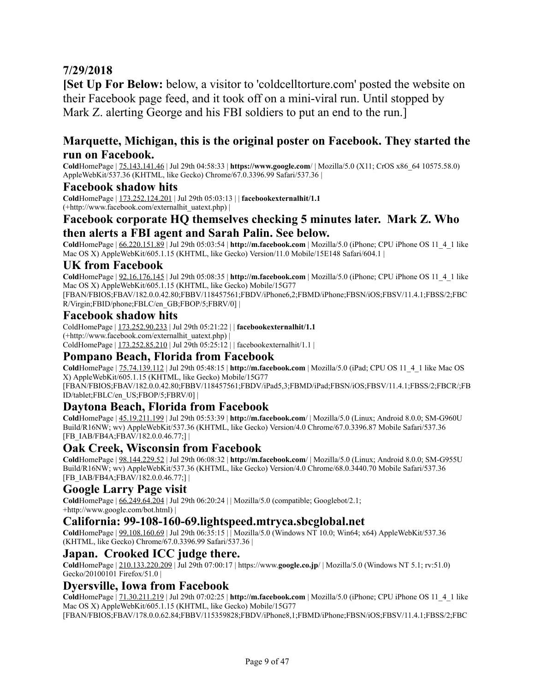# **7/29/2018**

**[Set Up For Below:** below, a visitor to 'coldcelltorture.com' posted the website on their Facebook page feed, and it took off on a mini-viral run. Until stopped by Mark Z. alerting George and his FBI soldiers to put an end to the run.]

### **Marquette, Michigan, this is the original poster on Facebook. They started the run on Facebook.**

**Cold**HomePage | 75.143.141.46 | Jul 29th 04:58:33 | **https://www.google.com**/ | Mozilla/5.0 (X11; CrOS x86\_64 10575.58.0) AppleWebKit/537.36 (KHTML, like Gecko) Chrome/67.0.3396.99 Safari/537.36 |

#### **Facebook shadow hits**

**Cold**HomePage | 173.252.124.201 | Jul 29th 05:03:13 | | **facebookexternalhit/1.1** (+http://www.facebook.com/externalhit\_uatext.php) |

### **Facebook corporate HQ themselves checking 5 minutes later. Mark Z. Who then alerts a FBI agent and Sarah Palin. See below.**

**Cold**HomePage | 66.220.151.89 | Jul 29th 05:03:54 | **http://m.facebook.com** | Mozilla/5.0 (iPhone; CPU iPhone OS 11\_4\_1 like Mac OS X) AppleWebKit/605.1.15 (KHTML, like Gecko) Version/11.0 Mobile/15E148 Safari/604.1 |

#### **UK from Facebook**

**Cold**HomePage | 92.16.176.145 | Jul 29th 05:08:35 | **http://m.facebook.com** | Mozilla/5.0 (iPhone; CPU iPhone OS 11\_4\_1 like Mac OS X) AppleWebKit/605.1.15 (KHTML, like Gecko) Mobile/15G77

[FBAN/FBIOS;FBAV/182.0.0.42.80;FBBV/118457561;FBDV/iPhone6,2;FBMD/iPhone;FBSN/iOS;FBSV/11.4.1;FBSS/2;FBC R/Virgin;FBID/phone;FBLC/en\_GB;FBOP/5;FBRV/0] |

#### **Facebook shadow hits**

ColdHomePage | 173.252.90.233 | Jul 29th 05:21:22 | | **facebookexternalhit/1.1** (+http://www.facebook.com/externalhit\_uatext.php) | ColdHomePage |  $173.252.85.210$  | Jul 29th 05:25:12 | | facebookexternalhit/1.1 |

#### **Pompano Beach, Florida from Facebook**

**Cold**HomePage | 75.74.139.112 | Jul 29th 05:48:15 | **http://m.facebook.com** | Mozilla/5.0 (iPad; CPU OS 11\_4\_1 like Mac OS X) AppleWebKit/605.1.15 (KHTML, like Gecko) Mobile/15G77 [FBAN/FBIOS;FBAV/182.0.0.42.80;FBBV/118457561;FBDV/iPad5,3;FBMD/iPad;FBSN/iOS;FBSV/11.4.1;FBSS/2;FBCR/;FB

ID/tablet;FBLC/en\_US;FBOP/5;FBRV/0] |

### **Daytona Beach, Florida from Facebook**

**Cold**HomePage | 45.19.211.199 | Jul 29th 05:53:39 | **http://m.facebook.com**/ | Mozilla/5.0 (Linux; Android 8.0.0; SM-G960U Build/R16NW; wv) AppleWebKit/537.36 (KHTML, like Gecko) Version/4.0 Chrome/67.0.3396.87 Mobile Safari/537.36 [FB\_IAB/FB4A;FBAV/182.0.0.46.77;] |

### **Oak Creek, Wisconsin from Facebook**

**Cold**HomePage | 98.144.229.52 | Jul 29th 06:08:32 | **http://m.facebook.com**/ | Mozilla/5.0 (Linux; Android 8.0.0; SM-G955U Build/R16NW; wv) AppleWebKit/537.36 (KHTML, like Gecko) Version/4.0 Chrome/68.0.3440.70 Mobile Safari/537.36 [FB\_IAB/FB4A;FBAV/182.0.0.46.77;] |

#### **Google Larry Page visit**

**Cold**HomePage | 66.249.64.204 | Jul 29th 06:20:24 | | Mozilla/5.0 (compatible; Googlebot/2.1; +http://www.google.com/bot.html) |

#### **California: 99-108-160-69.lightspeed.mtryca.sbcglobal.net**

**Cold**HomePage | 99.108.160.69 | Jul 29th 06:35:15 | | Mozilla/5.0 (Windows NT 10.0; Win64; x64) AppleWebKit/537.36 (KHTML, like Gecko) Chrome/67.0.3396.99 Safari/537.36 |

### **Japan. Crooked ICC judge there.**

**Cold**HomePage | 210.133.220.209 | Jul 29th 07:00:17 | https://www.**google.co.jp**/ | Mozilla/5.0 (Windows NT 5.1; rv:51.0) Gecko/20100101 Firefox/51.0 |

#### **Dyersville, Iowa from Facebook**

**Cold**HomePage | 71.30.211.219 | Jul 29th 07:02:25 | **http://m.facebook.com** | Mozilla/5.0 (iPhone; CPU iPhone OS 11\_4\_1 like Mac OS X) AppleWebKit/605.1.15 (KHTML, like Gecko) Mobile/15G77

[FBAN/FBIOS;FBAV/178.0.0.62.84;FBBV/115359828;FBDV/iPhone8,1;FBMD/iPhone;FBSN/iOS;FBSV/11.4.1;FBSS/2;FBC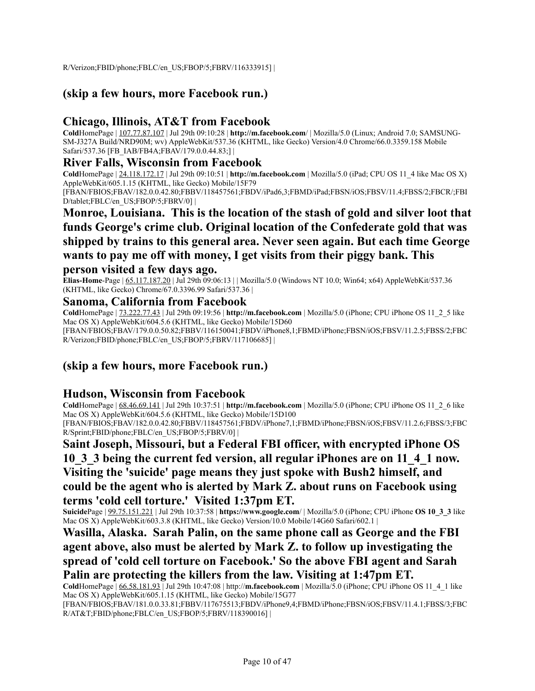R/Verizon;FBID/phone;FBLC/en\_US;FBOP/5;FBRV/116333915] |

# **(skip a few hours, more Facebook run.)**

### **Chicago, Illinois, AT&T from Facebook**

**Cold**HomePage | 107.77.87.107 | Jul 29th 09:10:28 | **http://m.facebook.com**/ | Mozilla/5.0 (Linux; Android 7.0; SAMSUNG-SM-J327A Build/NRD90M; wv) AppleWebKit/537.36 (KHTML, like Gecko) Version/4.0 Chrome/66.0.3359.158 Mobile Safari/537.36 [FB\_IAB/FB4A;FBAV/179.0.0.44.83;] |

#### **River Falls, Wisconsin from Facebook**

**Cold**HomePage | 24.118.172.17 | Jul 29th 09:10:51 | **http://m.facebook.com** | Mozilla/5.0 (iPad; CPU OS 11\_4 like Mac OS X) AppleWebKit/605.1.15 (KHTML, like Gecko) Mobile/15F79

[FBAN/FBIOS;FBAV/182.0.0.42.80;FBBV/118457561;FBDV/iPad6,3;FBMD/iPad;FBSN/iOS;FBSV/11.4;FBSS/2;FBCR/;FBI D/tablet;FBLC/en\_US;FBOP/5;FBRV/0] |

# **Monroe, Louisiana. This is the location of the stash of gold and silver loot that funds George's crime club. Original location of the Confederate gold that was shipped by trains to this general area. Never seen again. But each time George wants to pay me off with money, I get visits from their piggy bank. This**

#### **person visited a few days ago.**

**Elias-Home-Page** | <u>65.117.187.20</u> | Jul 29th 09:06:13 | | Mozilla/5.0 (Windows NT 10.0; Win64; x64) AppleWebKit/537.36 (KHTML, like Gecko) Chrome/67.0.3396.99 Safari/537.36 |

#### **Sanoma, California from Facebook**

**Cold**HomePage | 73.222.77.43 | Jul 29th 09:19:56 | **http://m.facebook.com** | Mozilla/5.0 (iPhone; CPU iPhone OS 11\_2\_5 like Mac OS X) AppleWebKit/604.5.6 (KHTML, like Gecko) Mobile/15D60 [FBAN/FBIOS;FBAV/179.0.0.50.82;FBBV/116150041;FBDV/iPhone8,1;FBMD/iPhone;FBSN/iOS;FBSV/11.2.5;FBSS/2;FBC R/Verizon;FBID/phone;FBLC/en\_US;FBOP/5;FBRV/117106685] |

### **(skip a few hours, more Facebook run.)**

### **Hudson, Wisconsin from Facebook**

**Cold**HomePage | 68.46.69.141 | Jul 29th 10:37:51 | **http://m.facebook.com** | Mozilla/5.0 (iPhone; CPU iPhone OS 11\_2\_6 like Mac OS X) AppleWebKit/604.5.6 (KHTML, like Gecko) Mobile/15D100 [FBAN/FBIOS;FBAV/182.0.0.42.80;FBBV/118457561;FBDV/iPhone7,1;FBMD/iPhone;FBSN/iOS;FBSV/11.2.6;FBSS/3;FBC

R/Sprint;FBID/phone;FBLC/en\_US;FBOP/5;FBRV/0] |

**Saint Joseph, Missouri, but a Federal FBI officer, with encrypted iPhone OS 10\_3\_3 being the current fed version, all regular iPhones are on 11\_4\_1 now. Visiting the 'suicide' page means they just spoke with Bush2 himself, and could be the agent who is alerted by Mark Z. about runs on Facebook using terms 'cold cell torture.' Visited 1:37pm ET.**

**Suicide**Page | 99.75.151.221 | Jul 29th 10:37:58 | **https://www.google.com**/ | Mozilla/5.0 (iPhone; CPU iPhone **OS 10\_3\_3** like Mac OS X) AppleWebKit/603.3.8 (KHTML, like Gecko) Version/10.0 Mobile/14G60 Safari/602.1 |

**Wasilla, Alaska. Sarah Palin, on the same phone call as George and the FBI agent above, also must be alerted by Mark Z. to follow up investigating the spread of 'cold cell torture on Facebook.' So the above FBI agent and Sarah Palin are protecting the killers from the law. Visiting at 1:47pm ET.**

**Cold**HomePage | 66.58.181.93 | Jul 29th 10:47:08 | http://**m.facebook.com** | Mozilla/5.0 (iPhone; CPU iPhone OS 11\_4\_1 like Mac OS X) AppleWebKit/605.1.15 (KHTML, like Gecko) Mobile/15G77

[FBAN/FBIOS;FBAV/181.0.0.33.81;FBBV/117675513;FBDV/iPhone9,4;FBMD/iPhone;FBSN/iOS;FBSV/11.4.1;FBSS/3;FBC R/AT&T;FBID/phone;FBLC/en\_US;FBOP/5;FBRV/118390016] |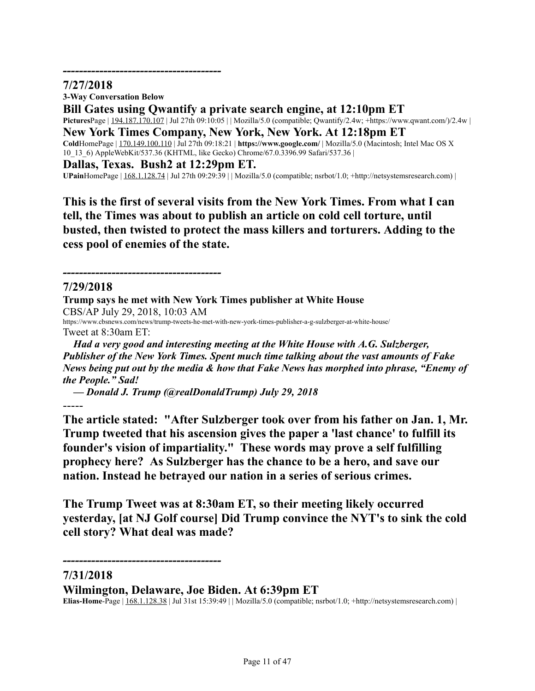### **7/27/2018**

**3-Way Conversation Below**

*---------------------------------------*

**Bill Gates using Qwantify a private search engine, at 12:10pm ET**

**Pictures**Page | 194.187.170.107 | Jul 27th 09:10:05 | | Mozilla/5.0 (compatible; Qwantify/2.4w; +https://www.qwant.com/)/2.4w |

**New York Times Company, New York, New York. At 12:18pm ET**

**Cold**HomePage | 170.149.100.110 | Jul 27th 09:18:21 | **https://www.google.com/** | Mozilla/5.0 (Macintosh; Intel Mac OS X 10\_13\_6) AppleWebKit/537.36 (KHTML, like Gecko) Chrome/67.0.3396.99 Safari/537.36 |

**Dallas, Texas. Bush2 at 12:29pm ET.**

*---------------------------------------*

**UPain**HomePage |  $168.1.128.74$  | Jul 27th 09:29:39 | | Mozilla/5.0 (compatible; nsrbot/1.0; +http://netsystemsresearch.com) |

**This is the first of several visits from the New York Times. From what I can tell, the Times was about to publish an article on cold cell torture, until busted, then twisted to protect the mass killers and torturers. Adding to the cess pool of enemies of the state.**

### **7/29/2018**

**Trump says he met with New York Times publisher at White House** CBS/AP July 29, 2018, 10:03 AM https://www.cbsnews.com/news/trump-tweets-he-met-with-new-york-times-publisher-a-g-sulzberger-at-white-house/ Tweet at 8:30am ET:

*Had a very good and interesting meeting at the White House with A.G. Sulzberger, Publisher of the New York Times. Spent much time talking about the vast amounts of Fake News being put out by the media & how that Fake News has morphed into phrase, "Enemy of the People." Sad!*

*— Donald J. Trump (@realDonaldTrump) July 29, 2018*

-----

**The article stated: "After Sulzberger took over from his father on Jan. 1, Mr. Trump tweeted that his ascension gives the paper a 'last chance' to fulfill its founder's vision of impartiality." These words may prove a self fulfilling prophecy here? As Sulzberger has the chance to be a hero, and save our nation. Instead he betrayed our nation in a series of serious crimes.**

**The Trump Tweet was at 8:30am ET, so their meeting likely occurred yesterday, [at NJ Golf course] Did Trump convince the NYT's to sink the cold cell story? What deal was made?**

**7/31/2018**

**Wilmington, Delaware, Joe Biden. At 6:39pm ET**

*---------------------------------------*

**Elias-Home**-Page | 168.1.128.38 | Jul 31st 15:39:49 | | Mozilla/5.0 (compatible; nsrbot/1.0; +http://netsystemsresearch.com) |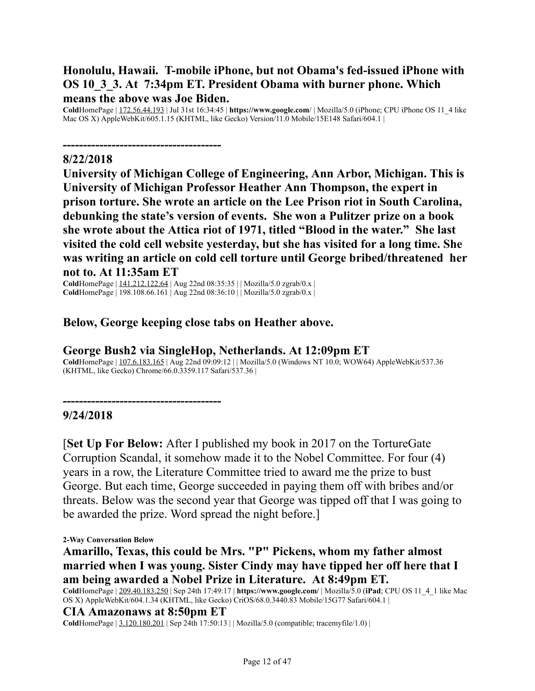# **Honolulu, Hawaii. T-mobile iPhone, but not Obama's fed-issued iPhone with OS 10\_3\_3. At 7:34pm ET. President Obama with burner phone. Which means the above was Joe Biden.**

**Cold**HomePage | 172.56.44.193 | Jul 31st 16:34:45 | **https://www.google.com**/ | Mozilla/5.0 (iPhone; CPU iPhone OS 11\_4 like Mac OS X) AppleWebKit/605.1.15 (KHTML, like Gecko) Version/11.0 Mobile/15E148 Safari/604.1 |

### **8/22/2018**

*---------------------------------------*

**University of Michigan College of Engineering, Ann Arbor, Michigan. This is University of Michigan Professor Heather Ann Thompson, the expert in prison torture. She wrote an article on the Lee Prison riot in South Carolina, debunking the state's version of events. She won a Pulitzer prize on a book she wrote about the Attica riot of 1971, titled "Blood in the water." She last visited the cold cell website yesterday, but she has visited for a long time. She was writing an article on cold cell torture until George bribed/threatened her not to. At 11:35am ET**

**Cold**HomePage | 141.212.122.64 | Aug 22nd 08:35:35 | | Mozilla/5.0 zgrab/0.x | **Cold**HomePage | 198.108.66.161 | Aug 22nd 08:36:10 | | Mozilla/5.0 zgrab/0.x |

# **Below, George keeping close tabs on Heather above.**

### **George Bush2 via SingleHop, Netherlands. At 12:09pm ET**

**Cold**HomePage | 107.6.183.165 | Aug 22nd 09:09:12 | | Mozilla/5.0 (Windows NT 10.0; WOW64) AppleWebKit/537.36 (KHTML, like Gecko) Chrome/66.0.3359.117 Safari/537.36 |

### **9/24/2018**

[**Set Up For Below:** After I published my book in 2017 on the TortureGate Corruption Scandal, it somehow made it to the Nobel Committee. For four (4) years in a row, the Literature Committee tried to award me the prize to bust George. But each time, George succeeded in paying them off with bribes and/or threats. Below was the second year that George was tipped off that I was going to be awarded the prize. Word spread the night before.]

#### **2-Way Conversation Below**

**Amarillo, Texas, this could be Mrs. "P" Pickens, whom my father almost married when I was young. Sister Cindy may have tipped her off here that I am being awarded a Nobel Prize in Literature. At 8:49pm ET.**

**Cold**HomePage | 209.40.183.250 | Sep 24th 17:49:17 | **https://www.google.com/** | Mozilla/5.0 (**iPad**; CPU OS 11\_4\_1 like Mac OS X) AppleWebKit/604.1.34 (KHTML, like Gecko) CriOS/68.0.3440.83 Mobile/15G77 Safari/604.1 |

#### **CIA Amazonaws at 8:50pm ET**

*---------------------------------------*

**Cold**HomePage | 3.120.180.201 | Sep 24th 17:50:13 | | Mozilla/5.0 (compatible; tracemyfile/1.0) |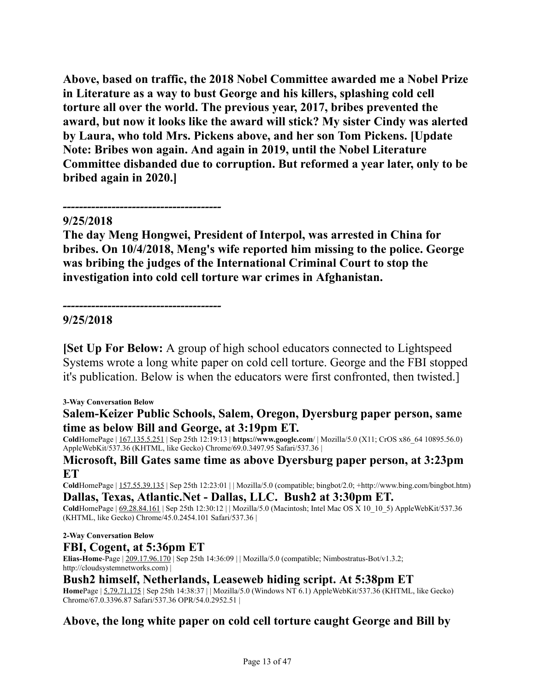**Above, based on traffic, the 2018 Nobel Committee awarded me a Nobel Prize in Literature as a way to bust George and his killers, splashing cold cell torture all over the world. The previous year, 2017, bribes prevented the award, but now it looks like the award will stick? My sister Cindy was alerted by Laura, who told Mrs. Pickens above, and her son Tom Pickens. [Update Note: Bribes won again. And again in 2019, until the Nobel Literature Committee disbanded due to corruption. But reformed a year later, only to be bribed again in 2020.]**

### **9/25/2018**

*---------------------------------------*

*---------------------------------------*

**The day Meng Hongwei, President of Interpol, was arrested in China for bribes. On 10/4/2018, Meng's wife reported him missing to the police. George was bribing the judges of the International Criminal Court to stop the investigation into cold cell torture war crimes in Afghanistan.**

### **9/25/2018**

**[Set Up For Below:** A group of high school educators connected to Lightspeed Systems wrote a long white paper on cold cell torture. George and the FBI stopped it's publication. Below is when the educators were first confronted, then twisted.]

#### **3-Way Conversation Below**

### **Salem-Keizer Public Schools, Salem, Oregon, Dyersburg paper person, same time as below Bill and George, at 3:19pm ET.**

**Cold**HomePage | 167.135.5.251 | Sep 25th 12:19:13 | **https://www.google.com**/ | Mozilla/5.0 (X11; CrOS x86\_64 10895.56.0) AppleWebKit/537.36 (KHTML, like Gecko) Chrome/69.0.3497.95 Safari/537.36 |

#### **Microsoft, Bill Gates same time as above Dyersburg paper person, at 3:23pm ET**

**Cold**HomePage | 157.55.39.135 | Sep 25th 12:23:01 | | Mozilla/5.0 (compatible; bingbot/2.0; +http://www.bing.com/bingbot.htm) **Dallas, Texas, Atlantic.Net - Dallas, LLC. Bush2 at 3:30pm ET.**

**Cold**HomePage  $| 69.28.84.161 |$  Sep 25th 12:30:12  $|$  Mozilla/5.0 (Macintosh; Intel Mac OS  $\bar{X}$  10 10 5) AppleWebKit/537.36 (KHTML, like Gecko) Chrome/45.0.2454.101 Safari/537.36 |

#### **2-Way Conversation Below**

### **FBI, Cogent, at 5:36pm ET**

**Elias-Home-Page** | 209.17.96.170 | Sep 25th 14:36:09 | | Mozilla/5.0 (compatible; Nimbostratus-Bot/v1.3.2; http://cloudsystemnetworks.com) |

### **Bush2 himself, Netherlands, Leaseweb hiding script. At 5:38pm ET**

**Home**Page | 5.79.71.175 | Sep 25th 14:38:37 | | Mozilla/5.0 (Windows NT 6.1) AppleWebKit/537.36 (KHTML, like Gecko) Chrome/67.0.3396.87 Safari/537.36 OPR/54.0.2952.51 |

### **Above, the long white paper on cold cell torture caught George and Bill by**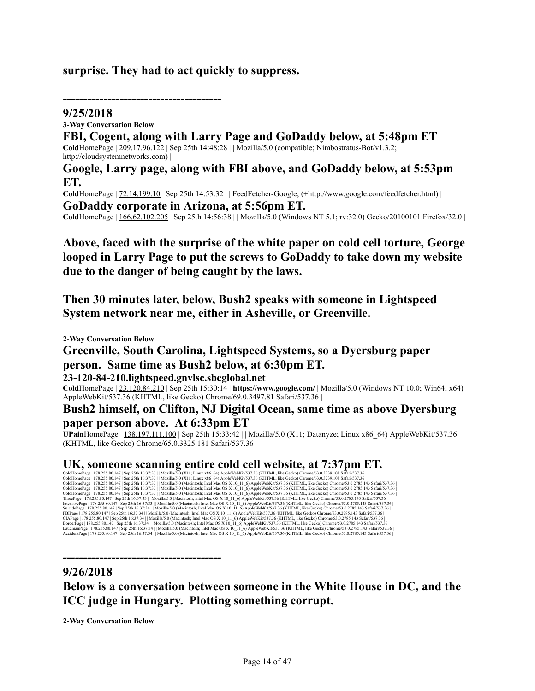### **surprise. They had to act quickly to suppress.**

### *---------------------------------------*

**9/25/2018 3-Way Conversation Below FBI, Cogent, along with Larry Page and GoDaddy below, at 5:48pm ET Cold**HomePage | 209.17.96.122 | Sep 25th 14:48:28 | | Mozilla/5.0 (compatible; Nimbostratus-Bot/v1.3.2; http://cloudsystemnetworks.com) | **Google, Larry page, along with FBI above, and GoDaddy below, at 5:53pm**

**ET. Cold**HomePage | 72.14.199.10 | Sep 25th 14:53:32 | | FeedFetcher-Google; (+http://www.google.com/feedfetcher.html) | **GoDaddy corporate in Arizona, at 5:56pm ET.**

**Cold**HomePage | 166.62.102.205 | Sep 25th 14:56:38 | | Mozilla/5.0 (Windows NT 5.1; rv:32.0) Gecko/20100101 Firefox/32.0 |

**Above, faced with the surprise of the white paper on cold cell torture, George looped in Larry Page to put the screws to GoDaddy to take down my website due to the danger of being caught by the laws.**

**Then 30 minutes later, below, Bush2 speaks with someone in Lightspeed System network near me, either in Asheville, or Greenville.**

**2-Way Conversation Below**

# **Greenville, South Carolina, Lightspeed Systems, so a Dyersburg paper person. Same time as Bush2 below, at 6:30pm ET.**

#### **23-120-84-210.lightspeed.gnvlsc.sbcglobal.net**

**Cold**HomePage | 23.120.84.210 | Sep 25th 15:30:14 | **https://www.google.com/** | Mozilla/5.0 (Windows NT 10.0; Win64; x64) AppleWebKit/537.36 (KHTML, like Gecko) Chrome/69.0.3497.81 Safari/537.36 |

# **Bush2 himself, on Clifton, NJ Digital Ocean, same time as above Dyersburg paper person above. At 6:33pm ET**

**UPain**HomePage | 138.197.111.100 | Sep 25th 15:33:42 | | Mozilla/5.0 (X11; Datanyze; Linux x86\_64) AppleWebKit/537.36 (KHTML, like Gecko) Chrome/65.0.3325.181 Safari/537.36 |

 $\rm \textbf{UK}, \textbf{S} \textbf{O} \textbf{m} \textbf{e} \textbf{e} | 178.255.80.147 | 85 \textbf{p} | 25 \textbf{h} | 6537:33 | [Max:135.0 (Matrix, 164] and 186.0 S x 10 11 6) AppleWebKi/537.36 (KHTML, like Geck) Chromé(53.0.278).143 Safini/537.36 | 232.081 53.02785.141 | 242.082 | 256.081 | 57.083 | 163.08$ 

### **9/26/2018**

**Below is a conversation between someone in the White House in DC, and the ICC judge in Hungary. Plotting something corrupt.**

**2-Way Conversation Below**

*---------------------------------------*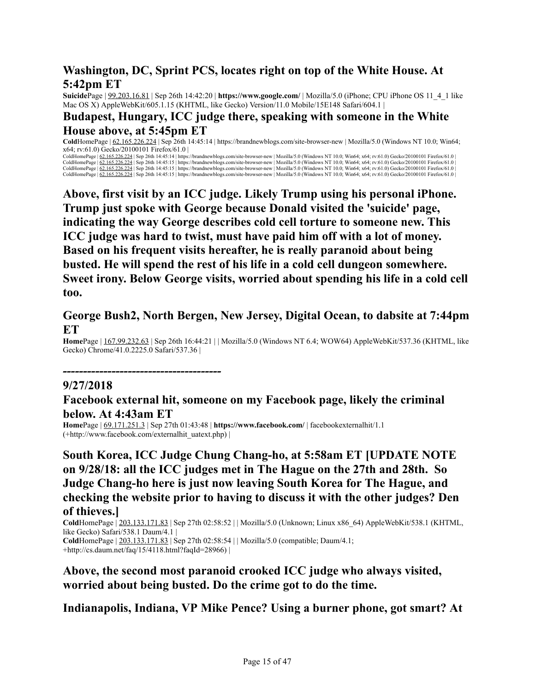# **Washington, DC, Sprint PCS, locates right on top of the White House. At 5:42pm ET**

**Suicide**Page | 99.203.16.81 | Sep 26th 14:42:20 | **https://www.google.com/** | Mozilla/5.0 (iPhone; CPU iPhone OS 11\_4\_1 like Mac OS X) AppleWebKit/605.1.15 (KHTML, like Gecko) Version 11.0 Mobile/15E148 Safari/604.1 |

### **Budapest, Hungary, ICC judge there, speaking with someone in the White House above, at 5:45pm ET**

**Cold**HomePage | 62.165.226.224 | Sep 26th 14:45:14 | https://brandnewblogs.com/site-browser-new | Mozilla/5.0 (Windows NT 10.0; Win64;  $x64$ ; rv:61.0) Gecko/20100101 Firefox/61.0 |

ColdHomePage | 62.165.226.224 | Sep 26th 14:45:14 | https://brandnewblogs.com/site-browser-new | Mozilla/5.0 (Windows NT 10.0; Win64; x64; rv:61.0) Gecko/20100101 Firefox/61.0 | ColdHomePage | <u>62.165.226.224</u> | Sep 26th 14:45:15 | https://brandnewblogs.com/site-browser-new | Mozilla/5.0 (Windows NT 10.0; Win64; x64; rv:61.0) Gecko/20100101 Firefox/61.0<br>ColdHomePage | <u>62.165.226.224</u> | Sep 26th 1 ColdHomePage  $\frac{62.165.226.224}{8}$  Sep 26th 14:45:15 | https://brandnewblogs.com/site-browser-new | Mozilla/5.0 (Windows NT 10.0; Win64; x64; rv:61.0) Gecko/20100101 Firefox/61.0 |

**Above, first visit by an ICC judge. Likely Trump using his personal iPhone. Trump just spoke with George because Donald visited the 'suicide' page, indicating the way George describes cold cell torture to someone new. This ICC judge was hard to twist, must have paid him off with a lot of money. Based on his frequent visits hereafter, he is really paranoid about being busted. He will spend the rest of his life in a cold cell dungeon somewhere. Sweet irony. Below George visits, worried about spending his life in a cold cell too.**

### **George Bush2, North Bergen, New Jersey, Digital Ocean, to dabsite at 7:44pm ET**

**Home**Page | 167.99.232.63 | Sep 26th 16:44:21 | | Mozilla/5.0 (Windows NT 6.4; WOW64) AppleWebKit/537.36 (KHTML, like Gecko) Chrome/41.0.2225.0 Safari/537.36 |

*---------------------------------------*

### **9/27/2018**

### **Facebook external hit, someone on my Facebook page, likely the criminal below. At 4:43am ET**

**Home**Page | 69.171.251.3 | Sep 27th 01:43:48 | **https://www.facebook.com/** | facebookexternalhit/1.1 (+http://www.facebook.com/externalhit\_uatext.php) |

# **South Korea, ICC Judge Chung Chang-ho, at 5:58am ET [UPDATE NOTE on 9/28/18: all the ICC judges met in The Hague on the 27th and 28th. So Judge Chang-ho here is just now leaving South Korea for The Hague, and checking the website prior to having to discuss it with the other judges? Den of thieves.]**

**Cold**HomePage | 203.133.171.83 | Sep 27th 02:58:52 | | Mozilla/5.0 (Unknown; Linux x86\_64) AppleWebKit/538.1 (KHTML, like Gecko) Safari/538.1 Daum/4.1 | **Cold**HomePage | 203.133.171.83 | Sep 27th 02:58:54 | | Mozilla/5.0 (compatible; Daum/4.1; +http://cs.daum.net/faq/15/4118.html?faqId=28966) |

# **Above, the second most paranoid crooked ICC judge who always visited, worried about being busted. Do the crime got to do the time.**

**Indianapolis, Indiana, VP Mike Pence? Using a burner phone, got smart? At**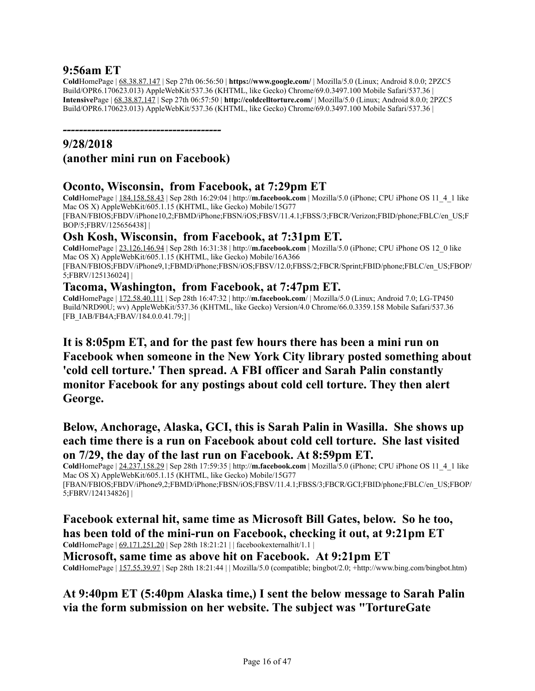### **9:56am ET**

**Cold**HomePage | 68.38.87.147 | Sep 27th 06:56:50 | **https://www.google.com/** | Mozilla/5.0 (Linux; Android 8.0.0; 2PZC5 Build/OPR6.170623.013) AppleWebKit/537.36 (KHTML, like Gecko) Chrome/69.0.3497.100 Mobile Safari/537.36 | **Intensive**Page | 68.38.87.147 | Sep 27th 06:57:50 | **http://coldcelltorture.com/** | Mozilla/5.0 (Linux; Android 8.0.0; 2PZC5 Build/OPR6.170623.013) AppleWebKit/537.36 (KHTML, like Gecko) Chrome/69.0.3497.100 Mobile Safari/537.36 |

### *---------------------------------------* **9/28/2018**

# **(another mini run on Facebook)**

### **Oconto, Wisconsin, from Facebook, at 7:29pm ET**

**Cold**HomePage | 184.158.58.43 | Sep 28th 16:29:04 | http://**m.facebook.com** | Mozilla/5.0 (iPhone; CPU iPhone OS 11\_4\_1 like Mac OS X) AppleWebKit/605.1.15 (KHTML, like Gecko) Mobile/15G77 [FBAN/FBIOS;FBDV/iPhone10,2;FBMD/iPhone;FBSN/iOS;FBSV/11.4.1;FBSS/3;FBCR/Verizon;FBID/phone;FBLC/en\_US;F BOP/5;FBRV/125656438] |

# **Osh Kosh, Wisconsin, from Facebook, at 7:31pm ET.**

**Cold**HomePage | 23.126.146.94 | Sep 28th 16:31:38 | http://**m.facebook.com** | Mozilla/5.0 (iPhone; CPU iPhone OS 12\_0 like Mac OS X) AppleWebKit/605.1.15 (KHTML, like Gecko) Mobile/16A366 [FBAN/FBIOS;FBDV/iPhone9,1;FBMD/iPhone;FBSN/iOS;FBSV/12.0;FBSS/2;FBCR/Sprint;FBID/phone;FBLC/en\_US;FBOP/ 5;FBRV/125136024] |

### **Tacoma, Washington, from Facebook, at 7:47pm ET.**

**Cold**HomePage | 172.58.40.111 | Sep 28th 16:47:32 | http://**m.facebook.com**/ | Mozilla/5.0 (Linux; Android 7.0; LG-TP450 Build/NRD90U; wv) AppleWebKit/537.36 (KHTML, like Gecko) Version/4.0 Chrome/66.0.3359.158 Mobile Safari/537.36 [FB\_IAB/FB4A;FBAV/184.0.0.41.79;] |

**It is 8:05pm ET, and for the past few hours there has been a mini run on Facebook when someone in the New York City library posted something about 'cold cell torture.' Then spread. A FBI officer and Sarah Palin constantly monitor Facebook for any postings about cold cell torture. They then alert George.**

# **Below, Anchorage, Alaska, GCI, this is Sarah Palin in Wasilla. She shows up each time there is a run on Facebook about cold cell torture. She last visited on 7/29, the day of the last run on Facebook. At 8:59pm ET.**

**Cold**HomePage | 24.237.158.29 | Sep 28th 17:59:35 | http://**m.facebook.com** | Mozilla/5.0 (iPhone; CPU iPhone OS 11\_4\_1 like Mac OS X) AppleWebKit/605.1.15 (KHTML, like Gecko) Mobile/15G77 [FBAN/FBIOS;FBDV/iPhone9,2;FBMD/iPhone;FBSN/iOS;FBSV/11.4.1;FBSS/3;FBCR/GCI;FBID/phone;FBLC/en\_US;FBOP/ 5;FBRV/124134826] |

**Facebook external hit, same time as Microsoft Bill Gates, below. So he too, has been told of the mini-run on Facebook, checking it out, at 9:21pm ET Cold**HomePage | 69.171.251.20 | Sep 28th 18:21:21 | | facebookexternalhit/1.1 | **Microsoft, same time as above hit on Facebook. At 9:21pm ET Cold**HomePage | 157.55.39.97 | Sep 28th 18:21:44 | | Mozilla/5.0 (compatible; bingbot/2.0; +http://www.bing.com/bingbot.htm)

# **At 9:40pm ET (5:40pm Alaska time,) I sent the below message to Sarah Palin via the form submission on her website. The subject was "TortureGate**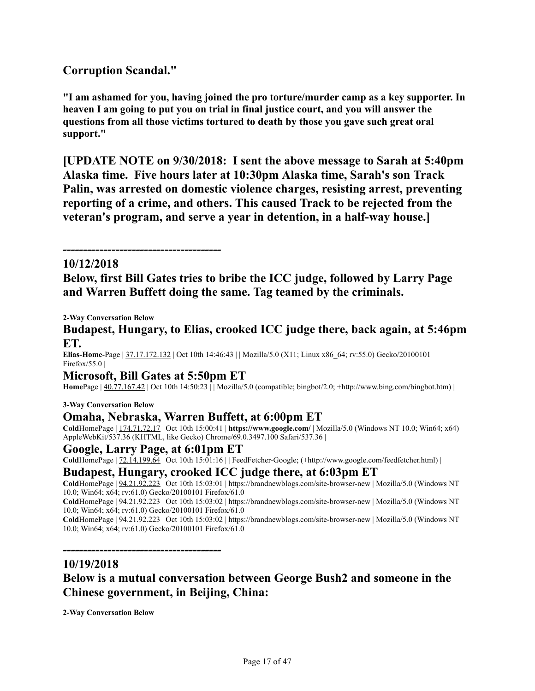# **Corruption Scandal."**

**"I am ashamed for you, having joined the pro torture/murder camp as a key supporter. In heaven I am going to put you on trial in final justice court, and you will answer the questions from all those victims tortured to death by those you gave such great oral support."**

**[UPDATE NOTE on 9/30/2018: I sent the above message to Sarah at 5:40pm Alaska time. Five hours later at 10:30pm Alaska time, Sarah's son Track Palin, was arrested on domestic violence charges, resisting arrest, preventing reporting of a crime, and others. This caused Track to be rejected from the veteran's program, and serve a year in detention, in a half-way house.]**

# *---------------------------------------*

**10/12/2018 Below, first Bill Gates tries to bribe the ICC judge, followed by Larry Page and Warren Buffett doing the same. Tag teamed by the criminals.**

**2-Way Conversation Below**

**Budapest, Hungary, to Elias, crooked ICC judge there, back again, at 5:46pm ET.**

**Elias-Home**-Page | 37.17.172.132 | Oct 10th 14:46:43 | | Mozilla/5.0 (X11; Linux x86\_64; rv:55.0) Gecko/20100101 Firefox/55.0 |

#### **Microsoft, Bill Gates at 5:50pm ET**

**Home**Page  $\left| \frac{40.77.167.42}{2} \right|$  Oct 10th 14:50:23  $\left| \right|$  Mozilla/5.0 (compatible; bingbot/2.0; +http://www.bing.com/bingbot.htm)

#### **3-Way Conversation Below**

#### **Omaha, Nebraska, Warren Buffett, at 6:00pm ET**

**Cold**HomePage | 174.71.72.17 | Oct 10th 15:00:41 | **https://www.google.com/** | Mozilla/5.0 (Windows NT 10.0; Win64; x64) AppleWebKit/537.36 (KHTML, like Gecko) Chrome/69.0.3497.100 Safari/537.36 |

#### **Google, Larry Page, at 6:01pm ET**

*---------------------------------------*

**Cold**HomePage | 72.14.199.64 | Oct 10th 15:01:16 | | FeedFetcher-Google; (+http://www.google.com/feedfetcher.html) |

#### **Budapest, Hungary, crooked ICC judge there, at 6:03pm ET**

**Cold**HomePage | 94.21.92.223 | Oct 10th 15:03:01 | https://brandnewblogs.com/site-browser-new | Mozilla/5.0 (Windows NT 10.0; Win64; x64; rv:61.0) Gecko/20100101 Firefox/61.0 |

**Cold**HomePage | 94.21.92.223 | Oct 10th 15:03:02 | https://brandnewblogs.com/site-browser-new | Mozilla/5.0 (Windows NT 10.0; Win64; x64; rv:61.0) Gecko/20100101 Firefox/61.0 |

**Cold**HomePage | 94.21.92.223 | Oct 10th 15:03:02 | https://brandnewblogs.com/site-browser-new | Mozilla/5.0 (Windows NT 10.0; Win64; x64; rv:61.0) Gecko/20100101 Firefox/61.0 |

#### **10/19/2018**

**Below is a mutual conversation between George Bush2 and someone in the Chinese government, in Beijing, China:**

**2-Way Conversation Below**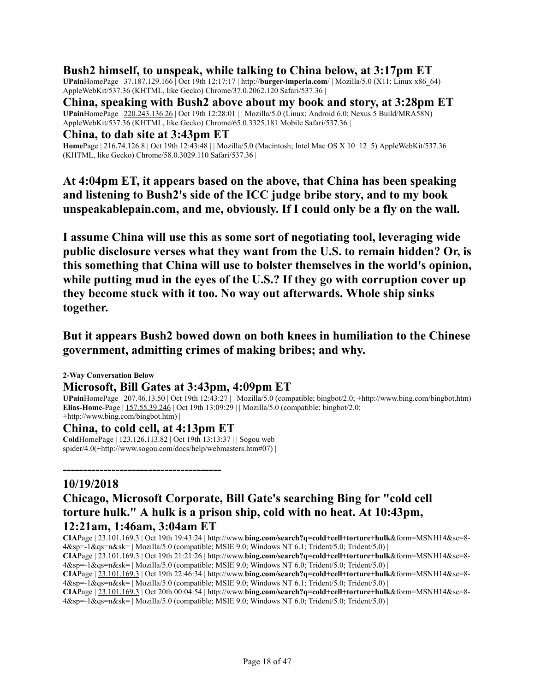### **Bush2 himself, to unspeak, while talking to China below, at 3:17pm ET**

**UPain**HomePage | 37.187.129.166 | Oct 19th 12:17:17 | http://**burger-imperia.com**/ | Mozilla/5.0 (X11; Linux x86\_64) AppleWebKit/537.36 (KHTML, like Gecko) Chrome/37.0.2062.120 Safari/537.36 |

**China, speaking with Bush2 above about my book and story, at 3:28pm ET UPain**HomePage | 220.243.136.26 | Oct 19th 12:28:01 | | Mozilla/5.0 (Linux; Android 6.0; Nexus 5 Build/MRA58N) AppleWebKit/537.36 (KHTML, like Gecko) Chrome/65.0.3325.181 Mobile Safari/537.36 |

#### **China, to dab site at 3:43pm ET**

**Home**Page | 216.74.126.8 | Oct 19th 12:43:48 | | Mozilla/5.0 (Macintosh; Intel Mac OS X 10\_12\_5) AppleWebKit/537.36 (KHTML, like Gecko) Chrome/58.0.3029.110 Safari/537.36 |

**At 4:04pm ET, it appears based on the above, that China has been speaking and listening to Bush2's side of the ICC judge bribe story, and to my book unspeakablepain.com, and me, obviously. If I could only be a fly on the wall.**

**I assume China will use this as some sort of negotiating tool, leveraging wide public disclosure verses what they want from the U.S. to remain hidden? Or, is this something that China will use to bolster themselves in the world's opinion, while putting mud in the eyes of the U.S.? If they go with corruption cover up they become stuck with it too. No way out afterwards. Whole ship sinks together.**

# **But it appears Bush2 bowed down on both knees in humiliation to the Chinese government, admitting crimes of making bribes; and why.**

**2-Way Conversation Below Microsoft, Bill Gates at 3:43pm, 4:09pm ET UPain**HomePage | 207.46.13.50 | Oct 19th 12:43:27 | | Mozilla/5.0 (compatible; bingbot/2.0; +http://www.bing.com/bingbot.htm) **Elias-Home**-Page | 157.55.39.246 | Oct 19th 13:09:29 | | Mozilla/5.0 (compatible; bingbot/2.0; +http://www.bing.com/bingbot.htm) |

#### **China, to cold cell, at 4:13pm ET**

*---------------------------------------*

**Cold**HomePage | 123.126.113.82 | Oct 19th 13:13:37 | | Sogou web spider/4.0(+http://www.sogou.com/docs/help/webmasters.htm#07) |

### **10/19/2018**

# **Chicago, Microsoft Corporate, Bill Gate's searching Bing for "cold cell torture hulk." A hulk is a prison ship, cold with no heat. At 10:43pm, 12:21am, 1:46am, 3:04am ET**

**CIA**Page | 23.101.169.3 | Oct 19th 19:43:24 | http://www.**bing.com/search?q=cold+cell+torture+hulk**&form=MSNH14&sc=8- 4&sp=-1&qs=n&sk= | Mozilla/5.0 (compatible; MSIE 9.0; Windows NT 6.1; Trident/5.0; Trident/5.0) |

**CIA**Page | 23.101.169.3 | Oct 19th 21:21:26 | http://www.**bing.com/search?q=cold+cell+torture+hulk**&form=MSNH14&sc=8- 4&sp=-1&qs=n&sk= | Mozilla/5.0 (compatible; MSIE 9.0; Windows NT 6.0; Trident/5.0; Trident/5.0) |

**CIA**Page | 23.101.169.3 | Oct 19th 22:46:34 | http://www.**bing.com/search?q=cold+cell+torture+hulk**&form=MSNH14&sc=8- 4&sp=-1&qs=n&sk= | Mozilla/5.0 (compatible; MSIE 9.0; Windows NT 6.1; Trident/5.0; Trident/5.0) |

**CIA**Page | 23.101.169.3 | Oct 20th 00:04:54 | http://www.**bing.com/search?q=cold+cell+torture+hulk**&form=MSNH14&sc=8- 4&sp=-1&qs=n&sk= | Mozilla/5.0 (compatible; MSIE 9.0; Windows NT 6.0; Trident/5.0; Trident/5.0) |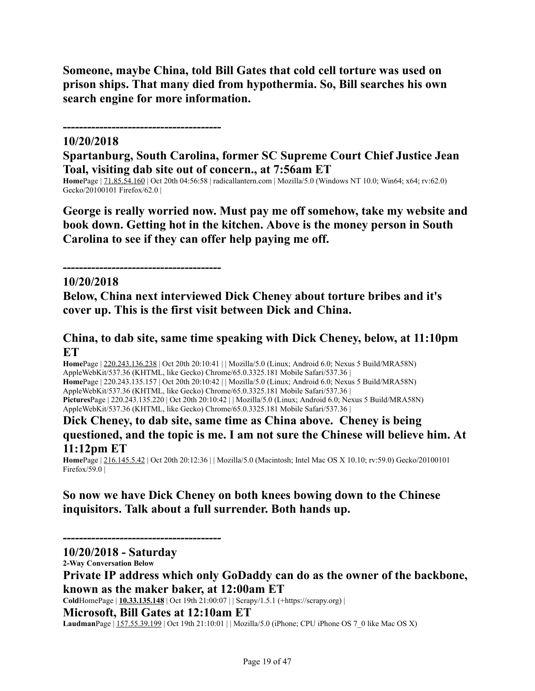**Someone, maybe China, told Bill Gates that cold cell torture was used on prison ships. That many died from hypothermia. So, Bill searches his own search engine for more information.**

### *---------------------------------------*

*---------------------------------------*

### **10/20/2018**

**Spartanburg, South Carolina, former SC Supreme Court Chief Justice Jean Toal, visiting dab site out of concern., at 7:56am ET**

**Home**Page | 71.85.54.160 | Oct 20th 04:56:58 | radicallantern.com | Mozilla/5.0 (Windows NT 10.0; Win64; x64; rv:62.0) Gecko/20100101 Firefox/62.0 |

**George is really worried now. Must pay me off somehow, take my website and book down. Getting hot in the kitchen. Above is the money person in South Carolina to see if they can offer help paying me off.**

#### **10/20/2018**

**Below, China next interviewed Dick Cheney about torture bribes and it's cover up. This is the first visit between Dick and China.**

### **China, to dab site, same time speaking with Dick Cheney, below, at 11:10pm ET**

**Home**Page | 220.243.136.238 | Oct 20th 20:10:41 | | Mozilla/5.0 (Linux; Android 6.0; Nexus 5 Build/MRA58N) AppleWebKit/537.36 (KHTML, like Gecko) Chrome/65.0.3325.181 Mobile Safari/537.36 | **Home**Page | 220.243.135.157 | Oct 20th 20:10:42 | | Mozilla/5.0 (Linux; Android 6.0; Nexus 5 Build/MRA58N) AppleWebKit/537.36 (KHTML, like Gecko) Chrome/65.0.3325.181 Mobile Safari/537.36 | **Pictures**Page | 220.243.135.220 | Oct 20th 20:10:42 | | Mozilla/5.0 (Linux; Android 6.0; Nexus 5 Build/MRA58N) AppleWebKit/537.36 (KHTML, like Gecko) Chrome/65.0.3325.181 Mobile Safari/537.36 |

### **Dick Cheney, to dab site, same time as China above. Cheney is being questioned, and the topic is me. I am not sure the Chinese will believe him. At 11:12pm ET**

**Home**Page | 216.145.5.42 | Oct 20th 20:12:36 | | Mozilla/5.0 (Macintosh; Intel Mac OS X 10.10; rv:59.0) Gecko/20100101 Firefox/59.0 |

# **So now we have Dick Cheney on both knees bowing down to the Chinese inquisitors. Talk about a full surrender. Both hands up.**

*---------------------------------------*

**10/20/2018 - Saturday**

**2-Way Conversation Below**

**Private IP address which only GoDaddy can do as the owner of the backbone, known as the maker baker, at 12:00am ET**

**Cold**HomePage | **10.33.135.148** | Oct 19th 21:00:07 | | Scrapy/1.5.1 (+https://scrapy.org) |

**Microsoft, Bill Gates at 12:10am ET**

LaudmanPage | 157.55.39.199 | Oct 19th 21:10:01 | | Mozilla/5.0 (iPhone; CPU iPhone OS 7\_0 like Mac OS X)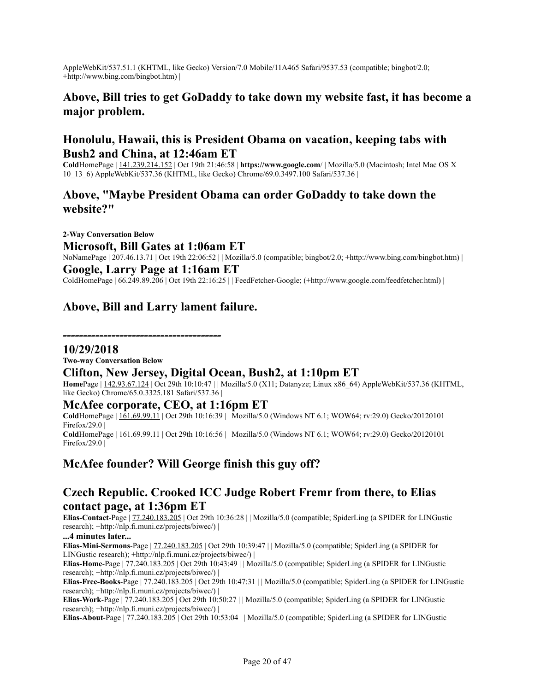AppleWebKit/537.51.1 (KHTML, like Gecko) Version/7.0 Mobile/11A465 Safari/9537.53 (compatible; bingbot/2.0; +http://www.bing.com/bingbot.htm) |

# **Above, Bill tries to get GoDaddy to take down my website fast, it has become a major problem.**

### **Honolulu, Hawaii, this is President Obama on vacation, keeping tabs with Bush2 and China, at 12:46am ET**

**Cold**HomePage | 141.239.214.152 | Oct 19th 21:46:58 | **https://www.google.com**/ | Mozilla/5.0 (Macintosh; Intel Mac OS X 10\_13\_6) AppleWebKit/537.36 (KHTML, like Gecko) Chrome/69.0.3497.100 Safari/537.36 |

### **Above, "Maybe President Obama can order GoDaddy to take down the website?"**

**2-Way Conversation Below Microsoft, Bill Gates at 1:06am ET** NoNamePage | 207.46.13.71 | Oct 19th 22:06:52 | | Mozilla/5.0 (compatible; bingbot/2.0; +http://www.bing.com/bingbot.htm) | **Google, Larry Page at 1:16am ET** ColdHomePage | 66.249.89.206 | Oct 19th 22:16:25 | | FeedFetcher-Google; (+http://www.google.com/feedfetcher.html) |

# **Above, Bill and Larry lament failure.**

*---------------------------------------*

#### **10/29/2018**

**Two-way Conversation Below**

### **Clifton, New Jersey, Digital Ocean, Bush2, at 1:10pm ET**

**Home**Page | 142.93.67.124 | Oct 29th 10:10:47 | | Mozilla/5.0 (X11; Datanyze; Linux x86\_64) AppleWebKit/537.36 (KHTML, like Gecko) Chrome/65.0.3325.181 Safari/537.36 |

#### **McAfee corporate, CEO, at 1:16pm ET**

**Cold**HomePage | 161.69.99.11 | Oct 29th 10:16:39 | | Mozilla/5.0 (Windows NT 6.1; WOW64; rv:29.0) Gecko/20120101 Firefox/29.0 | **Cold**HomePage | 161.69.99.11 | Oct 29th 10:16:56 | | Mozilla/5.0 (Windows NT 6.1; WOW64; rv:29.0) Gecko/20120101 Firefox/29.0  $\vert$ 

### **McAfee founder? Will George finish this guy off?**

### **Czech Republic. Crooked ICC Judge Robert Fremr from there, to Elias contact page, at 1:36pm ET**

**Elias-Contact**-Page | 77.240.183.205 | Oct 29th 10:36:28 | | Mozilla/5.0 (compatible; SpiderLing (a SPIDER for LINGustic research); +http://nlp.fi.muni.cz/projects/biwec/) |

#### **...4 minutes later...**

**Elias-Mini-Sermons**-Page | 77.240.183.205 | Oct 29th 10:39:47 | | Mozilla/5.0 (compatible; SpiderLing (a SPIDER for LINGustic research); +http://nlp.fi.muni.cz/projects/biwec/) |

**Elias-Home**-Page | 77.240.183.205 | Oct 29th 10:43:49 | | Mozilla/5.0 (compatible; SpiderLing (a SPIDER for LINGustic research); +http://nlp.fi.muni.cz/projects/biwec/) |

**Elias-Free-Books**-Page | 77.240.183.205 | Oct 29th 10:47:31 | | Mozilla/5.0 (compatible; SpiderLing (a SPIDER for LINGustic research); +http://nlp.fi.muni.cz/projects/biwec/) |

**Elias-Work**-Page | 77.240.183.205 | Oct 29th 10:50:27 | | Mozilla/5.0 (compatible; SpiderLing (a SPIDER for LINGustic research); +http://nlp.fi.muni.cz/projects/biwec/) |

**Elias-About**-Page | 77.240.183.205 | Oct 29th 10:53:04 | | Mozilla/5.0 (compatible; SpiderLing (a SPIDER for LINGustic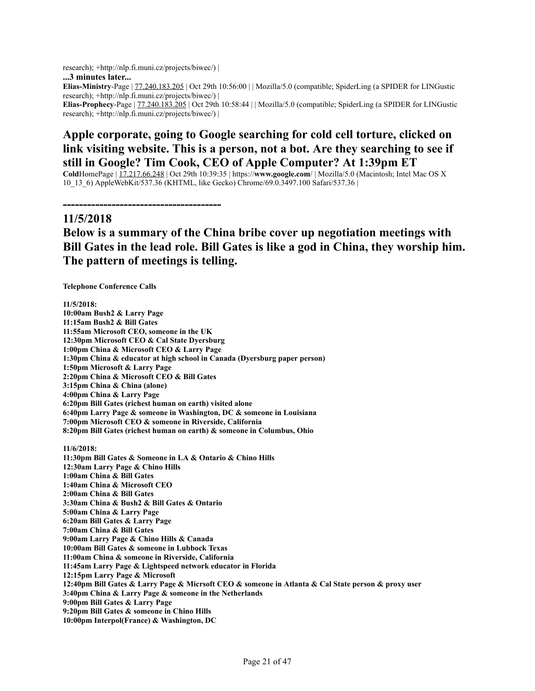research); +http://nlp.fi.muni.cz/projects/biwec/) | **...3 minutes later... Elias-Ministry**-Page | 77.240.183.205 | Oct 29th 10:56:00 | | Mozilla/5.0 (compatible; SpiderLing (a SPIDER for LINGustic research); +http://nlp.fi.muni.cz/projects/biwec/) | **Elias-Prophecy**-Page | 77.240.183.205 | Oct 29th 10:58:44 | | Mozilla/5.0 (compatible; SpiderLing (a SPIDER for LINGustic research); +http://nlp.fi.muni.cz/projects/biwec/) |

# **Apple corporate, going to Google searching for cold cell torture, clicked on link visiting website. This is a person, not a bot. Are they searching to see if still in Google? Tim Cook, CEO of Apple Computer? At 1:39pm ET**

**Cold**HomePage | 17.217.66.248 | Oct 29th 10:39:35 | https://**www.google.com**/ | Mozilla/5.0 (Macintosh; Intel Mac OS X 10\_13\_6) AppleWebKit/537.36 (KHTML, like Gecko) Chrome/69.0.3497.100 Safari/537.36 |

#### **11/5/2018**

# **Below is a summary of the China bribe cover up negotiation meetings with Bill Gates in the lead role. Bill Gates is like a god in China, they worship him. The pattern of meetings is telling.**

**Telephone Conference Calls**

*---------------------------------------*

**11/5/2018: 10:00am Bush2 & Larry Page 11:15am Bush2 & Bill Gates 11:55am Microsoft CEO, someone in the UK 12:30pm Microsoft CEO & Cal State Dyersburg 1:00pm China & Microsoft CEO & Larry Page 1:30pm China & educator at high school in Canada (Dyersburg paper person) 1:50pm Microsoft & Larry Page 2:20pm China & Microsoft CEO & Bill Gates 3:15pm China & China (alone) 4:00pm China & Larry Page 6:20pm Bill Gates (richest human on earth) visited alone 6:40pm Larry Page & someone in Washington, DC & someone in Louisiana 7:00pm Microsoft CEO & someone in Riverside, California 8:20pm Bill Gates (richest human on earth) & someone in Columbus, Ohio 11/6/2018: 11:30pm Bill Gates & Someone in LA & Ontario & Chino Hills 12:30am Larry Page & Chino Hills 1:00am China & Bill Gates 1:40am China & Microsoft CEO 2:00am China & Bill Gates 3:30am China & Bush2 & Bill Gates & Ontario 5:00am China & Larry Page 6:20am Bill Gates & Larry Page 7:00am China & Bill Gates 9:00am Larry Page & Chino Hills & Canada 10:00am Bill Gates & someone in Lubbock Texas 11:00am China & someone in Riverside, California 11:45am Larry Page & Lightspeed network educator in Florida 12:15pm Larry Page & Microsoft** 12:40pm Bill Gates & Larry Page & Micrsoft CEO & someone in Atlanta & Cal State person & proxy user **3:40pm China & Larry Page & someone in the Netherlands 9:00pm Bill Gates & Larry Page 9:20pm Bill Gates & someone in Chino Hills**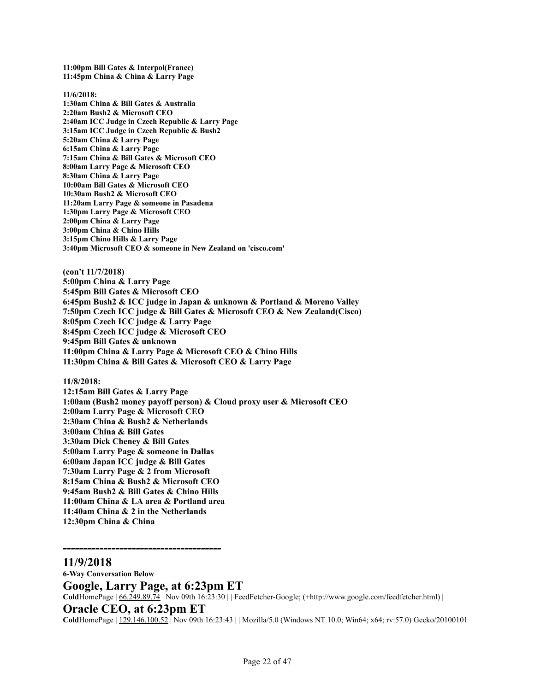**11:00pm Bill Gates & Interpol(France) 11:45pm China & China & Larry Page**

**11/6/2018: 1:30am China & Bill Gates & Australia 2:20am Bush2 & Microsoft CEO 2:40am ICC Judge in Czech Republic & Larry Page 3:15am ICC Judge in Czech Republic & Bush2 5:20am China & Larry Page 6:15am China & Larry Page 7:15am China & Bill Gates & Microsoft CEO 8:00am Larry Page & Microsoft CEO 8:30am China & Larry Page 10:00am Bill Gates & Microsoft CEO 10:30am Bush2 & Microsoft CEO 11:20am Larry Page & someone in Pasadena 1:30pm Larry Page & Microsoft CEO 2:00pm China & Larry Page 3:00pm China & Chino Hills 3:15pm Chino Hills & Larry Page 3:40pm Microsoft CEO & someone in New Zealand on 'cisco.com'**

**(con't 11/7/2018) 5:00pm China & Larry Page 5:45pm Bill Gates & Microsoft CEO 6:45pm Bush2 & ICC judge in Japan & unknown & Portland & Moreno Valley 7:50pm Czech ICC judge & Bill Gates & Microsoft CEO & New Zealand(Cisco) 8:05pm Czech ICC judge & Larry Page 8:45pm Czech ICC judge & Microsoft CEO 9:45pm Bill Gates & unknown 11:00pm China & Larry Page & Microsoft CEO & Chino Hills 11:30pm China & Bill Gates & Microsoft CEO & Larry Page**

**11/8/2018:**

**12:15am Bill Gates & Larry Page 1:00am (Bush2 money payoff person) & Cloud proxy user & Microsoft CEO 2:00am Larry Page & Microsoft CEO 2:30am China & Bush2 & Netherlands 3:00am China & Bill Gates 3:30am Dick Cheney & Bill Gates 5:00am Larry Page & someone in Dallas 6:00am Japan ICC judge & Bill Gates 7:30am Larry Page & 2 from Microsoft 8:15am China & Bush2 & Microsoft CEO 9:45am Bush2 & Bill Gates & Chino Hills 11:00am China & LA area & Portland area 11:40am China & 2 in the Netherlands 12:30pm China & China**

#### **11/9/2018**

*---------------------------------------*

**6-Way Conversation Below Google, Larry Page, at 6:23pm ET Cold**HomePage | 66.249.89.74 | Nov 09th 16:23:30 | | FeedFetcher-Google; (+http://www.google.com/feedfetcher.html) | **Oracle CEO, at 6:23pm ET Cold**HomePage | 129.146.100.52 | Nov 09th 16:23:43 | | Mozilla/5.0 (Windows NT 10.0; Win64; x64; rv:57.0) Gecko/20100101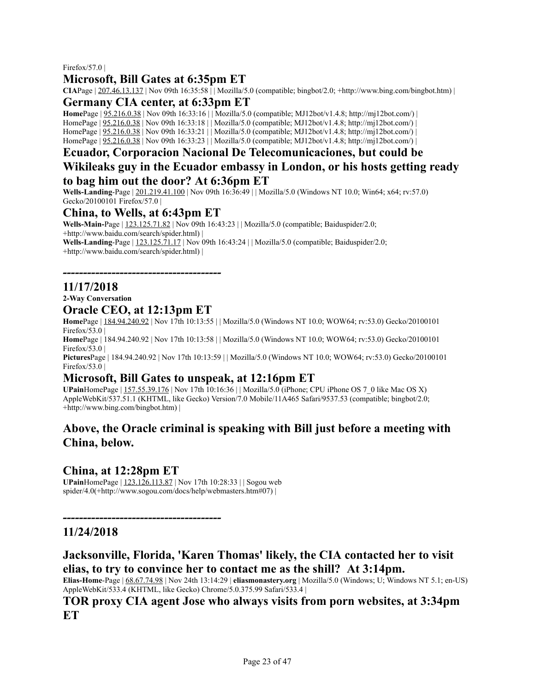#### Firefox/57.0 |

### **Microsoft, Bill Gates at 6:35pm ET**

**CIAPage**  $|207.46.13.137|$  Nov 09th  $16:35:58$  | Mozilla/5.0 (compatible; bingbot/2.0; +http://www.bing.com/bingbot.htm) |

#### **Germany CIA center, at 6:33pm ET**

**Home**Page | 95.216.0.38 | Nov 09th 16:33:16 | | Mozilla/5.0 (compatible; MJ12bot/v1.4.8; http://mj12bot.com/) | HomePage | 95.216.0.38 | Nov 09th 16:33:18 | | Mozilla/5.0 (compatible; MJ12bot/v1.4.8; http://mj12bot.com/) | HomePage | 95.216.0.38 | Nov 09th 16:33:21 | | Mozilla/5.0 (compatible; MJ12bot/v1.4.8; http://mj12bot.com/) | HomePage | 95.216.0.38 | Nov 09th 16:33:23 | | Mozilla/5.0 (compatible; MJ12bot/v1.4.8; http://mj12bot.com/) |

### **Ecuador, Corporacion Nacional De Telecomunicaciones, but could be Wikileaks guy in the Ecuador embassy in London, or his hosts getting ready to bag him out the door? At 6:36pm ET**

**Wells-Landing**-Page | 201.219.41.100 | Nov 09th 16:36:49 | | Mozilla/5.0 (Windows NT 10.0; Win64; x64; rv:57.0) Gecko/20100101 Firefox/57.0 |

#### **China, to Wells, at 6:43pm ET**

**Wells-Main-**Page | 123.125.71.82 | Nov 09th 16:43:23 | | Mozilla/5.0 (compatible; Baiduspider/2.0; +http://www.baidu.com/search/spider.html) |

**Wells-Landing**-Page | 123.125.71.17 | Nov 09th 16:43:24 | | Mozilla/5.0 (compatible; Baiduspider/2.0; +http://www.baidu.com/search/spider.html) |

### **11/17/2018**

**2-Way Conversation**

### **Oracle CEO, at 12:13pm ET**

*---------------------------------------*

**Home**Page | 184.94.240.92 | Nov 17th 10:13:55 | | Mozilla/5.0 (Windows NT 10.0; WOW64; rv:53.0) Gecko/20100101 Firefox/53.0  $\vert$ 

**Home**Page | 184.94.240.92 | Nov 17th 10:13:58 | | Mozilla/5.0 (Windows NT 10.0; WOW64; rv:53.0) Gecko/20100101 Firefox/53.0  $\vert$ 

**Pictures**Page | 184.94.240.92 | Nov 17th 10:13:59 | | Mozilla/5.0 (Windows NT 10.0; WOW64; rv:53.0) Gecko/20100101 Firefox/53.0 |

### **Microsoft, Bill Gates to unspeak, at 12:16pm ET**

**UPain**HomePage | 157.55.39.176 | Nov 17th 10:16:36 | | Mozilla/5.0 (iPhone; CPU iPhone OS 7\_0 like Mac OS X) AppleWebKit/537.51.1 (KHTML, like Gecko) Version/7.0 Mobile/11A465 Safari/9537.53 (compatible; bingbot/2.0; +http://www.bing.com/bingbot.htm) |

### **Above, the Oracle criminal is speaking with Bill just before a meeting with China, below.**

### **China, at 12:28pm ET**

*---------------------------------------*

**UPain**HomePage | 123.126.113.87 | Nov 17th 10:28:33 | | Sogou web spider/4.0(+http://www.sogou.com/docs/help/webmasters.htm#07) |

### **11/24/2018**

### **Jacksonville, Florida, 'Karen Thomas' likely, the CIA contacted her to visit elias, to try to convince her to contact me as the shill? At 3:14pm.**

**Elias-Home**-Page | 68.67.74.98 | Nov 24th 13:14:29 | **eliasmonastery.org** | Mozilla/5.0 (Windows; U; Windows NT 5.1; en-US) AppleWebKit/533.4 (KHTML, like Gecko) Chrome/5.0.375.99 Safari/533.4 |

#### **TOR proxy CIA agent Jose who always visits from porn websites, at 3:34pm ET**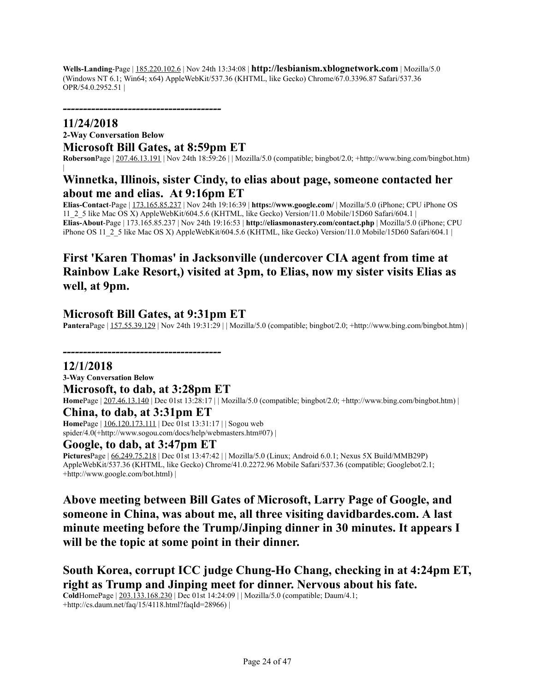**Wells-Landing**-Page | 185.220.102.6 | Nov 24th 13:34:08 | **http://lesbianism.xblognetwork.com** | Mozilla/5.0 (Windows NT 6.1; Win64; x64) AppleWebKit/537.36 (KHTML, like Gecko) Chrome/67.0.3396.87 Safari/537.36 OPR/54.0.2952.51 |

*---------------------------------------*

#### **11/24/2018 2-Way Conversation Below Microsoft Bill Gates, at 8:59pm ET**

**Roberson**Page | 207.46.13.191 | Nov 24th 18:59:26 | | Mozilla/5.0 (compatible; bingbot/2.0; +http://www.bing.com/bingbot.htm)

### **Winnetka, Illinois, sister Cindy, to elias about page, someone contacted her about me and elias. At 9:16pm ET**

**Elias-Contact**-Page | 173.165.85.237 | Nov 24th 19:16:39 | **https://www.google.com/** | Mozilla/5.0 (iPhone; CPU iPhone OS 11\_2\_5 like Mac OS X) AppleWebKit/604.5.6 (KHTML, like Gecko) Version/11.0 Mobile/15D60 Safari/604.1 | **Elias-About**-Page | 173.165.85.237 | Nov 24th 19:16:53 | **http://eliasmonastery.com/contact.php** | Mozilla/5.0 (iPhone; CPU iPhone OS 11\_2\_5 like Mac OS X) AppleWebKit/604.5.6 (KHTML, like Gecko) Version/11.0 Mobile/15D60 Safari/604.1 |

# **First 'Karen Thomas' in Jacksonville (undercover CIA agent from time at Rainbow Lake Resort,) visited at 3pm, to Elias, now my sister visits Elias as well, at 9pm.**

### **Microsoft Bill Gates, at 9:31pm ET**

*---------------------------------------*

**Pantera**Page | 157.55.39.129 | Nov 24th 19:31:29 | | Mozilla/5.0 (compatible; bingbot/2.0; +http://www.bing.com/bingbot.htm) |

**12/1/2018**

|

**3-Way Conversation Below**

**Microsoft, to dab, at 3:28pm ET Home**Page | 207.46.13.140 | Dec 01st 13:28:17 | | Mozilla/5.0 (compatible; bingbot/2.0; +http://www.bing.com/bingbot.htm) | **China, to dab, at 3:31pm ET**

**Home**Page | 106.120.173.111 | Dec 01st 13:31:17 | | Sogou web spider/4.0(+http://www.sogou.com/docs/help/webmasters.htm#07) |

#### **Google, to dab, at 3:47pm ET**

**Pictures**Page | 66.249.75.218 | Dec 01st 13:47:42 | | Mozilla/5.0 (Linux; Android 6.0.1; Nexus 5X Build/MMB29P) AppleWebKit/537.36 (KHTML, like Gecko) Chrome/41.0.2272.96 Mobile Safari/537.36 (compatible; Googlebot/2.1; +http://www.google.com/bot.html) |

**Above meeting between Bill Gates of Microsoft, Larry Page of Google, and someone in China, was about me, all three visiting davidbardes.com. A last minute meeting before the Trump/Jinping dinner in 30 minutes. It appears I will be the topic at some point in their dinner.**

**South Korea, corrupt ICC judge Chung-Ho Chang, checking in at 4:24pm ET, right as Trump and Jinping meet for dinner. Nervous about his fate.**

**Cold**HomePage | 203.133.168.230 | Dec 01st 14:24:09 | | Mozilla/5.0 (compatible; Daum/4.1; +http://cs.daum.net/faq/15/4118.html?faqId=28966) |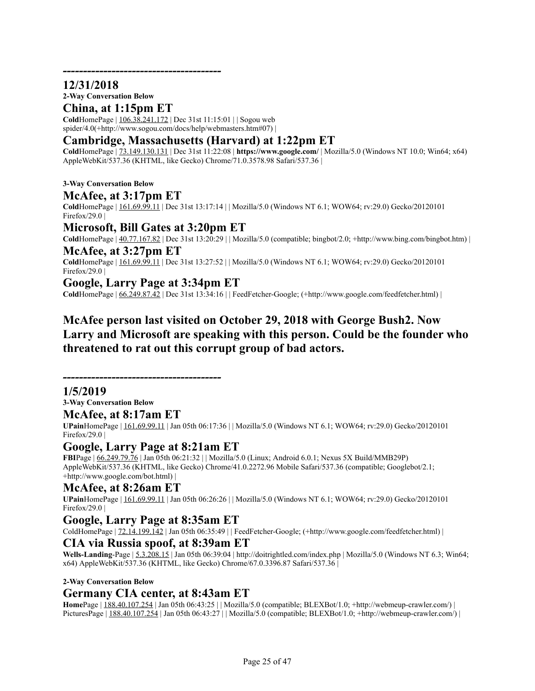### **12/31/2018**

**2-Way Conversation Below**

### **China, at 1:15pm ET**

*---------------------------------------*

**Cold**HomePage | 106.38.241.172 | Dec 31st 11:15:01 | | Sogou web spider/4.0(+http://www.sogou.com/docs/help/webmasters.htm#07) |

### **Cambridge, Massachusetts (Harvard) at 1:22pm ET**

**Cold**HomePage | 73.149.130.131 | Dec 31st 11:22:08 | **https://www.google.com/** | Mozilla/5.0 (Windows NT 10.0; Win64; x64) AppleWebKit/537.36 (KHTML, like Gecko) Chrome/71.0.3578.98 Safari/537.36 |

**3-Way Conversation Below**

### **McAfee, at 3:17pm ET**

**Cold**HomePage | 161.69.99.11 | Dec 31st 13:17:14 | | Mozilla/5.0 (Windows NT 6.1; WOW64; rv:29.0) Gecko/20120101 Firefox/29.0 |

### **Microsoft, Bill Gates at 3:20pm ET**

**Cold**HomePage  $|40.77.167.82|$  Dec 31st 13:20:29  $|$  Mozilla/5.0 (compatible; bingbot/2.0; +http://www.bing.com/bingbot.htm)  $|$ 

# **McAfee, at 3:27pm ET**

**Cold**HomePage | 161.69.99.11 | Dec 31st 13:27:52 | | Mozilla/5.0 (Windows NT 6.1; WOW64; rv:29.0) Gecko/20120101 Firefox/29.0  $\vert$ 

### **Google, Larry Page at 3:34pm ET**

**Cold**HomePage | 66.249.87.42 | Dec 31st 13:34:16 | | FeedFetcher-Google; (+http://www.google.com/feedfetcher.html) |

# **McAfee person last visited on October 29, 2018 with George Bush2. Now Larry and Microsoft are speaking with this person. Could be the founder who threatened to rat out this corrupt group of bad actors.**

*---------------------------------------*

### **1/5/2019**

**3-Way Conversation Below**

**McAfee, at 8:17am ET**

**UPain**HomePage | 161.69.99.11 | Jan 05th 06:17:36 | | Mozilla/5.0 (Windows NT 6.1; WOW64; rv:29.0) Gecko/20120101 Firefox/29.0 |

### **Google, Larry Page at 8:21am ET**

**FBI**Page | 66.249.79.76 | Jan 05th 06:21:32 | | Mozilla/5.0 (Linux; Android 6.0.1; Nexus 5X Build/MMB29P) AppleWebKit/537.36 (KHTML, like Gecko) Chrome/41.0.2272.96 Mobile Safari/537.36 (compatible; Googlebot/2.1; +http://www.google.com/bot.html) |

#### **McAfee, at 8:26am ET**

**UPain**HomePage | 161.69.99.11 | Jan 05th 06:26:26 | | Mozilla/5.0 (Windows NT 6.1; WOW64; rv:29.0) Gecko/20120101 Firefox/29.0 |

#### **Google, Larry Page at 8:35am ET**

ColdHomePage | 72.14.199.142 | Jan 05th 06:35:49 | | FeedFetcher-Google; (+http://www.google.com/feedfetcher.html) |

#### **CIA via Russia spoof, at 8:39am ET**

**Wells-Landing**-Page | 5.3.208.15 | Jan 05th 06:39:04 | http://doitrightled.com/index.php | Mozilla/5.0 (Windows NT 6.3; Win64; x64) AppleWebKit/537.36 (KHTML, like Gecko) Chrome/67.0.3396.87 Safari/537.36 |

#### **2-Way Conversation Below**

### **Germany CIA center, at 8:43am ET**

**Home**Page | 188.40.107.254 | Jan 05th 06:43:25 | | Mozilla/5.0 (compatible; BLEXBot/1.0; +http://webmeup-crawler.com/) | PicturesPage | 188.40.107.254 | Jan 05th 06:43:27 | | Mozilla/5.0 (compatible; BLEXBot/1.0; +http://webmeup-crawler.com/) |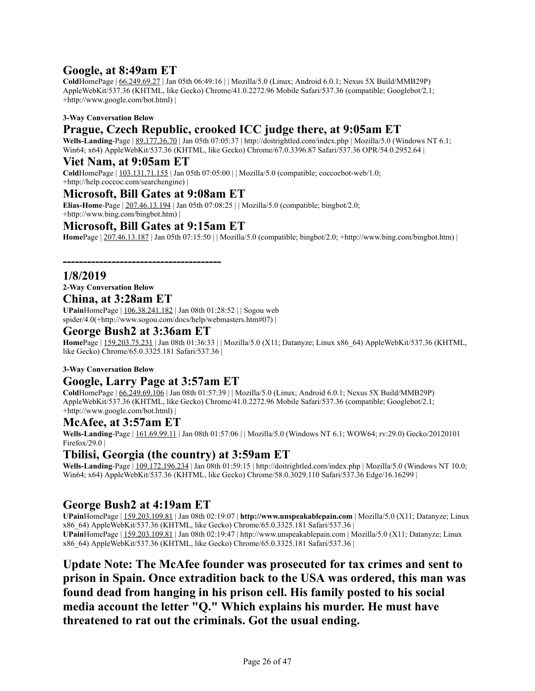# **Google, at 8:49am ET**

**Cold**HomePage | 66.249.69.27 | Jan 05th 06:49:16 | | Mozilla/5.0 (Linux; Android 6.0.1; Nexus 5X Build/MMB29P) AppleWebKit/537.36 (KHTML, like Gecko) Chrome/41.0.2272.96 Mobile Safari/537.36 (compatible; Googlebot/2.1; +http://www.google.com/bot.html) |

#### **3-Way Conversation Below**

# **Prague, Czech Republic, crooked ICC judge there, at 9:05am ET**

**Wells-Landing**-Page | 89.177.36.70 | Jan 05th 07:05:37 | http://doitrightled.com/index.php | Mozilla/5.0 (Windows NT 6.1; Win64; x64) AppleWebKit/537.36 (KHTML, like Gecko) Chrome/67.0.3396.87 Safari/537.36 OPR/54.0.2952.64 |

#### **Viet Nam, at 9:05am ET**

**Cold**HomePage | 103.131.71.155 | Jan 05th 07:05:00 | | Mozilla/5.0 (compatible; coccocbot-web/1.0; +http://help.coccoc.com/searchengine) |

### **Microsoft, Bill Gates at 9:08am ET**

**Elias-Home**-Page | 207.46.13.194 | Jan 05th 07:08:25 | | Mozilla/5.0 (compatible; bingbot/2.0; +http://www.bing.com/bingbot.htm) |

### **Microsoft, Bill Gates at 9:15am ET**

*---------------------------------------*

**Home**Page | 207.46.13.187 | Jan 05th 07:15:50 | | Mozilla/5.0 (compatible; bingbot/2.0; +http://www.bing.com/bingbot.htm) |

#### **1/8/2019**

**2-Way Conversation Below**

#### **China, at 3:28am ET**

**UPain**HomePage | 106.38.241.182 | Jan 08th 01:28:52 | | Sogou web spider/4.0(+http://www.sogou.com/docs/help/webmasters.htm#07) |

#### **George Bush2 at 3:36am ET**

**Home**Page | 159.203.75.231 | Jan 08th 01:36:33 | | Mozilla/5.0 (X11; Datanyze; Linux x86\_64) AppleWebKit/537.36 (KHTML, like Gecko) Chrome/65.0.3325.181 Safari/537.36 |

#### **3-Way Conversation Below**

### **Google, Larry Page at 3:57am ET**

**Cold**HomePage | 66.249.69.106 | Jan 08th 01:57:39 | | Mozilla/5.0 (Linux; Android 6.0.1; Nexus 5X Build/MMB29P) AppleWebKit/537.36 (KHTML, like Gecko) Chrome/41.0.2272.96 Mobile Safari/537.36 (compatible; Googlebot/2.1; +http://www.google.com/bot.html) |

### **McAfee, at 3:57am ET**

**Wells-Landing**-Page | 161.69.99.11 | Jan 08th 01:57:06 | | Mozilla/5.0 (Windows NT 6.1; WOW64; rv:29.0) Gecko/20120101 Firefox/29.0 |

### **Tbilisi, Georgia (the country) at 3:59am ET**

Wells-Landing-Page | 109.172.196.234 | Jan 08th 01:59:15 | http://doitrightled.com/index.php | Mozilla/5.0 (Windows NT 10.0; Win64; x64) AppleWebKit/537.36 (KHTML, like Gecko) Chrome/58.0.3029.110 Safari/537.36 Edge/16.16299 |

### **George Bush2 at 4:19am ET**

**UPain**HomePage | 159.203.109.81 | Jan 08th 02:19:07 | **http://www.unspeakablepain.com** | Mozilla/5.0 (X11; Datanyze; Linux x86\_64) AppleWebKit/537.36 (KHTML, like Gecko) Chrome/65.0.3325.181 Safari/537.36 | **UPain**HomePage | 159.203.109.81 | Jan 08th 02:19:47 | http://www.unspeakablepain.com | Mozilla/5.0 (X11; Datanyze; Linux x86\_64) AppleWebKit/537.36 (KHTML, like Gecko) Chrome/65.0.3325.181 Safari/537.36 |

**Update Note: The McAfee founder was prosecuted for tax crimes and sent to prison in Spain. Once extradition back to the USA was ordered, this man was found dead from hanging in his prison cell. His family posted to his social media account the letter "Q." Which explains his murder. He must have threatened to rat out the criminals. Got the usual ending.**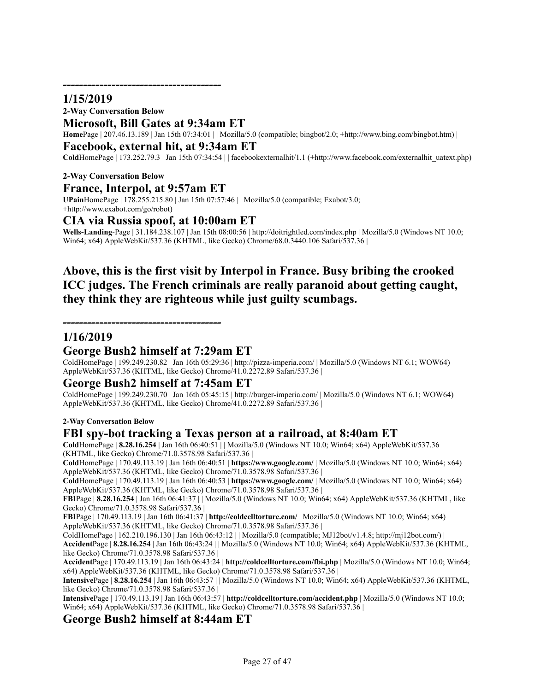### **1/15/2019**

#### **2-Way Conversation Below**

#### **Microsoft, Bill Gates at 9:34am ET**

**Home**Page | 207.46.13.189 | Jan 15th 07:34:01 | | Mozilla/5.0 (compatible; bingbot/2.0; +http://www.bing.com/bingbot.htm) |

#### **Facebook, external hit, at 9:34am ET**

**Cold**HomePage | 173.252.79.3 | Jan 15th 07:34:54 | | facebookexternalhit/1.1 (+http://www.facebook.com/externalhit\_uatext.php)

#### **2-Way Conversation Below France, Interpol, at 9:57am ET**

**UPain**HomePage | 178.255.215.80 | Jan 15th 07:57:46 | | Mozilla/5.0 (compatible; Exabot/3.0; +http://www.exabot.com/go/robot)

#### **CIA via Russia spoof, at 10:00am ET**

**Wells-Landing**-Page | 31.184.238.107 | Jan 15th 08:00:56 | http://doitrightled.com/index.php | Mozilla/5.0 (Windows NT 10.0; Win64; x64) AppleWebKit/537.36 (KHTML, like Gecko) Chrome/68.0.3440.106 Safari/537.36 |

# **Above, this is the first visit by Interpol in France. Busy bribing the crooked ICC judges. The French criminals are really paranoid about getting caught, they think they are righteous while just guilty scumbags.**

*---------------------------------------*

#### **1/16/2019**

### **George Bush2 himself at 7:29am ET**

ColdHomePage | 199.249.230.82 | Jan 16th 05:29:36 | http://pizza-imperia.com/ | Mozilla/5.0 (Windows NT 6.1; WOW64) AppleWebKit/537.36 (KHTML, like Gecko) Chrome/41.0.2272.89 Safari/537.36 |

### **George Bush2 himself at 7:45am ET**

ColdHomePage | 199.249.230.70 | Jan 16th 05:45:15 | http://burger-imperia.com/ | Mozilla/5.0 (Windows NT 6.1; WOW64) AppleWebKit/537.36 (KHTML, like Gecko) Chrome/41.0.2272.89 Safari/537.36 |

#### **2-Way Conversation Below**

### **FBI spy-bot tracking a Texas person at a railroad, at 8:40am ET**

**Cold**HomePage | **8.28.16.254** | Jan 16th 06:40:51 | | Mozilla/5.0 (Windows NT 10.0; Win64; x64) AppleWebKit/537.36 (KHTML, like Gecko) Chrome/71.0.3578.98 Safari/537.36 |

**Cold**HomePage | 170.49.113.19 | Jan 16th 06:40:51 | **https://www.google.com/** | Mozilla/5.0 (Windows NT 10.0; Win64; x64) AppleWebKit/537.36 (KHTML, like Gecko) Chrome/71.0.3578.98 Safari/537.36 |

**Cold**HomePage | 170.49.113.19 | Jan 16th 06:40:53 | **https://www.google.com/** | Mozilla/5.0 (Windows NT 10.0; Win64; x64) AppleWebKit/537.36 (KHTML, like Gecko) Chrome/71.0.3578.98 Safari/537.36 |

**FBI**Page | **8.28.16.254** | Jan 16th 06:41:37 | | Mozilla/5.0 (Windows NT 10.0; Win64; x64) AppleWebKit/537.36 (KHTML, like Gecko) Chrome/71.0.3578.98 Safari/537.36 |

**FBI**Page | 170.49.113.19 | Jan 16th 06:41:37 | **http://coldcelltorture.com/** | Mozilla/5.0 (Windows NT 10.0; Win64; x64) AppleWebKit/537.36 (KHTML, like Gecko) Chrome/71.0.3578.98 Safari/537.36 |

ColdHomePage | 162.210.196.130 | Jan 16th 06:43:12 | | Mozilla/5.0 (compatible; MJ12bot/v1.4.8; http://mj12bot.com/) |

**Accident**Page | **8.28.16.254** | Jan 16th 06:43:24 | | Mozilla/5.0 (Windows NT 10.0; Win64; x64) AppleWebKit/537.36 (KHTML, like Gecko) Chrome/71.0.3578.98 Safari/537.36 |

**Accident**Page | 170.49.113.19 | Jan 16th 06:43:24 | **http://coldcelltorture.com/fbi.php** | Mozilla/5.0 (Windows NT 10.0; Win64; x64) AppleWebKit/537.36 (KHTML, like Gecko) Chrome/71.0.3578.98 Safari/537.36 |

**Intensive**Page | **8.28.16.254** | Jan 16th 06:43:57 | | Mozilla/5.0 (Windows NT 10.0; Win64; x64) AppleWebKit/537.36 (KHTML, like Gecko) Chrome/71.0.3578.98 Safari/537.36 |

**Intensive**Page | 170.49.113.19 | Jan 16th 06:43:57 | **http://coldcelltorture.com/accident.php** | Mozilla/5.0 (Windows NT 10.0; Win64; x64) AppleWebKit/537.36 (KHTML, like Gecko) Chrome/71.0.3578.98 Safari/537.36 |

### **George Bush2 himself at 8:44am ET**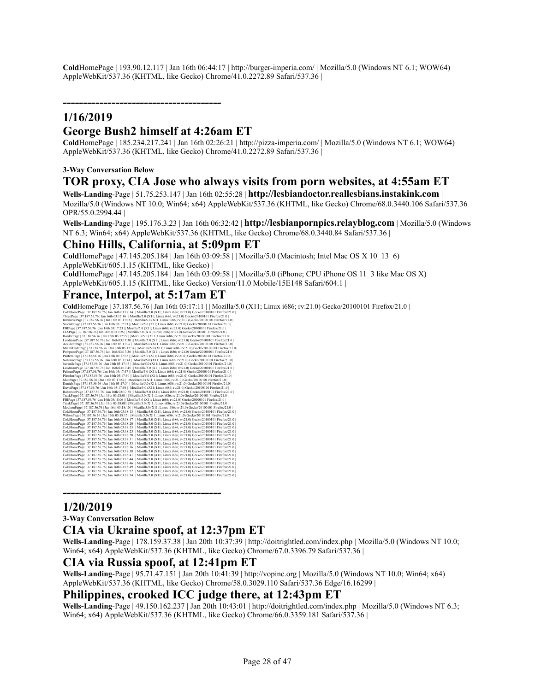**Cold**HomePage | 193.90.12.117 | Jan 16th 06:44:17 | http://burger-imperia.com/ | Mozilla/5.0 (Windows NT 6.1; WOW64) AppleWebKit/537.36 (KHTML, like Gecko) Chrome/41.0.2272.89 Safari/537.36 |

*---------------------------------------*

# **1/16/2019**

### **George Bush2 himself at 4:26am ET**

**Cold**HomePage | 185.234.217.241 | Jan 16th 02:26:21 | http://pizza-imperia.com/ | Mozilla/5.0 (Windows NT 6.1; WOW64) AppleWebKit/537.36 (KHTML, like Gecko) Chrome/41.0.2272.89 Safari/537.36 |

#### **3-Way Conversation Below**

#### **TOR proxy, CIA Jose who always visits from porn websites, at 4:55am ET**

**Wells-Landing**-Page | 51.75.253.147 | Jan 16th 02:55:28 | **http://lesbiandoctor.reallesbians.instakink.com** | Mozilla/5.0 (Windows NT 10.0; Win64; x64) AppleWebKit/537.36 (KHTML, like Gecko) Chrome/68.0.3440.106 Safari/537.36 OPR/55.0.2994.44 |

**Wells-Landing**-Page | 195.176.3.23 | Jan 16th 06:32:42 | **http://lesbianpornpics.relayblog.com** | Mozilla/5.0 (Windows NT 6.3; Win64; x64) AppleWebKit/537.36 (KHTML, like Gecko) Chrome/68.0.3440.84 Safari/537.36 |

#### **Chino Hills, California, at 5:09pm ET**

**Cold**HomePage | 47.145.205.184 | Jan 16th 03:09:58 | | Mozilla/5.0 (Macintosh; Intel Mac OS X 10\_13\_6) AppleWebKit/605.1.15 (KHTML, like Gecko) | **Cold**HomePage | 47.145.205.184 | Jan 16th 03:09:58 | | Mozilla/5.0 (iPhone; CPU iPhone OS 11\_3 like Mac OS X)

AppleWebKit/605.1.15 (KHTML, like Gecko) Version/11.0 Mobile/15E148 Safari/604.1 |

### **France, Interpol, at 5:17am ET**

**Cold**HomePage | 37.187.56.76 | Jan 16th 03:17:11 | | Mozilla/5.0 (X11; Linux i686; rv:21.0) Gecko/20100101 Firefox/21.0 |

| $\frac{1}{2}$                                                                                                           |
|-------------------------------------------------------------------------------------------------------------------------|
| ColdHomePage   37.187.56.76   Jan 16th 03:17:14     Mozilla/5.0 (X11; Linux i686; rv:21.0) Gecko/20100101 Firefox/21.0  |
| ThreePage   37.187.56.76   Jan 16th 03:17:16     Mozilla/5.0 (X11; Linux i686; rv:21.0) Gecko/20100101 Firefox/21.0     |
| IntensivePage   37.187.56.76   Jan 16th 03:17:18     Mozilla/5.0 (X11: Linux i686: rv:21.0) Gecko/20100101 Firefox/21.0 |
| SuicidePage   37.187.56.76   Jan 16th 03:17:21     Mozilla/5.0 (X11; Linux i686; rv:21.0) Gecko/20100101 Firefox/21.0   |
| FBIPage   37.187.56.76   Jan 16th 03:17:23     Mozilla/5.0 (X11; Linux i686; rv:21.0) Gecko/20100101 Firefox/21.0       |
| CIAPage   37.187.56.76   Jan 16th 03:17:25     Mozilla/5.0 (X11; Linux i686; rv:21.0) Gecko/20100101 Firefox/21.0       |
| BorderPage   37.187.56.76   Jan 16th 03:17:27     Mozilla/5.0 (X11; Linux i686; rv:21.0) Gecko/20100101 Firefox/21.0    |
| LaudmanPage   37.187.56.76   Jan 16th 03:17:30     Mozilla/5.0 (X11: Linux i686: rv:21.0) Gecko/20100101 Firefox/21.0   |
| AccidentPage   37.187.56.76   Jan 16th 03:17:32     Mozilla/5.0 (X11; Linux i686; rv:21.0) Gecko/20100101 Firefox/21.0  |
| MiamiDadePage   37.187.56.76   Jan 16th 03:17:34     Mozilla/5.0 (X11: Linux i686; rv:21.0) Gecko/20100101 Firefox/21.0 |
| PompanoPage   37.187.56.76   Jan 16th 03:17:36     Mozilla/5.0 (X11; Linux i686; rv:21.0) Gecko/20100101 Firefox/21.0   |
| PanteraPage   37.187.56.76   Jan 16th 03:17:38     Mozilla/5.0 (X11; Linux i686; rv:21.0) Gecko/20100101 Firefox/21.0   |
| NoNamePage   37.187.56.76   Jan 16th 03:17:41     Mozilla/5.0 (X11: Linux i686: rv:21.0) Gecko/20100101 Firefox/21.0    |
| JuvenilePage   37.187.56.76   Jan 16th 03:17:43   Mozilla/5.0 (X11; Linux i686; rv:21.0) Gecko/20100101 Firefox/21.0    |
| LaudmanPage   37.187.56.76   Jan 16th 03:17:45     Mozilla/5.0 (X11: Linux i686: rv:21.0) Gecko/20100101 Firefox/21.0   |
| PelicanPage   37.187.56.76   Jan 16th 03:17:47     Mozilla/5.0 (X11: Linux i686: rv:21.0) Gecko/20100101 Firefox/21.0   |
| PlatcherPage   37.187.56.76   Jan 16th 03:17:50     Mozilla/5.0 (X11; Linux i686; rv:21.0) Gecko/20100101 Firefox/21.0  |
| MottPage   37.187.56.76   Jan 16th 03:17:52     Mozilla/5.0 (X11; Linux i686; rv:21.0) Gecko/20100101 Firefox/21.0      |
| DanielsPage   37.187.56.76   Jan 16th 03:17:54     Mozilla/5.0 (X11; Linux i686; rv:21.0) Gecko/20100101 Firefox/21.0   |
| DavidPage   37.187.56.76   Jan 16th 03:17:56     Mozilla/5.0 (X11: Linux i686: rv:21.0) Gecko/20100101 Firefox/21.0     |
| RobersonPage   37.187.56.76   Jan 16th 03:17:58     Mozilla/5.0 (X11; Linux i686; rv:21.0) Gecko/20100101 Firefox/21.0  |
| TraskPage   37.187.56.76   Jan 16th 03:18:01     Mozilla/5.0 (X11: Linux i686: rv:21.0) Gecko/20100101 Firefox/21.0     |
| FBIPage   37.187.56.76   Jan 16th 03:18:06     Mozilla/5.0 (X11; Linux i686; rv:21.0) Gecko/20100101 Firefox/21.0       |
| TraskPage   37.187.56.76   Jan 16th 03:18:08     Mozilla/5.0 (X11; Linux i686; rv:21.0) Gecko/20100101 Firefox/21.0     |
| MoultonPage   37.187.56.76   Jan 16th 03:18:10     Mozilla/5.0 (X11; Linux i686; rv:21.0) Gecko/20100101 Firefox/21.0   |
| ColdHomePage   37.187.56.76   Jan 16th 03:18:13     Mozilla/5.0 (X11; Linux i686; rv:21.0) Gecko/20100101 Firefox/21.0  |
| WilsonPage   37.187.56.76   Jan 16th 03:18:15     Mozilla/5.0 (X11: Linux i686: rv:21.0) Gecko/20100101 Firefox/21.0    |
| ColdHomePage   37.187.56.76   Jan 16th 03:18:17   Mozilla/5.0 (X11; Linux i686; rv:21.0) Gecko/20100101 Firefox/21.0    |
| ColdHomePage   37.187.56.76   Jan 16th 03:18:20     Mozilla/5.0 (X11: Linux i686: rv:21.0) Gecko/20100101 Firefox/21.0  |
| ColdHomePage   37.187.56.76   Jan 16th 03:18:23     Mozilla/5.0 (X11: Linux i686: rv:21.0) Gecko/20100101 Firefox/21.0  |
| ColdHomePage   37.187.56.76   Jan 16th 03:18:25     Mozilla/5.0 (X11; Linux i686; rv:21.0) Gecko/20100101 Firefox/21.0  |
| ColdHomePage   37.187.56.76   Jan 16th 03:18:28     Mozilla/5.0 (X11: Linux i686: rv:21.0) Gecko/20100101 Firefox/21.0  |
| ColdHomePage   37.187.56.76   Jan 16th 03:18:31     Mozilla/5.0 (X11; Linux i686; rv:21.0) Gecko/20100101 Firefox/21.0  |
| ColdHomePage   37.187.56.76   Jan 16th 03:18:33     Mozilla/5.0 (X11; Linux i686; rv:21.0) Gecko/20100101 Firefox/21.0  |
| ColdHomePage   37.187.56.76   Jan 16th 03:18:36     Mozilla/5.0 (X11; Linux i686; rv:21.0) Gecko/20100101 Firefox/21.0  |
| ColdHomePage   37.187.56.76   Jan 16th 03:18:38     Mozilla/5.0 (X11; Linux i686; rv:21.0) Gecko/20100101 Firefox/21.0  |
| ColdHomePage   37.187.56.76   Jan 16th 03:18:41     Mozilla/5.0 (X11: Linux i686: rv:21.0) Gecko/20100101 Firefox/21.0  |
| ColdHomePage   37.187.56.76   Jan 16th 03:18:44     Mozilla/5.0 (X11: Linux i686: rv:21.0) Gecko/20100101 Firefox/21.0  |
| ColdHomePage   37.187.56.76   Jan 16th 03:18:46     Mozilla/5.0 (X11: Linux i686: rv:21.0) Gecko/20100101 Firefox/21.0  |
| ColdHomePage   37.187.56.76   Jan 16th 03:18:49     Mozilla/5.0 (X11; Linux i686; rv:21.0) Gecko/20100101 Firefox/21.0  |
| ColdHomePage   37.187.56.76   Jan 16th 03:18:52     Mozilla/5.0 (X11; Linux i686; rv:21.0) Gecko/20100101 Firefox/21.0  |
| ColdHomePage   37.187.56.76   Jan 16th 03:18:54     Mozilla/5.0 (X11: Linux i686: rv:21.0) Gecko/20100101 Firefox/21.0  |
|                                                                                                                         |

*---------------------------------------*

#### **1/20/2019**

**3-Way Conversation Below**

#### **CIA via Ukraine spoof, at 12:37pm ET**

**Wells-Landing**-Page | 178.159.37.38 | Jan 20th 10:37:39 | http://doitrightled.com/index.php | Mozilla/5.0 (Windows NT 10.0; Win64; x64) AppleWebKit/537.36 (KHTML, like Gecko) Chrome/67.0.3396.79 Safari/537.36 |

#### **CIA via Russia spoof, at 12:41pm ET**

**Wells-Landing**-Page | 95.71.47.151 | Jan 20th 10:41:39 | http://vopinc.org | Mozilla/5.0 (Windows NT 10.0; Win64; x64) AppleWebKit/537.36 (KHTML, like Gecko) Chrome/58.0.3029.110 Safari/537.36 Edge/16.16299 |

#### **Philippines, crooked ICC judge there, at 12:43pm ET**

**Wells-Landing**-Page | 49.150.162.237 | Jan 20th 10:43:01 | http://doitrightled.com/index.php | Mozilla/5.0 (Windows NT 6.3; Win64; x64) AppleWebKit/537.36 (KHTML, like Gecko) Chrome/66.0.3359.181 Safari/537.36 |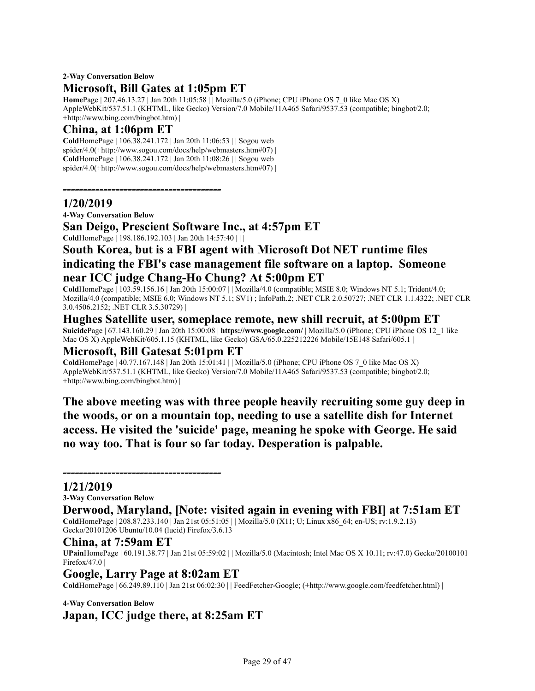### **2-Way Conversation Below Microsoft, Bill Gates at 1:05pm ET**

**Home**Page | 207.46.13.27 | Jan 20th 11:05:58 | | Mozilla/5.0 (iPhone; CPU iPhone OS 7\_0 like Mac OS X) AppleWebKit/537.51.1 (KHTML, like Gecko) Version/7.0 Mobile/11A465 Safari/9537.53 (compatible; bingbot/2.0; +http://www.bing.com/bingbot.htm) |

### **China, at 1:06pm ET**

**Cold**HomePage | 106.38.241.172 | Jan 20th 11:06:53 | | Sogou web spider/4.0(+http://www.sogou.com/docs/help/webmasters.htm#07) | **Cold**HomePage | 106.38.241.172 | Jan 20th 11:08:26 | | Sogou web spider/4.0(+http://www.sogou.com/docs/help/webmasters.htm#07) |

### **1/20/2019**

**4-Way Conversation Below**

**San Deigo, Prescient Software Inc., at 4:57pm ET**

**Cold**HomePage | 198.186.192.103 | Jan 20th 14:57:40 | | |

*---------------------------------------*

# **South Korea, but is a FBI agent with Microsoft Dot NET runtime files indicating the FBI's case management file software on a laptop. Someone near ICC judge Chang-Ho Chung? At 5:00pm ET**

**Cold**HomePage | 103.59.156.16 | Jan 20th 15:00:07 | | Mozilla/4.0 (compatible; MSIE 8.0; Windows NT 5.1; Trident/4.0; Mozilla/4.0 (compatible; MSIE 6.0; Windows NT 5.1; SV1) ; InfoPath.2; .NET CLR 2.0.50727; .NET CLR 1.1.4322; .NET CLR 3.0.4506.2152; .NET CLR 3.5.30729) |

**Hughes Satellite user, someplace remote, new shill recruit, at 5:00pm ET Suicide**Page | 67.143.160.29 | Jan 20th 15:00:08 | **https://www.google.com/** | Mozilla/5.0 (iPhone; CPU iPhone OS 12\_1 like Mac OS X) AppleWebKit/605.1.15 (KHTML, like Gecko) GSA/65.0.225212226 Mobile/15E148 Safari/605.1 |

# **Microsoft, Bill Gatesat 5:01pm ET**

**Cold**HomePage | 40.77.167.148 | Jan 20th 15:01:41 | | Mozilla/5.0 (iPhone; CPU iPhone OS 7\_0 like Mac OS X) AppleWebKit/537.51.1 (KHTML, like Gecko) Version/7.0 Mobile/11A465 Safari/9537.53 (compatible; bingbot/2.0; +http://www.bing.com/bingbot.htm) |

**The above meeting was with three people heavily recruiting some guy deep in the woods, or on a mountain top, needing to use a satellite dish for Internet access. He visited the 'suicide' page, meaning he spoke with George. He said no way too. That is four so far today. Desperation is palpable.**

### **1/21/2019**

**3-Way Conversation Below**

**Derwood, Maryland, [Note: visited again in evening with FBI] at 7:51am ET Cold**HomePage | 208.87.233.140 | Jan 21st 05:51:05 | | Mozilla/5.0 (X11; U; Linux x86\_64; en-US; rv:1.9.2.13) Gecko/20101206 Ubuntu/10.04 (lucid) Firefox/3.6.13 |

### **China, at 7:59am ET**

**UPain**HomePage | 60.191.38.77 | Jan 21st 05:59:02 | | Mozilla/5.0 (Macintosh; Intel Mac OS X 10.11; rv:47.0) Gecko/20100101 Firefox/47.0  $\vert$ 

### **Google, Larry Page at 8:02am ET**

*---------------------------------------*

**Cold**HomePage | 66.249.89.110 | Jan 21st 06:02:30 | | FeedFetcher-Google; (+http://www.google.com/feedfetcher.html) |

### **4-Way Conversation Below**

**Japan, ICC judge there, at 8:25am ET**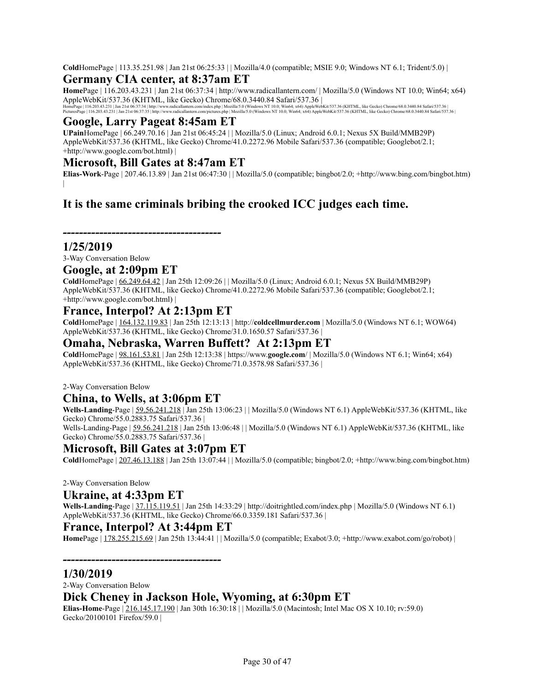**Cold**HomePage | 113.35.251.98 | Jan 21st 06:25:33 | | Mozilla/4.0 (compatible; MSIE 9.0; Windows NT 6.1; Trident/5.0) |

### **Germany CIA center, at 8:37am ET**

**Home**Page | 116.203.43.231 | Jan 21st 06:37:34 | http://www.radicallantern.com/ | Mozilla/5.0 (Windows NT 10.0; Win64; x64) AppleWebKit/537.36 (KHTML, like Gecko) Chrome/68.0.3440.84 Safari/537.36 |<br>HomePage | 116.20.43.231 | Jan 21st 063:374 | http://www.radiallantern.com/pictures.php | Mozilla/5.0 (Windows NT 10.0; Windox; sel AppleWebKit/537

### **Google, Larry Pageat 8:45am ET**

**UPain**HomePage | 66.249.70.16 | Jan 21st 06:45:24 | | Mozilla/5.0 (Linux; Android 6.0.1; Nexus 5X Build/MMB29P) AppleWebKit/537.36 (KHTML, like Gecko) Chrome/41.0.2272.96 Mobile Safari/537.36 (compatible; Googlebot/2.1; +http://www.google.com/bot.html) |

#### **Microsoft, Bill Gates at 8:47am ET**

**Elias-Work**-Page | 207.46.13.89 | Jan 21st 06:47:30 | | Mozilla/5.0 (compatible; bingbot/2.0; +http://www.bing.com/bingbot.htm)

# **It is the same criminals bribing the crooked ICC judges each time.**

#### **1/25/2019**

3-Way Conversation Below

#### **Google, at 2:09pm ET**

**Cold**HomePage | 66.249.64.42 | Jan 25th 12:09:26 | | Mozilla/5.0 (Linux; Android 6.0.1; Nexus 5X Build/MMB29P) AppleWebKit/537.36 (KHTML, like Gecko) Chrome/41.0.2272.96 Mobile Safari/537.36 (compatible; Googlebot/2.1; +http://www.google.com/bot.html) |

### **France, Interpol? At 2:13pm ET**

*---------------------------------------*

**Cold**HomePage | 164.132.119.83 | Jan 25th 12:13:13 | http://**coldcellmurder.com** | Mozilla/5.0 (Windows NT 6.1; WOW64) AppleWebKit/537.36 (KHTML, like Gecko) Chrome/31.0.1650.57 Safari/537.36 |

#### **Omaha, Nebraska, Warren Buffett? At 2:13pm ET**

**Cold**HomePage | 98.161.53.81 | Jan 25th 12:13:38 | https://www.**google.com**/ | Mozilla/5.0 (Windows NT 6.1; Win64; x64) AppleWebKit/537.36 (KHTML, like Gecko) Chrome/71.0.3578.98 Safari/537.36 |

2-Way Conversation Below

### **China, to Wells, at 3:06pm ET**

**Wells-Landing**-Page | 59.56.241.218 | Jan 25th 13:06:23 | | Mozilla/5.0 (Windows NT 6.1) AppleWebKit/537.36 (KHTML, like Gecko) Chrome/55.0.2883.75 Safari/537.36 | Wells-Landing-Page | 59.56.241.218 | Jan 25th 13:06:48 | | Mozilla/5.0 (Windows NT 6.1) AppleWebKit/537.36 (KHTML, like Gecko) Chrome/55.0.2883.75 Safari/537.36 |

# **Microsoft, Bill Gates at 3:07pm ET**

**Cold**HomePage | 207.46.13.188 | Jan 25th 13:07:44 | | Mozilla/5.0 (compatible; bingbot/2.0; +http://www.bing.com/bingbot.htm)

#### 2-Way Conversation Below

### **Ukraine, at 4:33pm ET**

**Wells-Landing**-Page | 37.115.119.51 | Jan 25th 14:33:29 | http://doitrightled.com/index.php | Mozilla/5.0 (Windows NT 6.1) AppleWebKit/537.36 (KHTML, like Gecko) Chrome/66.0.3359.181 Safari/537.36 |

#### **France, Interpol? At 3:44pm ET**

*---------------------------------------*

**Home**Page | 178.255.215.69 | Jan 25th 13:44:41 | | Mozilla/5.0 (compatible; Exabot/3.0; +http://www.exabot.com/go/robot) |

#### **1/30/2019**

2-Way Conversation Below

### **Dick Cheney in Jackson Hole, Wyoming, at 6:30pm ET**

**Elias-Home**-Page | 216.145.17.190 | Jan 30th 16:30:18 | | Mozilla/5.0 (Macintosh; Intel Mac OS X 10.10; rv:59.0) Gecko/20100101 Firefox/59.0 |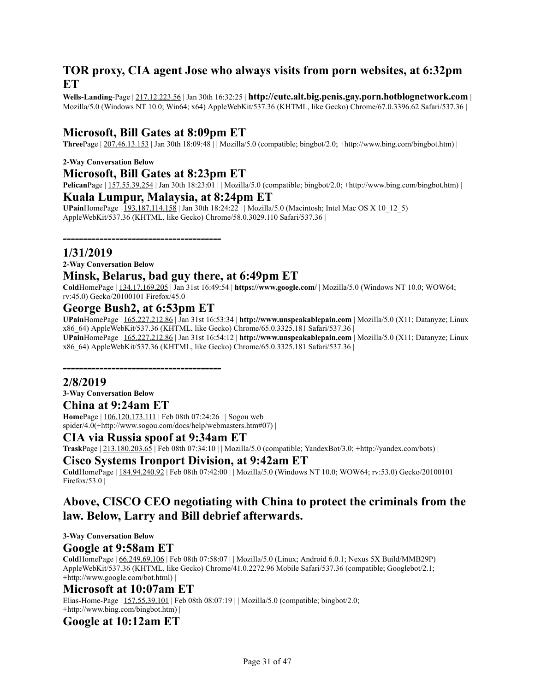# **TOR proxy, CIA agent Jose who always visits from porn websites, at 6:32pm ET**

**Wells-Landing**-Page | 217.12.223.56 | Jan 30th 16:32:25 | **http://cute.alt.big.penis.gay.porn.hotblognetwork.com** | Mozilla/5.0 (Windows NT 10.0; Win64; x64) AppleWebKit/537.36 (KHTML, like Gecko) Chrome/67.0.3396.62 Safari/537.36 |

### **Microsoft, Bill Gates at 8:09pm ET**

**Three**Page | 207.46.13.153 | Jan 30th 18:09:48 | | Mozilla/5.0 (compatible; bingbot/2.0; +http://www.bing.com/bingbot.htm) |

#### **2-Way Conversation Below**

#### **Microsoft, Bill Gates at 8:23pm ET**

**Pelican**Page | 157.55.39.254 | Jan 30th 18:23:01 | | Mozilla/5.0 (compatible; bingbot/2.0; +http://www.bing.com/bingbot.htm) | **Kuala Lumpur, Malaysia, at 8:24pm ET**

**UPain**HomePage | 193.187.114.158 | Jan 30th 18:24:22 | | Mozilla/5.0 (Macintosh; Intel Mac OS X 10\_12\_5) AppleWebKit/537.36 (KHTML, like Gecko) Chrome/58.0.3029.110 Safari/537.36 |

*---------------------------------------*

#### **1/31/2019**

**2-Way Conversation Below**

### **Minsk, Belarus, bad guy there, at 6:49pm ET**

**Cold**HomePage | 134.17.169.205 | Jan 31st 16:49:54 | **https://www.google.com/** | Mozilla/5.0 (Windows NT 10.0; WOW64; rv:45.0) Gecko/20100101 Firefox/45.0 |

### **George Bush2, at 6:53pm ET**

**UPain**HomePage | 165.227.212.86 | Jan 31st 16:53:34 | **http://www.unspeakablepain.com** | Mozilla/5.0 (X11; Datanyze; Linux x86\_64) AppleWebKit/537.36 (KHTML, like Gecko) Chrome/65.0.3325.181 Safari/537.36 | **UPain**HomePage | 165.227.212.86 | Jan 31st 16:54:12 | **http://www.unspeakablepain.com** | Mozilla/5.0 (X11; Datanyze; Linux x86\_64) AppleWebKit/537.36 (KHTML, like Gecko) Chrome/65.0.3325.181 Safari/537.36 |

*---------------------------------------*

#### **2/8/2019**

**3-Way Conversation Below**

### **China at 9:24am ET**

**Home**Page | 106.120.173.111 | Feb 08th 07:24:26 | | Sogou web spider/4.0(+http://www.sogou.com/docs/help/webmasters.htm#07) |

### **CIA via Russia spoof at 9:34am ET**

**Trask**Page | 213.180.203.65 | Feb 08th 07:34:10 | | Mozilla/5.0 (compatible; YandexBot/3.0; +http://yandex.com/bots) |

#### **Cisco Systems Ironport Division, at 9:42am ET**

**Cold**HomePage | 184.94.240.92 | Feb 08th 07:42:00 | | Mozilla/5.0 (Windows NT 10.0; WOW64; rv:53.0) Gecko/20100101 Firefox/53.0 |

### **Above, CISCO CEO negotiating with China to protect the criminals from the law. Below, Larry and Bill debrief afterwards.**

**3-Way Conversation Below**

#### **Google at 9:58am ET**

**Cold**HomePage | 66.249.69.106 | Feb 08th 07:58:07 | | Mozilla/5.0 (Linux; Android 6.0.1; Nexus 5X Build/MMB29P) AppleWebKit/537.36 (KHTML, like Gecko) Chrome/41.0.2272.96 Mobile Safari/537.36 (compatible; Googlebot/2.1; +http://www.google.com/bot.html) |

### **Microsoft at 10:07am ET**

Elias-Home-Page | 157.55.39.101 | Feb 08th 08:07:19 | | Mozilla/5.0 (compatible; bingbot/2.0; +http://www.bing.com/bingbot.htm) |

### **Google at 10:12am ET**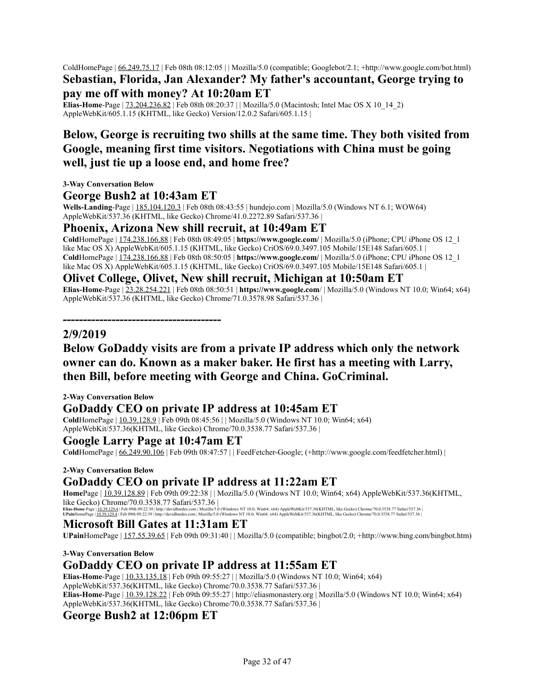ColdHomePage | 66.249.75.17 | Feb 08th 08:12:05 | | Mozilla/5.0 (compatible; Googlebot/2.1; +http://www.google.com/bot.html) **Sebastian, Florida, Jan Alexander? My father's accountant, George trying to**

### **pay me off with money? At 10:20am ET**

**Elias-Home-Page** | <u>73.204.236.82</u> | Feb 08th 08:20:37 | | Mozilla/5.0 (Macintosh; Intel Mac OS X 10\_14\_2) AppleWebKit/605.1.15 (KHTML, like Gecko) Version/12.0.2 Safari/605.1.15 |

# **Below, George is recruiting two shills at the same time. They both visited from Google, meaning first time visitors. Negotiations with China must be going well, just tie up a loose end, and home free?**

**3-Way Conversation Below**

#### **George Bush2 at 10:43am ET**

*---------------------------------------*

**Wells-Landing**-Page | 185.104.120.3 | Feb 08th 08:43:55 | hundejo.com | Mozilla/5.0 (Windows NT 6.1; WOW64) AppleWebKit/537.36 (KHTML, like Gecko) Chrome/41.0.2272.89 Safari/537.36 |

#### **Phoenix, Arizona New shill recruit, at 10:49am ET**

**Cold**HomePage | 174.238.166.88 | Feb 08th 08:49:05 | **https://www.google.com/** | Mozilla/5.0 (iPhone; CPU iPhone OS 12\_1 like Mac OS X) AppleWebKit/605.1.15 (KHTML, like Gecko) CriOS/69.0.3497.105 Mobile/15E148 Safari/605.1 | **Cold**HomePage | 174.238.166.88 | Feb 08th 08:50:05 | **https://www.google.com/** | Mozilla/5.0 (iPhone; CPU iPhone OS 12\_1 like Mac OS X) AppleWebKit/605.1.15 (KHTML, like Gecko) CriOS/69.0.3497.105 Mobile/15E148 Safari/605.1 |

#### **Olivet College, Olivet, New shill recruit, Michigan at 10:50am ET**

**Elias-Home**-Page | 23.28.254.221 | Feb 08th 08:50:51 | **https://www.google.com**/ | Mozilla/5.0 (Windows NT 10.0; Win64; x64) AppleWebKit/537.36 (KHTML, like Gecko) Chrome/71.0.3578.98 Safari/537.36 |

#### **2/9/2019**

# **Below GoDaddy visits are from a private IP address which only the network owner can do. Known as a maker baker. He first has a meeting with Larry, then Bill, before meeting with George and China. GoCriminal.**

#### **2-Way Conversation Below**

### **GoDaddy CEO on private IP address at 10:45am ET**

**Cold**HomePage | 10.39.128.9 | Feb 09th 08:45:56 | | Mozilla/5.0 (Windows NT 10.0; Win64; x64) AppleWebKit/537.36(KHTML, like Gecko) Chrome/70.0.3538.77 Safari/537.36 |

### **Google Larry Page at 10:47am ET**

**Cold**HomePage | 66.249.90.106 | Feb 09th 08:47:57 | | FeedFetcher-Google; (+http://www.google.com/feedfetcher.html) |

#### **2-Way Conversation Below**

# **GoDaddy CEO on private IP address at 11:22am ET**

**Home**Page | 10.39.128.89 | Feb 09th 09:22:38 | | Mozilla/5.0 (Windows NT 10.0; Win64; x64) AppleWebKit/537.36(KHTML, like Gecko) Chrome/70.0.3538.77 Safari/537.36 |

Elias-Home-Page | <u>10.39.129.4</u> | Feb 09th 09:22:38 | http://davidbardes.com | Mozilla/5.0 (Windows NT 10.0; Win64; x64) AppleWebKit/537.36(KHTML, like Gecko) Chrome/70.0.3538.77 Safari/537.36<br>UPainHomePage | <u>10.39.129.4</u>

### **Microsoft Bill Gates at 11:31am ET**

**UPain**HomePage | 157.55.39.65 | Feb 09th 09:31:40 | | Mozilla/5.0 (compatible; bingbot/2.0; +http://www.bing.com/bingbot.htm)

**3-Way Conversation Below**

### **GoDaddy CEO on private IP address at 11:55am ET**

**Elias-Home**-Page | 10.33.135.18 | Feb 09th 09:55:27 | | Mozilla/5.0 (Windows NT 10.0; Win64; x64) AppleWebKit/537.36(KHTML, like Gecko) Chrome/70.0.3538.77 Safari/537.36 | **Elias-Home**-Page | 10.39.128.22 | Feb 09th 09:55:27 | http://eliasmonastery.org | Mozilla/5.0 (Windows NT 10.0; Win64; x64) AppleWebKit/537.36(KHTML, like Gecko) Chrome/70.0.3538.77 Safari/537.36 |

### **George Bush2 at 12:06pm ET**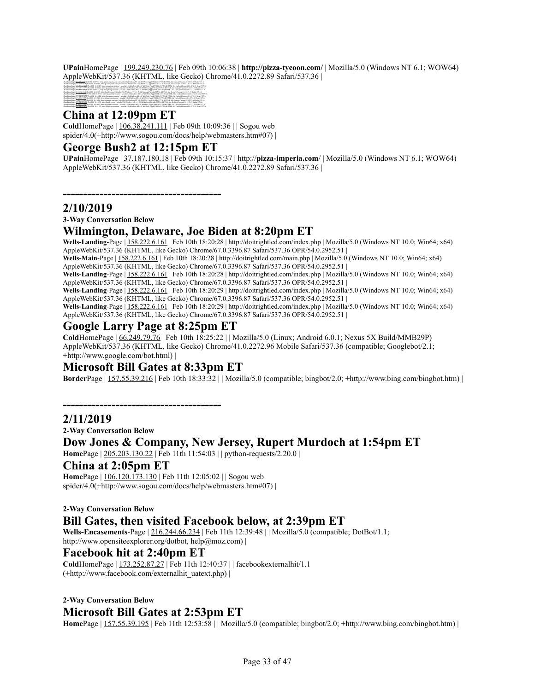**UPain**HomePage | 199.249.230.76 | Feb 09th 10:06:38 | **http://pizza-tycoon.com/** | Mozilla/5.0 (Windows NT 6.1; WOW64) AppleWebKit/537.36 (KHTML, like Gecko) Chrome/41.0.2272.89 Safari/537.36 |



#### **China at 12:09pm ET**

**Cold**HomePage | 106.38.241.111 | Feb 09th 10:09:36 | | Sogou web spider/4.0(+http://www.sogou.com/docs/help/webmasters.htm#07) |

### **George Bush2 at 12:15pm ET**

*---------------------------------------*

**UPain**HomePage | 37.187.180.18 | Feb 09th 10:15:37 | http://**pizza-imperia.com**/ | Mozilla/5.0 (Windows NT 6.1; WOW64) AppleWebKit/537.36 (KHTML, like Gecko) Chrome/41.0.2272.89 Safari/537.36 |

**2/10/2019**

**3-Way Conversation Below**

### **Wilmington, Delaware, Joe Biden at 8:20pm ET**

**Wells-Landing**-Page | 158.222.6.161 | Feb 10th 18:20:28 | http://doitrightled.com/index.php | Mozilla/5.0 (Windows NT 10.0; Win64; x64) AppleWebKit/537.36 (KHTML, like Gecko) Chrome/67.0.3396.87 Safari/537.36 OPR/54.0.2952.51 |

**Wells-Main**-Page | 158.222.6.161 | Feb 10th 18:20:28 | http://doitrightled.com/main.php | Mozilla/5.0 (Windows NT 10.0; Win64; x64) AppleWebKit/537.36 (KHTML, like Gecko) Chrome/67.0.3396.87 Safari/537.36 OPR/54.0.2952.51 |

**Wells-Landing**-Page | 158.222.6.161 | Feb 10th 18:20:28 | http://doitrightled.com/index.php | Mozilla/5.0 (Windows NT 10.0; Win64; x64) AppleWebKit/537.36 (KHTML, like Gecko) Chrome/67.0.3396.87 Safari/537.36 OPR/54.0.2952.51 |

**Wells-Landing**-Page | 158.222.6.161 | Feb 10th 18:20:29 | http://doitrightled.com/index.php | Mozilla/5.0 (Windows NT 10.0; Win64; x64) AppleWebKit/537.36 (KHTML, like Gecko) Chrome/67.0.3396.87 Safari/537.36 OPR/54.0.2952.51 |

**Wells-Landing**-Page | 158.222.6.161 | Feb 10th 18:20:29 | http://doitrightled.com/index.php | Mozilla/5.0 (Windows NT 10.0; Win64; x64) AppleWebKit/537.36 (KHTML, like Gecko) Chrome/67.0.3396.87 Safari/537.36 OPR/54.0.2952.51 |

### **Google Larry Page at 8:25pm ET**

**Cold**HomePage | 66.249.79.76 | Feb 10th 18:25:22 | | Mozilla/5.0 (Linux; Android 6.0.1; Nexus 5X Build/MMB29P) AppleWebKit/537.36 (KHTML, like Gecko) Chrome/41.0.2272.96 Mobile Safari/537.36 (compatible; Googlebot/2.1; +http://www.google.com/bot.html) |

### **Microsoft Bill Gates at 8:33pm ET**

*---------------------------------------*

**Border**Page | 157.55.39.216 | Feb 10th 18:33:32 | | Mozilla/5.0 (compatible; bingbot/2.0; +http://www.bing.com/bingbot.htm) |

#### **2/11/2019**

**2-Way Conversation Below**

### **Dow Jones & Company, New Jersey, Rupert Murdoch at 1:54pm ET**

**Home**Page | 205.203.130.22 | Feb 11th 11:54:03 | | python-requests/2.20.0 |

### **China at 2:05pm ET**

**Home**Page | 106.120.173.130 | Feb 11th 12:05:02 | | Sogou web spider/4.0(+http://www.sogou.com/docs/help/webmasters.htm#07) |

#### **2-Way Conversation Below Bill Gates, then visited Facebook below, at 2:39pm ET**

**Wells-Encasements**-Page | 216.244.66.234 | Feb 11th 12:39:48 | | Mozilla/5.0 (compatible; DotBot/1.1; http://www.opensiteexplorer.org/dotbot, help@moz.com) |

### **Facebook hit at 2:40pm ET**

**Cold**HomePage | 173.252.87.27 | Feb 11th 12:40:37 | | facebookexternalhit/1.1 (+http://www.facebook.com/externalhit\_uatext.php) |

**2-Way Conversation Below Microsoft Bill Gates at 2:53pm ET**

**Home**Page | 157.55.39.195 | Feb 11th 12:53:58 | | Mozilla/5.0 (compatible; bingbot/2.0; +http://www.bing.com/bingbot.htm) |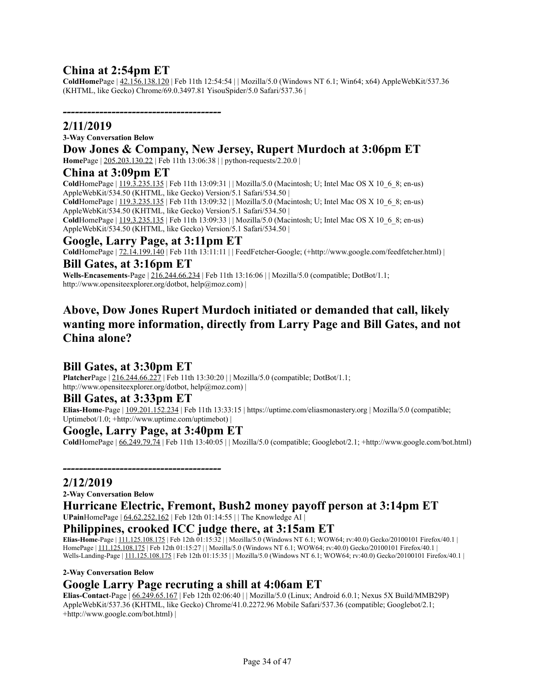### **China at 2:54pm ET**

*---------------------------------------*

**ColdHome**Page | 42.156.138.120 | Feb 11th 12:54:54 | | Mozilla/5.0 (Windows NT 6.1; Win64; x64) AppleWebKit/537.36 (KHTML, like Gecko) Chrome/69.0.3497.81 YisouSpider/5.0 Safari/537.36 |

### **2/11/2019**

#### **3-Way Conversation Below**

### **Dow Jones & Company, New Jersey, Rupert Murdoch at 3:06pm ET**

**Home**Page | 205.203.130.22 | Feb 11th 13:06:38 | | python-requests/2.20.0 |

#### **China at 3:09pm ET**

**Cold**HomePage | 119.3.235.135 | Feb 11th 13:09:31 | | Mozilla/5.0 (Macintosh; U; Intel Mac OS X 10\_6\_8; en-us) AppleWebKit/534.50 (KHTML, like Gecko) Version/5.1 Safari/534.50 | ColdHomePage | 119.3.235.135 | Feb 11th 13:09:32 | | Mozilla/5.0 (Macintosh; U; Intel Mac OS X 10\_6\_8; en-us) AppleWebKit/534.50 (KHTML, like Gecko) Version/5.1 Safari/534.50 |

**Cold**HomePage | 119.3.235.135 | Feb 11th 13:09:33 | | Mozilla/5.0 (Macintosh; U; Intel Mac OS X 10\_6\_8; en-us) AppleWebKit/534.50 (KHTML, like Gecko) Version/5.1 Safari/534.50 |

### **Google, Larry Page, at 3:11pm ET**

**Cold**HomePage | 72.14.199.140 | Feb 11th 13:11:11 | | FeedFetcher-Google; (+http://www.google.com/feedfetcher.html) | **Bill Gates, at 3:16pm ET**

# **Wells-Encasements-Page** |  $216.244.66.234$  | Feb 11th 13:16:06 | | Mozilla/5.0 (compatible; DotBot/1.1;

http://www.opensiteexplorer.org/dotbot, help@moz.com) |

# **Above, Dow Jones Rupert Murdoch initiated or demanded that call, likely wanting more information, directly from Larry Page and Bill Gates, and not China alone?**

### **Bill Gates, at 3:30pm ET**

**Platcher**Page | 216.244.66.227 | Feb 11th 13:30:20 | | Mozilla/5.0 (compatible; DotBot/1.1; http://www.opensiteexplorer.org/dotbot, help@moz.com) |

#### **Bill Gates, at 3:33pm ET**

**Elias-Home**-Page | 109.201.152.234 | Feb 11th 13:33:15 | https://uptime.com/eliasmonastery.org | Mozilla/5.0 (compatible; Uptimebot/1.0; +http://www.uptime.com/uptimebot) |

#### **Google, Larry Page, at 3:40pm ET**

*---------------------------------------*

**Cold**HomePage | 66.249.79.74 | Feb 11th 13:40:05 | | Mozilla/5.0 (compatible; Googlebot/2.1; +http://www.google.com/bot.html)

**2/12/2019**

**2-Way Conversation Below**

#### **Hurricane Electric, Fremont, Bush2 money payoff person at 3:14pm ET UPain**HomePage | 64.62.252.162 | Feb 12th 01:14:55 | | The Knowledge AI |

### **Philippines, crooked ICC judge there, at 3:15am ET**

**Elias-Home**-Page | 111.125.108.175 | Feb 12th 01:15:32 | | Mozilla/5.0 (Windows NT 6.1; WOW64; rv:40.0) Gecko/20100101 Firefox/40.1 | HomePage | 111.125.108.175 | Feb 12th 01:15:27 | | Mozilla/5.0 (Windows NT 6.1; WOW64; rv:40.0) Gecko/20100101 Firefox/40.1 | Wells-Landing-Page | 111.125.108.175 | Feb 12th 01:15:35 | | Mozilla/5.0 (Windows NT 6.1; WOW64; rv:40.0) Gecko/20100101 Firefox/40.1 |

#### **2-Way Conversation Below**

### **Google Larry Page recruting a shill at 4:06am ET**

**Elias-Contact**-Page | 66.249.65.167 | Feb 12th 02:06:40 | | Mozilla/5.0 (Linux; Android 6.0.1; Nexus 5X Build/MMB29P) AppleWebKit/537.36 (KHTML, like Gecko) Chrome/41.0.2272.96 Mobile Safari/537.36 (compatible; Googlebot/2.1; +http://www.google.com/bot.html) |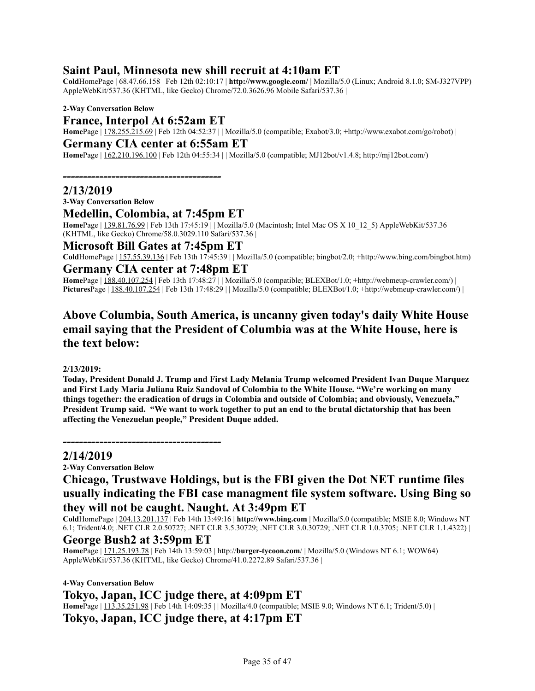### **Saint Paul, Minnesota new shill recruit at 4:10am ET**

**Cold**HomePage | 68.47.66.158 | Feb 12th 02:10:17 | **http://www.google.com/** | Mozilla/5.0 (Linux; Android 8.1.0; SM-J327VPP) AppleWebKit/537.36 (KHTML, like Gecko) Chrome/72.0.3626.96 Mobile Safari/537.36 |

**2-Way Conversation Below**

#### **France, Interpol At 6:52am ET**

**Home**Page | 178.255.215.69 | Feb 12th 04:52:37 | | Mozilla/5.0 (compatible; Exabot/3.0; +http://www.exabot.com/go/robot) |

### **Germany CIA center at 6:55am ET**

**Home**Page | 162.210.196.100 | Feb 12th 04:55:34 | | Mozilla/5.0 (compatible; MJ12bot/v1.4.8; http://mj12bot.com/) |

*---------------------------------------*

#### **2/13/2019**

**3-Way Conversation Below**

#### **Medellin, Colombia, at 7:45pm ET**

**Home**Page | 139.81.76.99 | Feb 13th 17:45:19 | | Mozilla/5.0 (Macintosh; Intel Mac OS X 10\_12\_5) AppleWebKit/537.36 (KHTML, like Gecko) Chrome/58.0.3029.110 Safari/537.36 |

**Microsoft Bill Gates at 7:45pm ET**

**Cold**HomePage | 157.55.39.136 | Feb 13th 17:45:39 | | Mozilla/5.0 (compatible; bingbot/2.0; +http://www.bing.com/bingbot.htm) **Germany CIA center at 7:48pm ET**

**Home**Page | 188.40.107.254 | Feb 13th 17:48:27 | | Mozilla/5.0 (compatible; BLEXBot/1.0; +http://webmeup-crawler.com/) | PicturesPage | 188.40.107.254 | Feb 13th 17:48:29 | | Mozilla/5.0 (compatible; BLEXBot/1.0; +http://webmeup-crawler.com/) |

# **Above Columbia, South America, is uncanny given today's daily White House email saying that the President of Columbia was at the White House, here is the text below:**

#### **2/13/2019:**

**Today, President Donald J. Trump and First Lady Melania Trump welcomed President Ivan Duque Marquez** and First Lady Maria Juliana Ruiz Sandoval of Colombia to the White House. "We're working on many **things together: the eradication of drugs in Colombia and outside of Colombia; and obviously, Venezuela,"** President Trump said. "We want to work together to put an end to the brutal dictatorship that has been **affecting the Venezuelan people," President Duque added.**

#### *---------------------------------------* **2/14/2019**

**2-Way Conversation Below**

# **Chicago, Trustwave Holdings, but is the FBI given the Dot NET runtime files usually indicating the FBI case managment file system software. Using Bing so they will not be caught. Naught. At 3:49pm ET**

**Cold**HomePage | 204.13.201.137 | Feb 14th 13:49:16 | **http://www.bing.com** | Mozilla/5.0 (compatible; MSIE 8.0; Windows NT 6.1; Trident/4.0; .NET CLR 2.0.50727; .NET CLR 3.5.30729; .NET CLR 3.0.30729; .NET CLR 1.0.3705; .NET CLR 1.1.4322) |

#### **George Bush2 at 3:59pm ET**

**Home**Page | 171.25.193.78 | Feb 14th 13:59:03 | http://**burger-tycoon.com**/ | Mozilla/5.0 (Windows NT 6.1; WOW64) AppleWebKit/537.36 (KHTML, like Gecko) Chrome/41.0.2272.89 Safari/537.36 |

#### **4-Way Conversation Below**

### **Tokyo, Japan, ICC judge there, at 4:09pm ET**

**Home**Page | 113.35.251.98 | Feb 14th 14:09:35 | | Mozilla/4.0 (compatible; MSIE 9.0; Windows NT 6.1; Trident/5.0) |

### **Tokyo, Japan, ICC judge there, at 4:17pm ET**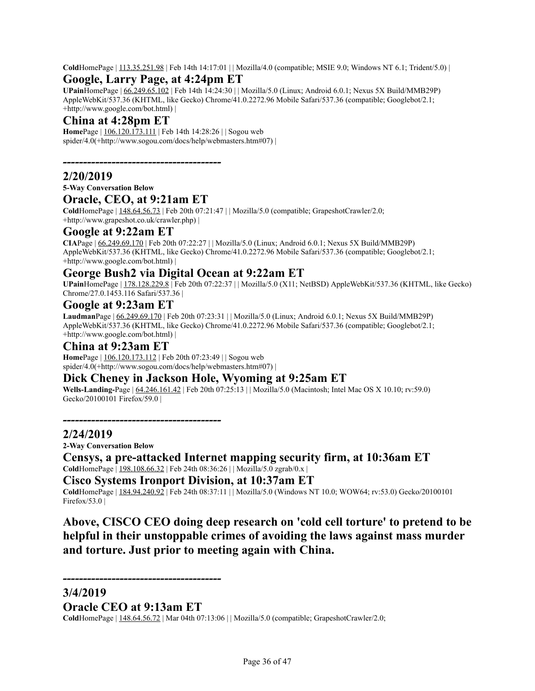**Cold**HomePage | 113.35.251.98 | Feb 14th 14:17:01 | | Mozilla/4.0 (compatible; MSIE 9.0; Windows NT 6.1; Trident/5.0) |

### **Google, Larry Page, at 4:24pm ET**

**UPain**HomePage | 66.249.65.102 | Feb 14th 14:24:30 | | Mozilla/5.0 (Linux; Android 6.0.1; Nexus 5X Build/MMB29P) AppleWebKit/537.36 (KHTML, like Gecko) Chrome/41.0.2272.96 Mobile Safari/537.36 (compatible; Googlebot/2.1; +http://www.google.com/bot.html) |

# **China at 4:28pm ET**

**Home**Page | 106.120.173.111 | Feb 14th 14:28:26 | | Sogou web spider/4.0(+http://www.sogou.com/docs/help/webmasters.htm#07) |

*---------------------------------------*

### **2/20/2019**

**5-Way Conversation Below**

#### **Oracle, CEO, at 9:21am ET**

**Cold**HomePage | 148.64.56.73 | Feb 20th 07:21:47 | | Mozilla/5.0 (compatible; GrapeshotCrawler/2.0; +http://www.grapeshot.co.uk/crawler.php) |

#### **Google at 9:22am ET**

**CIA**Page | 66.249.69.170 | Feb 20th 07:22:27 | | Mozilla/5.0 (Linux; Android 6.0.1; Nexus 5X Build/MMB29P) AppleWebKit/537.36 (KHTML, like Gecko) Chrome/41.0.2272.96 Mobile Safari/537.36 (compatible; Googlebot/2.1; +http://www.google.com/bot.html) |

### **George Bush2 via Digital Ocean at 9:22am ET**

**UPain**HomePage | 178.128.229.8 | Feb 20th 07:22:37 | | Mozilla/5.0 (X11; NetBSD) AppleWebKit/537.36 (KHTML, like Gecko) Chrome/27.0.1453.116 Safari/537.36 |

#### **Google at 9:23am ET**

**Laudman**Page | 66.249.69.170 | Feb 20th 07:23:31 | | Mozilla/5.0 (Linux; Android 6.0.1; Nexus 5X Build/MMB29P) AppleWebKit/537.36 (KHTML, like Gecko) Chrome/41.0.2272.96 Mobile Safari/537.36 (compatible; Googlebot/2.1; +http://www.google.com/bot.html) |

#### **China at 9:23am ET**

**Home**Page | 106.120.173.112 | Feb 20th 07:23:49 | | Sogou web spider/4.0(+http://www.sogou.com/docs/help/webmasters.htm#07) |

### **Dick Cheney in Jackson Hole, Wyoming at 9:25am ET**

**Wells-Landing-**Page | 64.246.161.42 | Feb 20th 07:25:13 | | Mozilla/5.0 (Macintosh; Intel Mac OS X 10.10; rv:59.0) Gecko/20100101 Firefox/59.0 |

*---------------------------------------*

### **2/24/2019**

**2-Way Conversation Below**

**Censys, a pre-attacked Internet mapping security firm, at 10:36am ET Cold**HomePage | 198.108.66.32 | Feb 24th 08:36:26 | | Mozilla/5.0 zgrab/0.x |

#### **Cisco Systems Ironport Division, at 10:37am ET**

**Cold**HomePage | 184.94.240.92 | Feb 24th 08:37:11 | | Mozilla/5.0 (Windows NT 10.0; WOW64; rv:53.0) Gecko/20100101 Firefox/53.0 |

# **Above, CISCO CEO doing deep research on 'cold cell torture' to pretend to be helpful in their unstoppable crimes of avoiding the laws against mass murder and torture. Just prior to meeting again with China.**

#### **3/4/2019**

**Oracle CEO at 9:13am ET**

*---------------------------------------*

**Cold**HomePage | 148.64.56.72 | Mar 04th 07:13:06 | | Mozilla/5.0 (compatible; GrapeshotCrawler/2.0;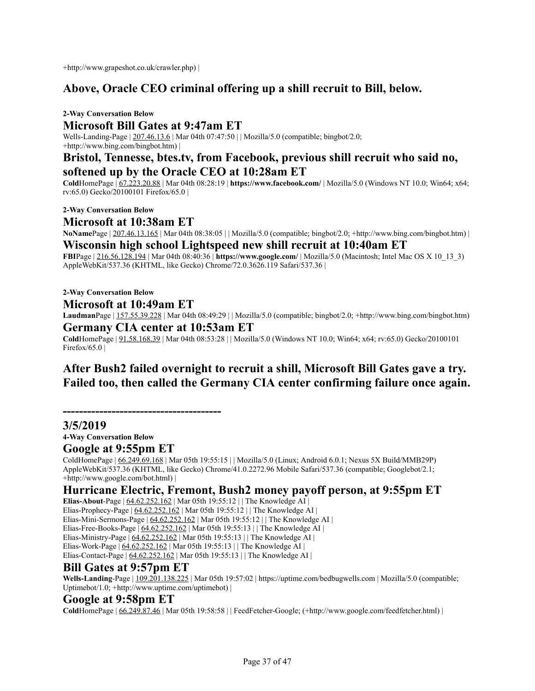+http://www.grapeshot.co.uk/crawler.php) |

# **Above, Oracle CEO criminal offering up a shill recruit to Bill, below.**

**2-Way Conversation Below Microsoft Bill Gates at 9:47am ET** Wells-Landing-Page | 207.46.13.6 | Mar 04th 07:47:50 | | Mozilla/5.0 (compatible; bingbot/2.0; +http://www.bing.com/bingbot.htm) |

### **Bristol, Tennesse, btes.tv, from Facebook, previous shill recruit who said no, softened up by the Oracle CEO at 10:28am ET**

**Cold**HomePage | 67.223.20.88 | Mar 04th 08:28:19 | **https://www.facebook.com/** | Mozilla/5.0 (Windows NT 10.0; Win64; x64; rv:65.0) Gecko/20100101 Firefox/65.0 |

**2-Way Conversation Below**

#### **Microsoft at 10:38am ET**

**NoName**Page | 207.46.13.165 | Mar 04th 08:38:05 | | Mozilla/5.0 (compatible; bingbot/2.0; +http://www.bing.com/bingbot.htm) |

**Wisconsin high school Lightspeed new shill recruit at 10:40am ET FBI**Page | 216.56.128.194 | Mar 04th 08:40:36 | **https://www.google.com/** | Mozilla/5.0 (Macintosh; Intel Mac OS X 10\_13\_3) AppleWebKit/537.36 (KHTML, like Gecko) Chrome/72.0.3626.119 Safari/537.36 |

#### **2-Way Conversation Below**

**Microsoft at 10:49am ET**

**Laudman**Page | 157.55.39.228 | Mar 04th 08:49:29 | | Mozilla/5.0 (compatible; bingbot/2.0; +http://www.bing.com/bingbot.htm) **Germany CIA center at 10:53am ET**

**Cold**HomePage | 91.58.168.39 | Mar 04th 08:53:28 | | Mozilla/5.0 (Windows NT 10.0; Win64; x64; rv:65.0) Gecko/20100101 Firefox/65.0  $\vert$ 

# **After Bush2 failed overnight to recruit a shill, Microsoft Bill Gates gave a try. Failed too, then called the Germany CIA center confirming failure once again.**

*---------------------------------------*

**3/5/2019**

**4-Way Conversation Below**

#### **Google at 9:55pm ET**

ColdHomePage | 66.249.69.168 | Mar 05th 19:55:15 | | Mozilla/5.0 (Linux; Android 6.0.1; Nexus 5X Build/MMB29P) AppleWebKit/537.36 (KHTML, like Gecko) Chrome/41.0.2272.96 Mobile Safari/537.36 (compatible; Googlebot/2.1; +http://www.google.com/bot.html) |

### **Hurricane Electric, Fremont, Bush2 money payoff person, at 9:55pm ET**

**Elias-About**-Page | 64.62.252.162 | Mar 05th 19:55:12 | | The Knowledge AI | Elias-Prophecy-Page | 64.62.252.162 | Mar 05th 19:55:12 | | The Knowledge AI | Elias-Mini-Sermons-Page | 64.62.252.162 | Mar 05th 19:55:12 | | The Knowledge AI | Elias-Free-Books-Page  $\left| \frac{64.62.252.162}{64.62.252.162} \right|$  Mar 05th 19:55:13 | | The Knowledge AI | Elias-Ministry-Page | 64.62.252.162 | Mar 05th 19:55:13 | | The Knowledge AI | Elias-Work-Page | 64.62.252.162 | Mar 05th 19:55:13 | | The Knowledge AI | Elias-Contact-Page | 64.62.252.162 | Mar 05th 19:55:13 | | The Knowledge AI |

### **Bill Gates at 9:57pm ET**

Wells-Landing-Page | 109.201.138.225 | Mar 05th 19:57:02 | https://uptime.com/bedbugwells.com | Mozilla/5.0 (compatible; Uptimebot/1.0; +http://www.uptime.com/uptimebot) |

#### **Google at 9:58pm ET**

**Cold**HomePage | 66.249.87.46 | Mar 05th 19:58:58 | | FeedFetcher-Google; (+http://www.google.com/feedfetcher.html) |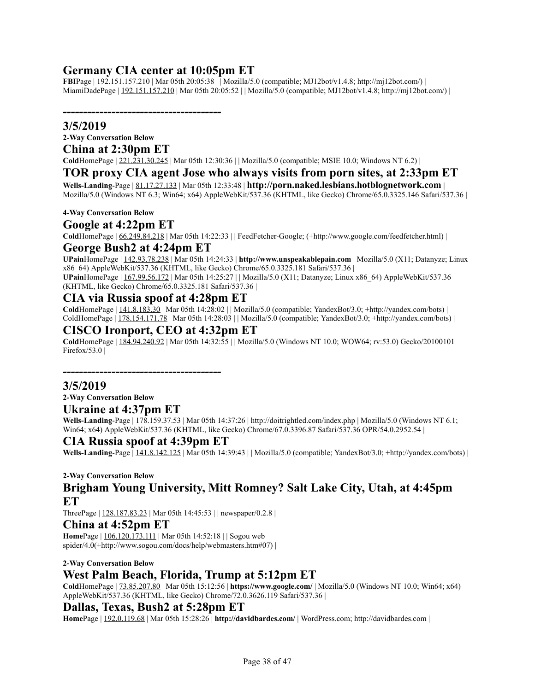# **Germany CIA center at 10:05pm ET**

*---------------------------------------*

**FBI**Page | 192.151.157.210 | Mar 05th 20:05:38 | | Mozilla/5.0 (compatible; MJ12bot/v1.4.8; http://mj12bot.com/) | MiamiDadePage | 192.151.157.210 | Mar 05th 20:05:52 | | Mozilla/5.0 (compatible; MJ12bot/v1.4.8; http://mj12bot.com/) |

#### **3/5/2019**

**2-Way Conversation Below**

### **China at 2:30pm ET**

**Cold**HomePage | 221.231.30.245 | Mar 05th 12:30:36 | | Mozilla/5.0 (compatible; MSIE 10.0; Windows NT 6.2) |

#### **TOR proxy CIA agent Jose who always visits from porn sites, at 2:33pm ET**

**Wells-Landing**-Page | 81.17.27.133 | Mar 05th 12:33:48 | **http://porn.naked.lesbians.hotblognetwork.com** | Mozilla/5.0 (Windows NT 6.3; Win64; x64) AppleWebKit/537.36 (KHTML, like Gecko) Chrome/65.0.3325.146 Safari/537.36 |

#### **4-Way Conversation Below**

#### **Google at 4:22pm ET**

**Cold**HomePage | 66.249.84.218 | Mar 05th 14:22:33 | | FeedFetcher-Google; (+http://www.google.com/feedfetcher.html) |

#### **George Bush2 at 4:24pm ET**

**UPain**HomePage | 142.93.78.238 | Mar 05th 14:24:33 | **http://www.unspeakablepain.com** | Mozilla/5.0 (X11; Datanyze; Linux x86\_64) AppleWebKit/537.36 (KHTML, like Gecko) Chrome/65.0.3325.181 Safari/537.36 |

**UPain**HomePage | 167.99.56.172 | Mar 05th 14:25:27 | | Mozilla/5.0 (X11; Datanyze; Linux x86\_64) AppleWebKit/537.36 (KHTML, like Gecko) Chrome/65.0.3325.181 Safari/537.36 |

#### **CIA via Russia spoof at 4:28pm ET**

**Cold**HomePage | 141.8.183.30 | Mar 05th 14:28:02 | | Mozilla/5.0 (compatible; YandexBot/3.0; +http://yandex.com/bots) | ColdHomePage | 178.154.171.78 | Mar 05th 14:28:03 | | Mozilla/5.0 (compatible; YandexBot/3.0; +http://yandex.com/bots) |

#### **CISCO Ironport, CEO at 4:32pm ET**

**Cold**HomePage | 184.94.240.92 | Mar 05th 14:32:55 | | Mozilla/5.0 (Windows NT 10.0; WOW64; rv:53.0) Gecko/20100101 Firefox/53.0  $\vert$ 

*---------------------------------------*

#### **3/5/2019**

**2-Way Conversation Below**

#### **Ukraine at 4:37pm ET**

Wells-Landing-Page | 178.159.37.53 | Mar 05th 14:37:26 | http://doitrightled.com/index.php | Mozilla/5.0 (Windows NT 6.1; Win64; x64) AppleWebKit/537.36 (KHTML, like Gecko) Chrome/67.0.3396.87 Safari/537.36 OPR/54.0.2952.54 |

#### **CIA Russia spoof at 4:39pm ET**

**Wells-Landing**-Page | 141.8.142.125 | Mar 05th 14:39:43 | | Mozilla/5.0 (compatible; YandexBot/3.0; +http://yandex.com/bots) |

#### **2-Way Conversation Below**

**Brigham Young University, Mitt Romney? Salt Lake City, Utah, at 4:45pm ET**

ThreePage | 128.187.83.23 | Mar 05th 14:45:53 | | newspaper/0.2.8 |

#### **China at 4:52pm ET**

**Home**Page | 106.120.173.111 | Mar 05th 14:52:18 | | Sogou web spider/4.0(+http://www.sogou.com/docs/help/webmasters.htm#07) |

#### **2-Way Conversation Below**

#### **West Palm Beach, Florida, Trump at 5:12pm ET**

**Cold**HomePage | 73.85.207.80 | Mar 05th 15:12:56 | **https://www.google.com/** | Mozilla/5.0 (Windows NT 10.0; Win64; x64) AppleWebKit/537.36 (KHTML, like Gecko) Chrome/72.0.3626.119 Safari/537.36 |

#### **Dallas, Texas, Bush2 at 5:28pm ET**

**Home**Page | 192.0.119.68 | Mar 05th 15:28:26 | **http://davidbardes.com/** | WordPress.com; http://davidbardes.com |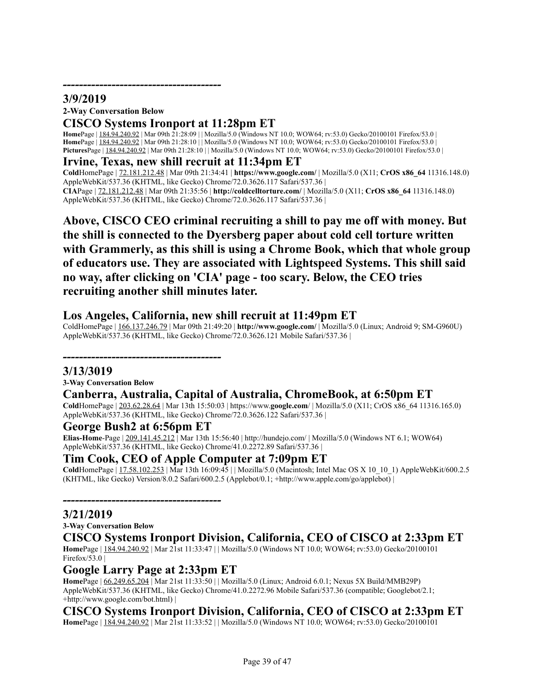# **3/9/2019**

**2-Way Conversation Below**

### **CISCO Systems Ironport at 11:28pm ET**

**Home**Page | 184.94.240.92 | Mar 09th 21:28:09 | | Mozilla/5.0 (Windows NT 10.0; WOW64; rv:53.0) Gecko/20100101 Firefox/53.0 **Home**Page | 184.94.240.92 | Mar 09th 21:28:10 | | Mozilla/5.0 (Windows NT 10.0; WOW64; rv:53.0) Gecko/20100101 Firefox/53.0 **Pictures**Page | 184.94.240.92 | Mar 09th 21:28:10 | | Mozilla/5.0 (Windows NT 10.0; WOW64; rv:53.0) Gecko/20100101 Firefox/53.0 |

#### **Irvine, Texas, new shill recruit at 11:34pm ET**

**Cold**HomePage | 72.181.212.48 | Mar 09th 21:34:41 | **https://www.google.com/** | Mozilla/5.0 (X11; **CrOS x86\_64** 11316.148.0) AppleWebKit/537.36 (KHTML, like Gecko) Chrome/72.0.3626.117 Safari/537.36 | **CIA**Page | 72.181.212.48 | Mar 09th 21:35:56 | **http://coldcelltorture.com/** | Mozilla/5.0 (X11; **CrOS x86\_64** 11316.148.0) AppleWebKit/537.36 (KHTML, like Gecko) Chrome/72.0.3626.117 Safari/537.36 |

**Above, CISCO CEO criminal recruiting a shill to pay me off with money. But the shill is connected to the Dyersberg paper about cold cell torture written with Grammerly, as this shill is using a Chrome Book, which that whole group of educators use. They are associated with Lightspeed Systems. This shill said no way, after clicking on 'CIA' page - too scary. Below, the CEO tries recruiting another shill minutes later.**

### **Los Angeles, California, new shill recruit at 11:49pm ET**

ColdHomePage | 166.137.246.79 | Mar 09th 21:49:20 | **http://www.google.com/** | Mozilla/5.0 (Linux; Android 9; SM-G960U) AppleWebKit/537.36 (KHTML, like Gecko) Chrome/72.0.3626.121 Mobile Safari/537.36 |

# *---------------------------------------*

**3/13/3019 3-Way Conversation Below**

# **Canberra, Australia, Capital of Australia, ChromeBook, at 6:50pm ET**

**Cold**HomePage | 203.62.28.64 | Mar 13th 15:50:03 | https://www.**google.com**/ | Mozilla/5.0 (X11; CrOS x86\_64 11316.165.0) AppleWebKit/537.36 (KHTML, like Gecko) Chrome/72.0.3626.122 Safari/537.36 |

#### **George Bush2 at 6:56pm ET**

*---------------------------------------*

**Elias-Home**-Page | 209.141.45.212 | Mar 13th 15:56:40 | http://hundejo.com/ | Mozilla/5.0 (Windows NT 6.1; WOW64) AppleWebKit/537.36 (KHTML, like Gecko) Chrome/41.0.2272.89 Safari/537.36 |

#### **Tim Cook, CEO of Apple Computer at 7:09pm ET**

**Cold**HomePage | 17.58.102.253 | Mar 13th 16:09:45 | | Mozilla/5.0 (Macintosh; Intel Mac OS X 10\_10\_1) AppleWebKit/600.2.5 (KHTML, like Gecko) Version/8.0.2 Safari/600.2.5 (Applebot/0.1; +http://www.apple.com/go/applebot) |

#### **3/21/2019**

**3-Way Conversation Below**

#### **CISCO Systems Ironport Division, California, CEO of CISCO at 2:33pm ET**

**Home**Page | 184.94.240.92 | Mar 21st 11:33:47 | | Mozilla/5.0 (Windows NT 10.0; WOW64; rv:53.0) Gecko/20100101 Firefox/53.0  $\vert$ 

#### **Google Larry Page at 2:33pm ET**

**Home**Page | 66.249.65.204 | Mar 21st 11:33:50 | | Mozilla/5.0 (Linux; Android 6.0.1; Nexus 5X Build/MMB29P) AppleWebKit/537.36 (KHTML, like Gecko) Chrome/41.0.2272.96 Mobile Safari/537.36 (compatible; Googlebot/2.1; +http://www.google.com/bot.html) |

### **CISCO Systems Ironport Division, California, CEO of CISCO at 2:33pm ET**

**Home**Page | 184.94.240.92 | Mar 21st 11:33:52 | | Mozilla/5.0 (Windows NT 10.0; WOW64; rv:53.0) Gecko/20100101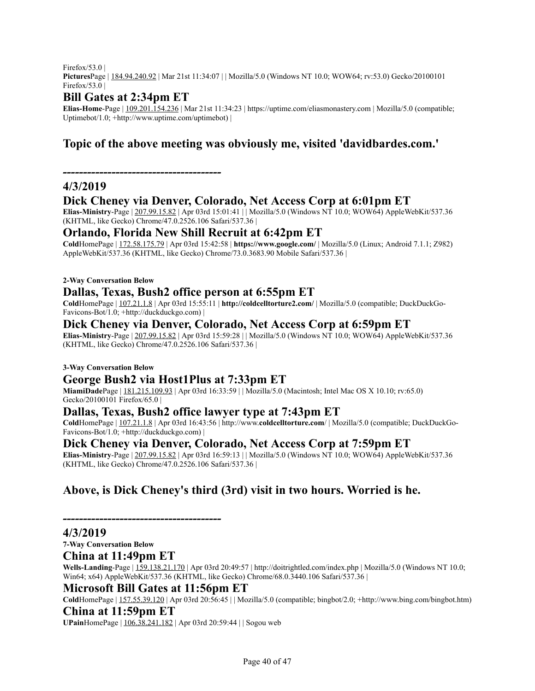Firefox/53.0  $\vert$ **Pictures**Page | 184.94.240.92 | Mar 21st 11:34:07 | | Mozilla/5.0 (Windows NT 10.0; WOW64; rv:53.0) Gecko/20100101 Firefox/53.0  $\vert$ 

# **Bill Gates at 2:34pm ET**

*---------------------------------------*

**Elias-Home**-Page | 109.201.154.236 | Mar 21st 11:34:23 | https://uptime.com/eliasmonastery.com | Mozilla/5.0 (compatible; Uptimebot/1.0; +http://www.uptime.com/uptimebot) |

# **Topic of the above meeting was obviously me, visited 'davidbardes.com.'**

### **4/3/2019**

### **Dick Cheney via Denver, Colorado, Net Access Corp at 6:01pm ET**

**Elias-Ministry**-Page | 207.99.15.82 | Apr 03rd 15:01:41 | | Mozilla/5.0 (Windows NT 10.0; WOW64) AppleWebKit/537.36 (KHTML, like Gecko) Chrome/47.0.2526.106 Safari/537.36 |

### **Orlando, Florida New Shill Recruit at 6:42pm ET**

**Cold**HomePage | 172.58.175.79 | Apr 03rd 15:42:58 | **https://www.google.com/** | Mozilla/5.0 (Linux; Android 7.1.1; Z982) AppleWebKit/537.36 (KHTML, like Gecko) Chrome/73.0.3683.90 Mobile Safari/537.36 |

#### **2-Way Conversation Below**

### **Dallas, Texas, Bush2 office person at 6:55pm ET**

**Cold**HomePage | 107.21.1.8 | Apr 03rd 15:55:11 | **http://coldcelltorture2.com/** | Mozilla/5.0 (compatible; DuckDuckGo-Favicons-Bot/1.0; +http://duckduckgo.com) |

### **Dick Cheney via Denver, Colorado, Net Access Corp at 6:59pm ET**

**Elias-Ministry**-Page | 207.99.15.82 | Apr 03rd 15:59:28 | | Mozilla/5.0 (Windows NT 10.0; WOW64) AppleWebKit/537.36 (KHTML, like Gecko) Chrome/47.0.2526.106 Safari/537.36 |

#### **3-Way Conversation Below**

### **George Bush2 via Host1Plus at 7:33pm ET**

**MiamiDade**Page | 181.215.109.93 | Apr 03rd 16:33:59 | | Mozilla/5.0 (Macintosh; Intel Mac OS X 10.10; rv:65.0) Gecko/20100101 Firefox/65.0 |

#### **Dallas, Texas, Bush2 office lawyer type at 7:43pm ET**

**Cold**HomePage | 107.21.1.8 | Apr 03rd 16:43:56 | http://www.**coldcelltorture.com**/ | Mozilla/5.0 (compatible; DuckDuckGo-Favicons-Bot/1.0; +http://duckduckgo.com) |

### **Dick Cheney via Denver, Colorado, Net Access Corp at 7:59pm ET**

**Elias-Ministry**-Page | 207.99.15.82 | Apr 03rd 16:59:13 | | Mozilla/5.0 (Windows NT 10.0; WOW64) AppleWebKit/537.36 (KHTML, like Gecko) Chrome/47.0.2526.106 Safari/537.36 |

# **Above, is Dick Cheney's third (3rd) visit in two hours. Worried is he.**

#### **4/3/2019**

**7-Way Conversation Below**

#### **China at 11:49pm ET**

**Wells-Landing**-Page | 159.138.21.170 | Apr 03rd 20:49:57 | http://doitrightled.com/index.php | Mozilla/5.0 (Windows NT 10.0; Win64; x64) AppleWebKit/537.36 (KHTML, like Gecko) Chrome/68.0.3440.106 Safari/537.36 |

#### **Microsoft Bill Gates at 11:56pm ET**

*---------------------------------------*

**Cold**HomePage | 157.55.39.120 | Apr 03rd 20:56:45 | | Mozilla/5.0 (compatible; bingbot/2.0; +http://www.bing.com/bingbot.htm)

#### **China at 11:59pm ET**

**UPain**HomePage | 106.38.241.182 | Apr 03rd 20:59:44 | | Sogou web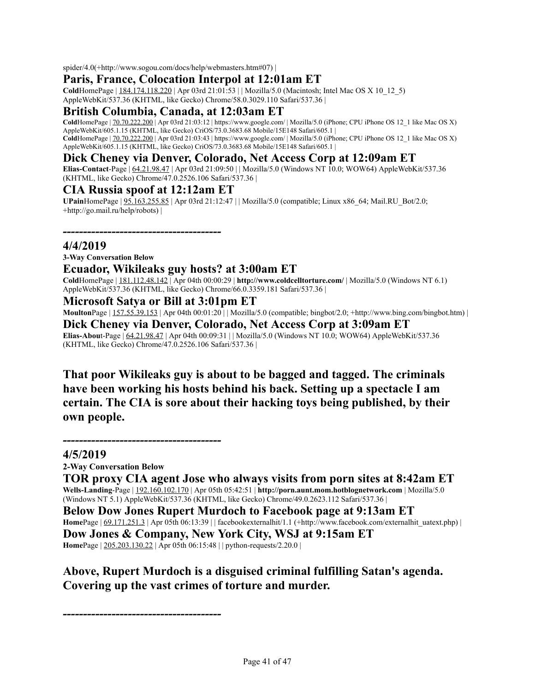spider/4.0(+http://www.sogou.com/docs/help/webmasters.htm#07) |

### **Paris, France, Colocation Interpol at 12:01am ET**

**Cold**HomePage | 184.174.118.220 | Apr 03rd 21:01:53 | | Mozilla/5.0 (Macintosh; Intel Mac OS X 10\_12\_5) AppleWebKit/537.36 (KHTML, like Gecko) Chrome/58.0.3029.110 Safari/537.36 |

### **British Columbia, Canada, at 12:03am ET**

 $\text{GoldHomePage} \mid \text{70.70.222.200}$  | Apr 03rd 21:03:12 | https://www.google.com/ | Mozilla/5.0 (iPhone; CPU iPhone OS 12\_1 like Mac OS X) AppleWebKit/605.1.15 (KHTML, like Gecko) CriOS/73.0.3683.68 Mobile/15E148 Safari/605.1 | **Cold**HomePage | 70.70.222.200 | Apr 03rd 21:03:43 | https://www.google.com/ | Mozilla/5.0 (iPhone; CPU iPhone OS 12\_1 like Mac OS X) AppleWebKit/605.1.15 (KHTML, like Gecko) CriOS/73.0.3683.68 Mobile/15E148 Safari/605.1 |

### **Dick Cheney via Denver, Colorado, Net Access Corp at 12:09am ET**

**Elias-Contact**-Page | 64.21.98.47 | Apr 03rd 21:09:50 | | Mozilla/5.0 (Windows NT 10.0; WOW64) AppleWebKit/537.36 (KHTML, like Gecko) Chrome/47.0.2526.106 Safari/537.36 |

#### **CIA Russia spoof at 12:12am ET**

*---------------------------------------*

**UPain**HomePage | 95.163.255.85 | Apr 03rd 21:12:47 | | Mozilla/5.0 (compatible; Linux x86\_64; Mail.RU\_Bot/2.0; +http://go.mail.ru/help/robots) |

#### **4/4/2019**

**3-Way Conversation Below**

### **Ecuador, Wikileaks guy hosts? at 3:00am ET**

**Cold**HomePage | 181.112.48.142 | Apr 04th 00:00:29 | **http://www.coldcelltorture.com/** | Mozilla/5.0 (Windows NT 6.1) AppleWebKit/537.36 (KHTML, like Gecko) Chrome/66.0.3359.181 Safari/537.36 |

#### **Microsoft Satya or Bill at 3:01pm ET**

**Moulton**Page  $|157.55.39.153|$  Apr 04th 00:01:20 $|$  | Mozilla/5.0 (compatible; bingbot/2.0; +http://www.bing.com/bingbot.htm) | **Dick Cheney via Denver, Colorado, Net Access Corp at 3:09am ET Elias-Abou**t-Page | 64.21.98.47 | Apr 04th 00:09:31 | | Mozilla/5.0 (Windows NT 10.0; WOW64) AppleWebKit/537.36 (KHTML, like Gecko) Chrome/47.0.2526.106 Safari/537.36 |

**That poor Wikileaks guy is about to be bagged and tagged. The criminals have been working his hosts behind his back. Setting up a spectacle I am certain. The CIA is sore about their hacking toys being published, by their own people.**

#### **4/5/2019**

**2-Way Conversation Below**

*---------------------------------------*

**TOR proxy CIA agent Jose who always visits from porn sites at 8:42am ET Wells-Landing**-Page | 192.160.102.170 | Apr 05th 05:42:51 | **http://porn.aunt.mom.hotblognetwork.com** | Mozilla/5.0 (Windows NT 5.1) AppleWebKit/537.36 (KHTML, like Gecko) Chrome/49.0.2623.112 Safari/537.36 |

**Below Dow Jones Rupert Murdoch to Facebook page at 9:13am ET Home**Page  $\left| \frac{69.171.251.3}{2} \right|$  Apr 05th 06:13:39 | facebookexternalhit/1.1 (+http://www.facebook.com/externalhit\_uatext.php) | **Dow Jones & Company, New York City, WSJ at 9:15am ET Home**Page | 205.203.130.22 | Apr 05th 06:15:48 | | python-requests/2.20.0 |

# **Above, Rupert Murdoch is a disguised criminal fulfilling Satan's agenda. Covering up the vast crimes of torture and murder.**

*---------------------------------------*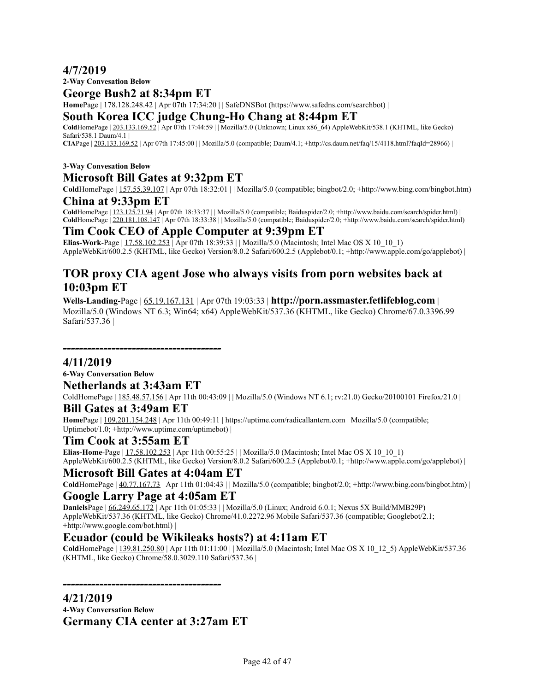### **4/7/2019**

**2-Way Convesation Below**

### **George Bush2 at 8:34pm ET**

**Home**Page | 178.128.248.42 | Apr 07th 17:34:20 | | SafeDNSBot (https://www.safedns.com/searchbot) |

#### **South Korea ICC judge Chung-Ho Chang at 8:44pm ET**

**Cold**HomePage | 203.133.169.52 | Apr 07th 17:44:59 | | Mozilla/5.0 (Unknown; Linux x86\_64) AppleWebKit/538.1 (KHTML, like Gecko) Safari/538.1 Daum/4.1 |

**CIA**Page | 203.133.169.52 | Apr 07th 17:45:00 | | Mozilla/5.0 (compatible; Daum/4.1; +http://cs.daum.net/faq/15/4118.html?faqId=28966) |

#### **3-Way Convesation Below**

### **Microsoft Bill Gates at 9:32pm ET**

**Cold**HomePage | 157.55.39.107 | Apr 07th 18:32:01 | | Mozilla/5.0 (compatible; bingbot/2.0; +http://www.bing.com/bingbot.htm)

#### **China at 9:33pm ET**

**Cold**HomePage | 123.125.71.94 | Apr 07th 18:33:37 | | Mozilla/5.0 (compatible; Baiduspider/2.0; +http://www.baidu.com/search/spider.html) | **Cold**HomePage | 220.181.108.147 | Apr 07th 18:33:38 | | Mozilla/5.0 (compatible; Baiduspider/2.0; +http://www.baidu.com/search/spider.html) |

#### **Tim Cook CEO of Apple Computer at 9:39pm ET**

**Elias-Work-Page** |  $17.58.102.253$  | Apr 07th  $18:39:33$  | | Mozilla/5.0 (Macintosh; Intel Mac OS X 10  $10$  1) AppleWebKit/600.2.5 (KHTML, like Gecko) Version/8.0.2 Safari/600.2.5 (Applebot/0.1; +http://www.apple.com/go/applebot) |

# **TOR proxy CIA agent Jose who always visits from porn websites back at 10:03pm ET**

**Wells-Landing**-Page | 65.19.167.131 | Apr 07th 19:03:33 | **http://porn.assmaster.fetlifeblog.com** | Mozilla/5.0 (Windows NT 6.3; Win64; x64) AppleWebKit/537.36 (KHTML, like Gecko) Chrome/67.0.3396.99 Safari/537.36 |

#### **4/11/2019**

**6-Way Conversation Below Netherlands at 3:43am ET**

*---------------------------------------*

ColdHomePage | 185.48.57.156 | Apr 11th 00:43:09 | | Mozilla/5.0 (Windows NT 6.1; rv:21.0) Gecko/20100101 Firefox/21.0 |

### **Bill Gates at 3:49am ET**

**Home**Page | 109.201.154.248 | Apr 11th 00:49:11 | https://uptime.com/radicallantern.com | Mozilla/5.0 (compatible; Uptimebot/1.0; +http://www.uptime.com/uptimebot) |

#### **Tim Cook at 3:55am ET**

**Elias-Home-Page** | 17.58.102.253 | Apr 11th 00:55:25 | | Mozilla/5.0 (Macintosh; Intel Mac OS X 10\_10\_1) AppleWebKit/600.2.5 (KHTML, like Gecko) Version/8.0.2 Safari/600.2.5 (Applebot/0.1; +http://www.apple.com/go/applebot) |

#### **Microsoft Bill Gates at 4:04am ET**

**Cold**HomePage | 40.77.167.73 | Apr 11th 01:04:43 | | Mozilla/5.0 (compatible; bingbot/2.0; +http://www.bing.com/bingbot.htm) |

### **Google Larry Page at 4:05am ET**

**Daniels**Page | 66.249.65.172 | Apr 11th 01:05:33 | | Mozilla/5.0 (Linux; Android 6.0.1; Nexus 5X Build/MMB29P) AppleWebKit/537.36 (KHTML, like Gecko) Chrome/41.0.2272.96 Mobile Safari/537.36 (compatible; Googlebot/2.1; +http://www.google.com/bot.html) |

### **Ecuador (could be Wikileaks hosts?) at 4:11am ET**

**Cold**HomePage | 139.81.250.80 | Apr 11th 01:11:00 | | Mozilla/5.0 (Macintosh; Intel Mac OS X 10\_12\_5) AppleWebKit/537.36 (KHTML, like Gecko) Chrome/58.0.3029.110 Safari/537.36 |

*---------------------------------------*

**4/21/2019**

**4-Way Conversation Below Germany CIA center at 3:27am ET**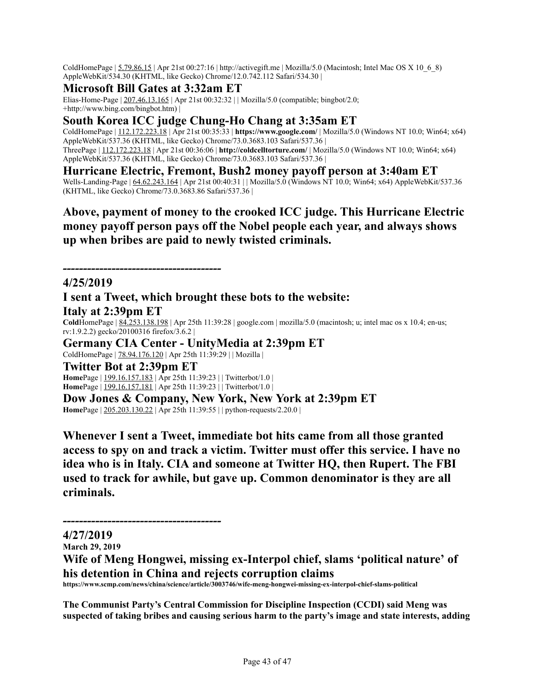ColdHomePage | 5.79.86.15 | Apr 21st 00:27:16 | http://activegift.me | Mozilla/5.0 (Macintosh; Intel Mac OS X 10\_6\_8) AppleWebKit/534.30 (KHTML, like Gecko) Chrome/12.0.742.112 Safari/534.30 |

### **Microsoft Bill Gates at 3:32am ET**

Elias-Home-Page | 207.46.13.165 | Apr 21st 00:32:32 | | Mozilla/5.0 (compatible; bingbot/2.0; +http://www.bing.com/bingbot.htm) |

# **South Korea ICC judge Chung-Ho Chang at 3:35am ET**

ColdHomePage | 112.172.223.18 | Apr 21st 00:35:33 | **https://www.google.com/** | Mozilla/5.0 (Windows NT 10.0; Win64; x64) AppleWebKit/537.36 (KHTML, like Gecko) Chrome/73.0.3683.103 Safari/537.36 | ThreePage | 112.172.223.18 | Apr 21st 00:36:06 | **http://coldcelltorture.com/** | Mozilla/5.0 (Windows NT 10.0; Win64; x64) AppleWebKit/537.36 (KHTML, like Gecko) Chrome/73.0.3683.103 Safari/537.36 |

**Hurricane Electric, Fremont, Bush2 money payoff person at 3:40am ET**

Wells-Landing-Page | 64.62.243.164 | Apr 21st 00:40:31 | | Mozilla/5.0 (Windows NT 10.0; Win64; x64) AppleWebKit/537.36 (KHTML, like Gecko) Chrome/73.0.3683.86 Safari/537.36 |

**Above, payment of money to the crooked ICC judge. This Hurricane Electric money payoff person pays off the Nobel people each year, and always shows up when bribes are paid to newly twisted criminals.**

#### **4/25/2019**

# **I sent a Tweet, which brought these bots to the website:**

**Italy at 2:39pm ET**

**Cold**HomePage | 84.253.138.198 | Apr 25th 11:39:28 | google.com | mozilla/5.0 (macintosh; u; intel mac os x 10.4; en-us; rv:1.9.2.2) gecko/20100316 firefox/3.6.2 |

**Germany CIA Center - UnityMedia at 2:39pm ET**

ColdHomePage | 78.94.176.120 | Apr 25th 11:39:29 | | Mozilla |

**Twitter Bot at 2:39pm ET**

*---------------------------------------*

**Home**Page | 199.16.157.183 | Apr 25th 11:39:23 | | Twitterbot/1.0 | **Home**Page | 199.16.157.181 | Apr 25th 11:39:23 | | Twitterbot/1.0 |

**Dow Jones & Company, New York, New York at 2:39pm ET Home**Page | 205.203.130.22 | Apr 25th 11:39:55 | | python-requests/2.20.0 |

**Whenever I sent a Tweet, immediate bot hits came from all those granted access to spy on and track a victim. Twitter must offer this service. I have no idea who is in Italy. CIA and someone at Twitter HQ, then Rupert. The FBI used to track for awhile, but gave up. Common denominator is they are all criminals.**

*---------------------------------------*

### **4/27/2019**

**March 29, 2019**

**Wife of Meng Hongwei, missing ex-Interpol chief, slams 'political nature' of his detention in China and rejects corruption claims**

**https://www.scmp.com/news/china/science/article/3003746/wife-meng-hongwei-missing-ex-interpol-chief-slams-political**

**The Communist Party's Central Commission for Discipline Inspection (CCDI) said Meng was** suspected of taking bribes and causing serious harm to the party's image and state interests, adding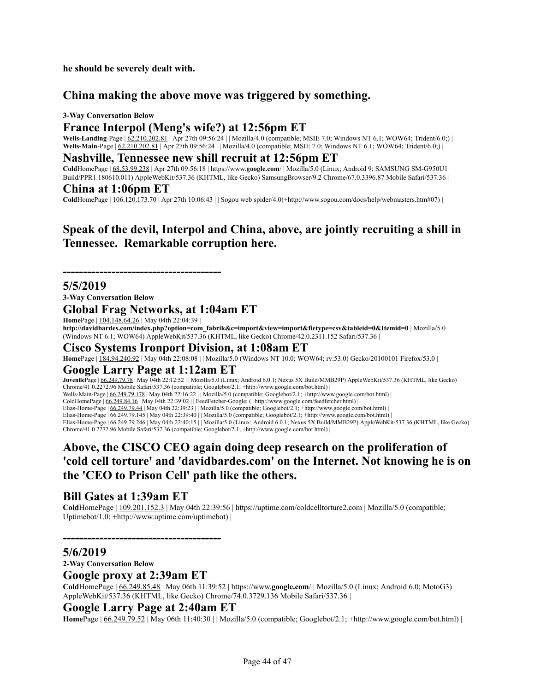**he should be severely dealt with.**

# **China making the above move was triggered by something.**

#### **3-Way Conversation Below**

### **France Interpol (Meng's wife?) at 12:56pm ET**

**Wells-Landing**-Page | <u>62.210.202.81</u> | Apr 27th 09:56:24 | | Mozilla/4.0 (compatible; MSIE 7.0; Windows NT 6.1; WOW64; Trident/6.0;) | **Wells-Main-Page** | 62.210.202.81 | Apr 27th 09:56:24 | | Mozilla/4.0 (compatible; MSIE 7.0; Windows NT 6.1; WOW64; Trident/6.0;) |

#### **Nashville, Tennessee new shill recruit at 12:56pm ET**

**Cold**HomePage | 68.53.99.238 | Apr 27th 09:56:18 | https://www.**google.com**/ | Mozilla/5.0 (Linux; Android 9; SAMSUNG SM-G950U1 Build/PPR1.180610.011) AppleWebKit/537.36 (KHTML, like Gecko) SamsungBrowser/9.2 Chrome/67.0.3396.87 Mobile Safari/537.36 |

#### **China at 1:06pm ET**

**Cold**HomePage | 106.120.173.70 | Apr 27th 10:06:43 | | Sogou web spider/4.0(+http://www.sogou.com/docs/help/webmasters.htm#07) |

# **Speak of the devil, Interpol and China, above, are jointly recruiting a shill in Tennessee. Remarkable corruption here.**

*---------------------------------------*

#### **5/5/2019**

**3-Way Conversation Below**

#### **Global Frag Networks, at 1:04am ET**

**Home**Page | 104.148.64.26 | May 04th 22:04:39 |

**http://davidbardes.com/index.php?option=com\_fabrik&c=import&view=import&fietype=csv&tableid=0&Itemid=0** | Mozilla/5.0 (Windows NT 6.1; WOW64) AppleWebKit/537.36 (KHTML, like Gecko) Chrome/42.0.2311.152 Safari/537.36 |

#### **Cisco Systems Ironport Division, at 1:08am ET**

**Home**Page | 184.94.240.92 | May 04th 22:08:08 | | Mozilla/5.0 (Windows NT 10.0; WOW64; rv:53.0) Gecko/20100101 Firefox/53.0 |

#### **Google Larry Page at 1:12am ET**

**Juvenile**Page | 66.249.79.78 | May 04th 22:12:52 | | Mozilla/5.0 (Linux; Android 6.0.1; Nexus 5X Build/MMB29P) AppleWebKit/537.36 (KHTML, like Gecko) Chrome/41.0.2272.96 Mobile Safari/537.36 (compatible; Googlebot/2.1; +http://www.google.com/bot.html) | Wells-Main-Page | 66.249.79.178 | May 04th 22:16:22 | | Mozilla/5.0 (compatible; Googlebot/2.1; +http://www.google.com/bot.html) | ColdHomePage | 66.249.84.16 | May 04th 22:39:02 | | FeedFetcher-Google; (+http://www.google.com/feedfetcher.html) | Elias-Home-Page | 66.249.79.44 | May 04th 22:39:23 | | Mozilla/5.0 (compatible; Googlebot/2.1; +http://www.google.com/bot.html) | Elias-Home-Page | 66.249.79.145 | May 04th 22:39:40 | | Mozilla/5.0 (compatible; Googlebot/2.1; +http://www.google.com/bot.html) | Elias-Home-Page | 66.249.79.246 | May 04th 22:40:15 | | Mozilla/5.0 (Linux; Android 6.0.1; Nexus 5X Build/MMB29P) AppleWebKit/537.36 (KHTML, like Gecko) Chrome/41.0.2272.96 Mobile Safari/537.36 (compatible; Googlebot/2.1; +http://www.google.com/bot.html) |

# **Above, the CISCO CEO again doing deep research on the proliferation of 'cold cell torture' and 'davidbardes.com' on the Internet. Not knowing he is on the 'CEO to Prison Cell' path like the others.**

### **Bill Gates at 1:39am ET**

**Cold**HomePage | 109.201.152.3 | May 04th 22:39:56 | https://uptime.com/coldcelltorture2.com | Mozilla/5.0 (compatible; Uptimebot/1.0; +http://www.uptime.com/uptimebot) |

#### **5/6/2019**

**2-Way Conversation Below**

#### **Google proxy at 2:39am ET**

*---------------------------------------*

**Cold**HomePage | 66.249.85.48 | May 06th 11:39:52 | https://www.**google.com**/ | Mozilla/5.0 (Linux; Android 6.0; MotoG3) AppleWebKit/537.36 (KHTML, like Gecko) Chrome/74.0.3729.136 Mobile Safari/537.36 |

#### **Google Larry Page at 2:40am ET**

**Home**Page | 66.249.79.52 | May 06th 11:40:30 | | Mozilla/5.0 (compatible; Googlebot/2.1; +http://www.google.com/bot.html) |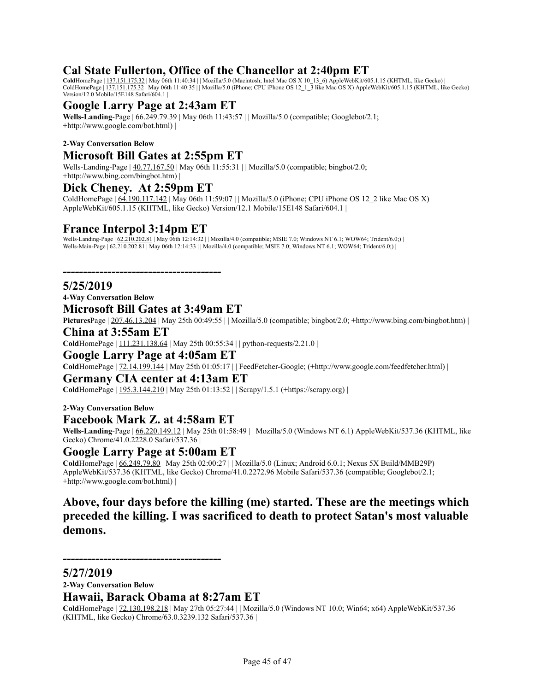# **Cal State Fullerton, Office of the Chancellor at 2:40pm ET**

**Cold**HomePage | 137.151.175.32 | May 06th 11:40:34 | | Mozilla/5.0 (Macintosh; Intel Mac OS X 10\_13\_6) AppleWebKit/605.1.15 (KHTML, like Gecko) | ColdHomePage | 137.151.175.32 | May 06th 11:40:35 | | Mozilla/5.0 (iPhone; CPU iPhone OS 12\_1\_3 like Mac OS X) AppleWebKit/605.1.15 (KHTML, like Gecko) Version/12.0 Mobile/15E148 Safari/604.1 |

# **Google Larry Page at 2:43am ET**

**Wells-Landing**-Page | 66.249.79.39 | May 06th 11:43:57 | | Mozilla/5.0 (compatible; Googlebot/2.1; +http://www.google.com/bot.html) |

#### **2-Way Conversation Below**

#### **Microsoft Bill Gates at 2:55pm ET**

Wells-Landing-Page | 40.77.167.50 | May 06th 11:55:31 | | Mozilla/5.0 (compatible; bingbot/2.0; +http://www.bing.com/bingbot.htm) |

### **Dick Cheney. At 2:59pm ET**

ColdHomePage | 64.190.117.142 | May 06th 11:59:07 | | Mozilla/5.0 (iPhone; CPU iPhone OS 12\_2 like Mac OS X) AppleWebKit/605.1.15 (KHTML, like Gecko) Version/12.1 Mobile/15E148 Safari/604.1 |

### **France Interpol 3:14pm ET**

Wells-Landing-Page | 62.210.202.81 | May 06th 12:14:32 | | Mozilla/4.0 (compatible; MSIE 7.0; Windows NT 6.1; WOW64; Trident/6.0;) | Wells-Main-Page  $\left| \frac{62.210.202.81}{20.202.81} \right|$  May 06th 12:14:33 | | Mozilla/4.0 (compatible; MSIE 7.0; Windows NT 6.1; WOW64; Trident/6.0;) |

*---------------------------------------*

### **5/25/2019**

**4-Way Conversation Below**

#### **Microsoft Bill Gates at 3:49am ET**

**Pictures**Page | 207.46.13.204 | May 25th 00:49:55 | | Mozilla/5.0 (compatible; bingbot/2.0; +http://www.bing.com/bingbot.htm) |

#### **China at 3:55am ET**

**Cold**HomePage | 111.231.138.64 | May 25th 00:55:34 | | python-requests/2.21.0 |

#### **Google Larry Page at 4:05am ET**

**Cold**HomePage | 72.14.199.144 | May 25th 01:05:17 | | FeedFetcher-Google; (+http://www.google.com/feedfetcher.html) |

#### **Germany CIA center at 4:13am ET**

**Cold**HomePage | 195.3.144.210 | May 25th 01:13:52 | | Scrapy/1.5.1 (+https://scrapy.org) |

#### **2-Way Conversation Below**

#### **Facebook Mark Z. at 4:58am ET**

**Wells-Landing**-Page | 66.220.149.12 | May 25th 01:58:49 | | Mozilla/5.0 (Windows NT 6.1) AppleWebKit/537.36 (KHTML, like Gecko) Chrome/41.0.2228.0 Safari/537.36 |

#### **Google Larry Page at 5:00am ET**

**Cold**HomePage | 66.249.79.80 | May 25th 02:00:27 | | Mozilla/5.0 (Linux; Android 6.0.1; Nexus 5X Build/MMB29P) AppleWebKit/537.36 (KHTML, like Gecko) Chrome/41.0.2272.96 Mobile Safari/537.36 (compatible; Googlebot/2.1; +http://www.google.com/bot.html) |

# **Above, four days before the killing (me) started. These are the meetings which preceded the killing. I was sacrificed to death to protect Satan's most valuable demons.**

#### **5/27/2019**

**2-Way Conversation Below**

*---------------------------------------*

#### **Hawaii, Barack Obama at 8:27am ET**

**Cold**HomePage | [72.130.198.218](http://www.ip-adress.com/ip_tracer/72.130.198.218) | May 27th 05:27:44 | | Mozilla/5.0 (Windows NT 10.0; Win64; x64) AppleWebKit/537.36 (KHTML, like Gecko) Chrome/63.0.3239.132 Safari/537.36 |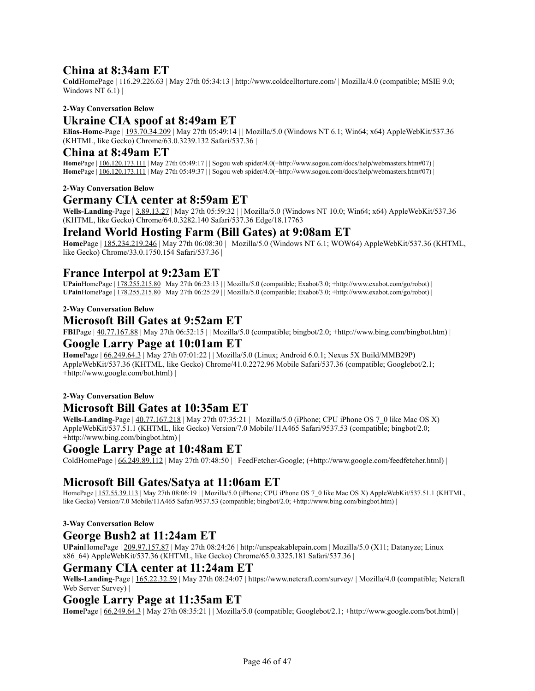### **China at 8:34am ET**

**Cold**HomePage | [116.29.226.63](http://www.ip-adress.com/ip_tracer/116.29.226.63) | May 27th 05:34:13 | http://www.coldcelltorture.com/ | Mozilla/4.0 (compatible; MSIE 9.0; Windows NT  $6.1$ ) |

#### **2-Way Conversation Below**

# **Ukraine CIA spoof at 8:49am ET**

**Elias-Home**-Page | [193.70.34.209](http://www.ip-adress.com/ip_tracer/193.70.34.209) | May 27th 05:49:14 | | Mozilla/5.0 (Windows NT 6.1; Win64; x64) AppleWebKit/537.36 (KHTML, like Gecko) Chrome/63.0.3239.132 Safari/537.36 |

#### **China at 8:49am ET**

**Home**Page | [106.120.173.111](http://www.ip-adress.com/ip_tracer/106.120.173.111) | May 27th 05:49:17 | | Sogou web spider/4.0(+http://www.sogou.com/docs/help/webmasters.htm#07) | **HomePage** |  $\overline{106.120.173.111}$  $\overline{106.120.173.111}$  $\overline{106.120.173.111}$  | May 27th 05:49:37 | | Sogou web spider/4.0(+http://www.sogou.com/docs/help/webmasters.htm#07) |

#### **2-Way Conversation Below**

#### **Germany CIA center at 8:59am ET**

**Wells-Landing**-Page | [3.89.13.27](http://www.ip-adress.com/ip_tracer/3.89.13.27) | May 27th 05:59:32 | | Mozilla/5.0 (Windows NT 10.0; Win64; x64) AppleWebKit/537.36 (KHTML, like Gecko) Chrome/64.0.3282.140 Safari/537.36 Edge/18.17763 |

#### **Ireland World Hosting Farm (Bill Gates) at 9:08am ET**

**Home**Page | [185.234.219.246](http://www.ip-adress.com/ip_tracer/185.234.219.246) | May 27th 06:08:30 | | Mozilla/5.0 (Windows NT 6.1; WOW64) AppleWebKit/537.36 (KHTML, like Gecko) Chrome/33.0.1750.154 Safari/537.36 |

#### **France Interpol at 9:23am ET**

**UPain**HomePage | [178.255.215.80](http://www.ip-adress.com/ip_tracer/178.255.215.80) | May 27th 06:23:13 | | Mozilla/5.0 (compatible; Exabot/3.0; +http://www.exabot.com/go/robot) | **UPain**HomePage | [178.255.215.80](http://www.ip-adress.com/ip_tracer/178.255.215.80) | May 27th 06:25:29 | | Mozilla/5.0 (compatible; Exabot/3.0; +http://www.exabot.com/go/robot) |

#### **2-Way Conversation Below**

#### **Microsoft Bill Gates at 9:52am ET**

**FBI**Page | [40.77.167.88](http://www.ip-adress.com/ip_tracer/40.77.167.88) | May 27th 06:52:15 | | Mozilla/5.0 (compatible; bingbot/2.0; +http://www.bing.com/bingbot.htm) |

#### **Google Larry Page at 10:01am ET**

**Home**Page | [66.249.64.3](http://www.ip-adress.com/ip_tracer/66.249.64.3) | May 27th 07:01:22 | | Mozilla/5.0 (Linux; Android 6.0.1; Nexus 5X Build/MMB29P) AppleWebKit/537.36 (KHTML, like Gecko) Chrome/41.0.2272.96 Mobile Safari/537.36 (compatible; Googlebot/2.1; +http://www.google.com/bot.html) |

#### **2-Way Conversation Below**

### **Microsoft Bill Gates at 10:35am ET**

**Wells-Landing**-Page | [40.77.167.218](http://www.ip-adress.com/ip_tracer/40.77.167.218) | May 27th 07:35:21 | | Mozilla/5.0 (iPhone; CPU iPhone OS 7\_0 like Mac OS X) AppleWebKit/537.51.1 (KHTML, like Gecko) Version/7.0 Mobile/11A465 Safari/9537.53 (compatible; bingbot/2.0; +http://www.bing.com/bingbot.htm) |

#### **Google Larry Page at 10:48am ET**

ColdHomePage | [66.249.89.112](http://www.ip-adress.com/ip_tracer/66.249.89.112) | May 27th 07:48:50 | | FeedFetcher-Google; (+http://www.google.com/feedfetcher.html) |

### **Microsoft Bill Gates/Satya at 11:06am ET**

HomePage | [157.55.39.113](http://www.ip-adress.com/ip_tracer/157.55.39.113) | May 27th 08:06:19 | | Mozilla/5.0 (iPhone; CPU iPhone OS 7\_0 like Mac OS X) AppleWebKit/537.51.1 (KHTML, like Gecko) Version/7.0 Mobile/11A465 Safari/9537.53 (compatible; bingbot/2.0; +http://www.bing.com/bingbot.htm) |

#### **3-Way Conversation Below**

#### **George Bush2 at 11:24am ET**

**UPain**HomePage | [209.97.157.87](http://www.ip-adress.com/ip_tracer/209.97.157.87) | May 27th 08:24:26 | http://unspeakablepain.com | Mozilla/5.0 (X11; Datanyze; Linux x86\_64) AppleWebKit/537.36 (KHTML, like Gecko) Chrome/65.0.3325.181 Safari/537.36 |

### **Germany CIA center at 11:24am ET**

**Wells-Landing**-Page | [165.22.32.59](http://www.ip-adress.com/ip_tracer/165.22.32.59) | May 27th 08:24:07 | https://www.netcraft.com/survey/ | Mozilla/4.0 (compatible; Netcraft Web Server Survey) |

#### **Google Larry Page at 11:35am ET**

**Home**Page | [66.249.64.3](http://www.ip-adress.com/ip_tracer/66.249.64.3) | May 27th 08:35:21 | | Mozilla/5.0 (compatible; Googlebot/2.1; +http://www.google.com/bot.html) |